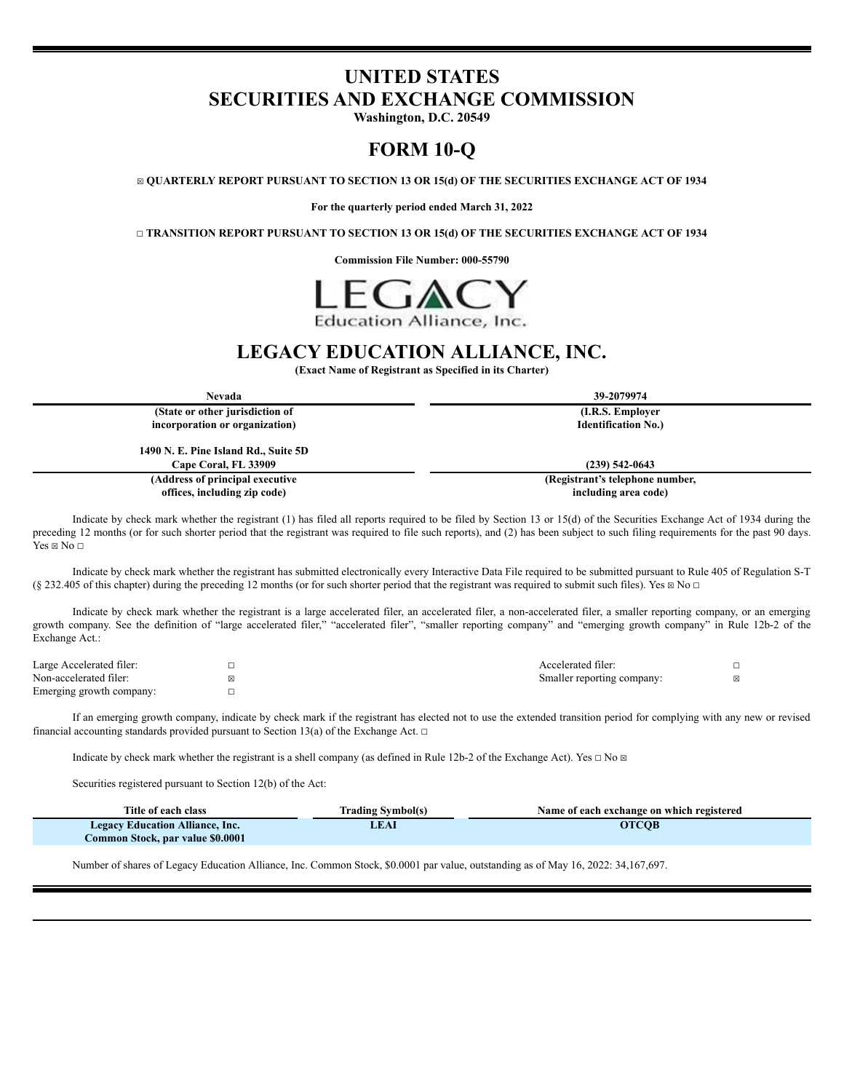# **UNITED STATES SECURITIES AND EXCHANGE COMMISSION**

**Washington, D.C. 20549**

# **FORM 10-Q**

☒ **QUARTERLY REPORT PURSUANT TO SECTION 13 OR 15(d) OF THE SECURITIES EXCHANGE ACT OF 1934**

**For the quarterly period ended March 31, 2022**

☐ **TRANSITION REPORT PURSUANT TO SECTION 13 OR 15(d) OF THE SECURITIES EXCHANGE ACT OF 1934**

**Commission File Number: 000-55790**



# **LEGACY EDUCATION ALLIANCE, INC.**

**(Exact Name of Registrant as Specified in its Charter)**

| Nevada                               | 39-2079974                 |
|--------------------------------------|----------------------------|
| (State or other jurisdiction of      | (I.R.S. Employer)          |
| incorporation or organization)       | <b>Identification No.)</b> |
| 1490 N. E. Pine Island Rd., Suite 5D |                            |
| <b>Cape Coral, FL 33909</b>          | $(239)$ 542-0643           |

**(Address of principal executive offices, including zip code)**

**(Registrant's telephone number, including area code)**

Indicate by check mark whether the registrant (1) has filed all reports required to be filed by Section 13 or 15(d) of the Securities Exchange Act of 1934 during the preceding 12 months (or for such shorter period that the registrant was required to file such reports), and (2) has been subject to such filing requirements for the past 90 days.  $Yes \boxtimes No \square$ 

Indicate by check mark whether the registrant has submitted electronically every Interactive Data File required to be submitted pursuant to Rule 405 of Regulation S-T (§ 232.405 of this chapter) during the preceding 12 months (or for such shorter period that the registrant was required to submit such files). Yes  $\boxtimes$  No  $\Box$ 

Indicate by check mark whether the registrant is a large accelerated filer, an accelerated filer, a non-accelerated filer, a smaller reporting company, or an emerging growth company. See the definition of "large accelerated filer," "accelerated filer", "smaller reporting company" and "emerging growth company" in Rule 12b-2 of the Exchange Act.:

| Large Accelerated filer: | Accelerated filer:         |  |
|--------------------------|----------------------------|--|
| Non-accelerated filer:   | Smaller reporting company: |  |
| Emerging growth company: |                            |  |

If an emerging growth company, indicate by check mark if the registrant has elected not to use the extended transition period for complying with any new or revised financial accounting standards provided pursuant to Section 13(a) of the Exchange Act.  $\Box$ 

Indicate by check mark whether the registrant is a shell company (as defined in Rule 12b-2 of the Exchange Act). Yes  $\Box$  No  $\Box$ 

Securities registered pursuant to Section 12(b) of the Act:

| Title of each class                    | Trading Symbol(s) | Name of each exchange on which registered |
|----------------------------------------|-------------------|-------------------------------------------|
| <b>Legacy Education Alliance, Inc.</b> | <b>JEAI</b>       | <b>OTCOB</b>                              |
| Common Stock, par value \$0.0001       |                   |                                           |

Number of shares of Legacy Education Alliance, Inc. Common Stock, \$0.0001 par value, outstanding as of May 16, 2022: 34,167,697.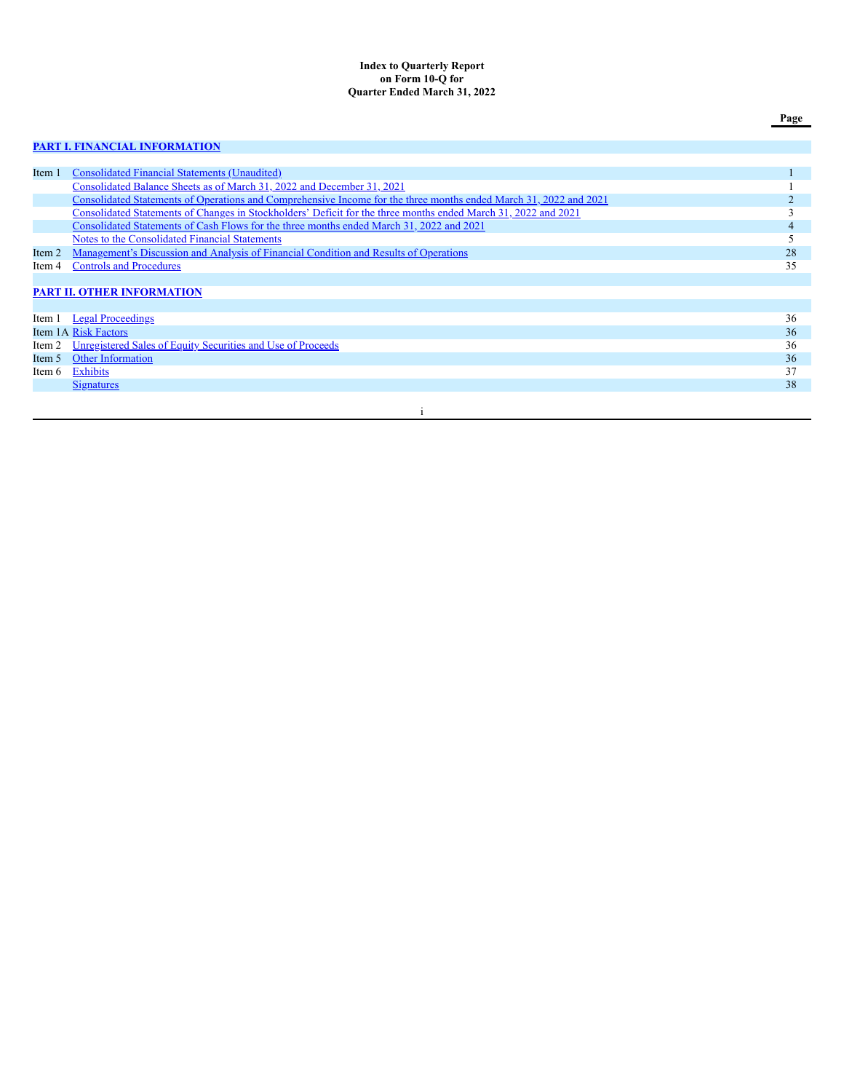### **Index to Quarterly Report on Form 10-Q for Quarter Ended March 31, 2022**

# **PART I. FINANCIAL [INFORMATION](#page-3-0)**

| Item 1 | <b>Consolidated Financial Statements (Unaudited)</b>                                                              |    |
|--------|-------------------------------------------------------------------------------------------------------------------|----|
|        | Consolidated Balance Sheets as of March 31, 2022 and December 31, 2021                                            |    |
|        | Consolidated Statements of Operations and Comprehensive Income for the three months ended March 31, 2022 and 2021 |    |
|        | Consolidated Statements of Changes in Stockholders' Deficit for the three months ended March 31, 2022 and 2021    |    |
|        | Consolidated Statements of Cash Flows for the three months ended March 31, 2022 and 2021                          | 4  |
|        | Notes to the Consolidated Financial Statements                                                                    |    |
| Item 2 | <u>Management's Discussion and Analysis of Financial Condition and Results of Operations</u>                      | 28 |
| Item 4 | <b>Controls and Procedures</b>                                                                                    | 35 |
|        |                                                                                                                   |    |
|        | <b>PART II. OTHER INFORMATION</b>                                                                                 |    |
|        |                                                                                                                   |    |
|        | Item 1 Legal Proceedings                                                                                          | 36 |
|        | Item 1A Risk Factors                                                                                              | 36 |
| Item 2 | Unregistered Sales of Equity Securities and Use of Proceeds                                                       | 36 |
| Item 5 | <b>Other Information</b>                                                                                          | 36 |
| Item 6 | Exhibits                                                                                                          | 37 |
|        | <u>Signatures</u>                                                                                                 | 38 |
|        |                                                                                                                   |    |

### i

**Page**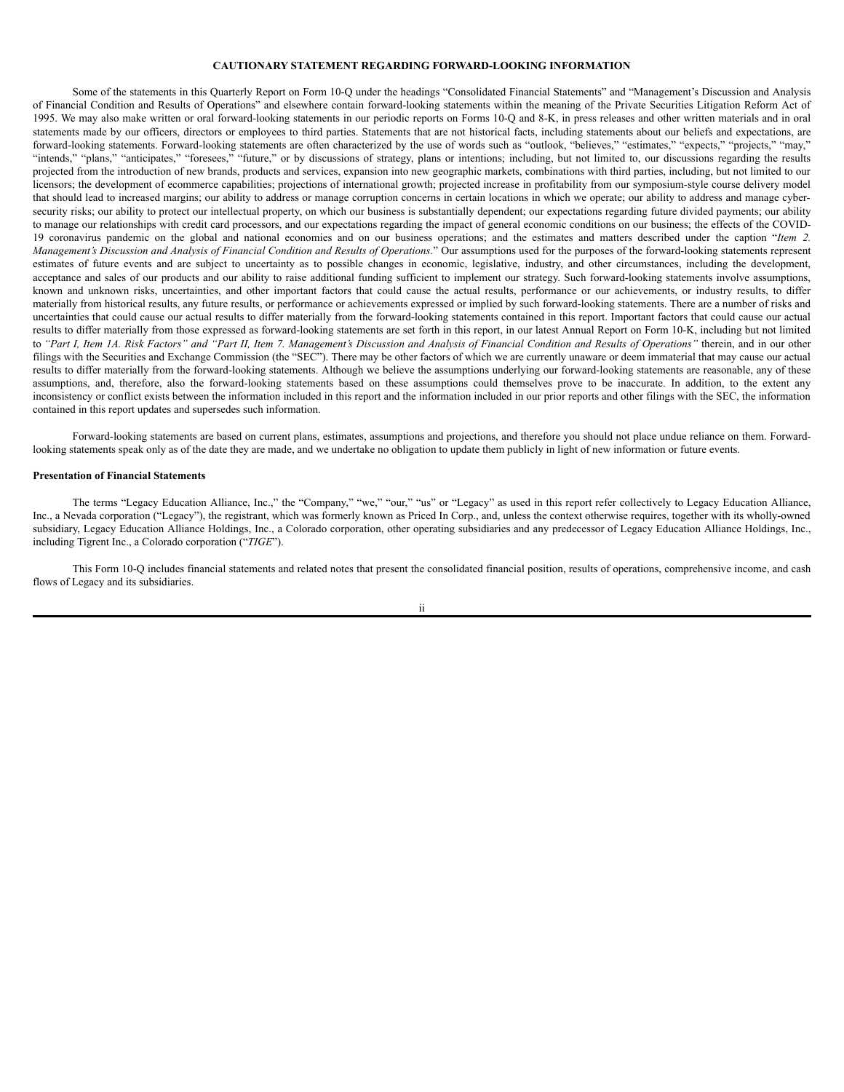### **CAUTIONARY STATEMENT REGARDING FORWARD-LOOKING INFORMATION**

Some of the statements in this Quarterly Report on Form 10-Q under the headings "Consolidated Financial Statements" and "Management's Discussion and Analysis of Financial Condition and Results of Operations" and elsewhere contain forward-looking statements within the meaning of the Private Securities Litigation Reform Act of 1995. We may also make written or oral forward-looking statements in our periodic reports on Forms 10-Q and 8-K, in press releases and other written materials and in oral statements made by our officers, directors or employees to third parties. Statements that are not historical facts, including statements about our beliefs and expectations, are forward-looking statements. Forward-looking statements are often characterized by the use of words such as "outlook, "believes," "estimates," "expects," "projects," "may," "intends," "plans," "anticipates," "foresees," "future," or by discussions of strategy, plans or intentions; including, but not limited to, our discussions regarding the results projected from the introduction of new brands, products and services, expansion into new geographic markets, combinations with third parties, including, but not limited to our licensors; the development of ecommerce capabilities; projections of international growth; projected increase in profitability from our symposium-style course delivery model that should lead to increased margins; our ability to address or manage corruption concerns in certain locations in which we operate; our ability to address and manage cybersecurity risks; our ability to protect our intellectual property, on which our business is substantially dependent; our expectations regarding future divided payments; our ability to manage our relationships with credit card processors, and our expectations regarding the impact of general economic conditions on our business; the effects of the COVID-19 coronavirus pandemic on the global and national economies and on our business operations; and the estimates and matters described under the caption "*Item 2.* Management's Discussion and Analysis of Financial Condition and Results of Operations." Our assumptions used for the purposes of the forward-looking statements represent estimates of future events and are subject to uncertainty as to possible changes in economic, legislative, industry, and other circumstances, including the development, acceptance and sales of our products and our ability to raise additional funding sufficient to implement our strategy. Such forward-looking statements involve assumptions, known and unknown risks, uncertainties, and other important factors that could cause the actual results, performance or our achievements, or industry results, to differ materially from historical results, any future results, or performance or achievements expressed or implied by such forward-looking statements. There are a number of risks and uncertainties that could cause our actual results to differ materially from the forward-looking statements contained in this report. Important factors that could cause our actual results to differ materially from those expressed as forward-looking statements are set forth in this report, in our latest Annual Report on Form 10-K, including but not limited to "Part I, Item 1A. Risk Factors" and "Part II, Item 7. Management's Discussion and Analysis of Financial Condition and Results of Operations" therein, and in our other filings with the Securities and Exchange Commission (the "SEC"). There may be other factors of which we are currently unaware or deem immaterial that may cause our actual results to differ materially from the forward-looking statements. Although we believe the assumptions underlying our forward-looking statements are reasonable, any of these assumptions, and, therefore, also the forward-looking statements based on these assumptions could themselves prove to be inaccurate. In addition, to the extent any inconsistency or conflict exists between the information included in this report and the information included in our prior reports and other filings with the SEC, the information contained in this report updates and supersedes such information.

Forward-looking statements are based on current plans, estimates, assumptions and projections, and therefore you should not place undue reliance on them. Forwardlooking statements speak only as of the date they are made, and we undertake no obligation to update them publicly in light of new information or future events.

#### **Presentation of Financial Statements**

The terms "Legacy Education Alliance, Inc.," the "Company," "we," "our," "us" or "Legacy" as used in this report refer collectively to Legacy Education Alliance, Inc., a Nevada corporation ("Legacy"), the registrant, which was formerly known as Priced In Corp., and, unless the context otherwise requires, together with its wholly-owned subsidiary, Legacy Education Alliance Holdings, Inc., a Colorado corporation, other operating subsidiaries and any predecessor of Legacy Education Alliance Holdings, Inc., including Tigrent Inc., a Colorado corporation ("*TIGE*").

This Form 10-Q includes financial statements and related notes that present the consolidated financial position, results of operations, comprehensive income, and cash flows of Legacy and its subsidiaries.

ii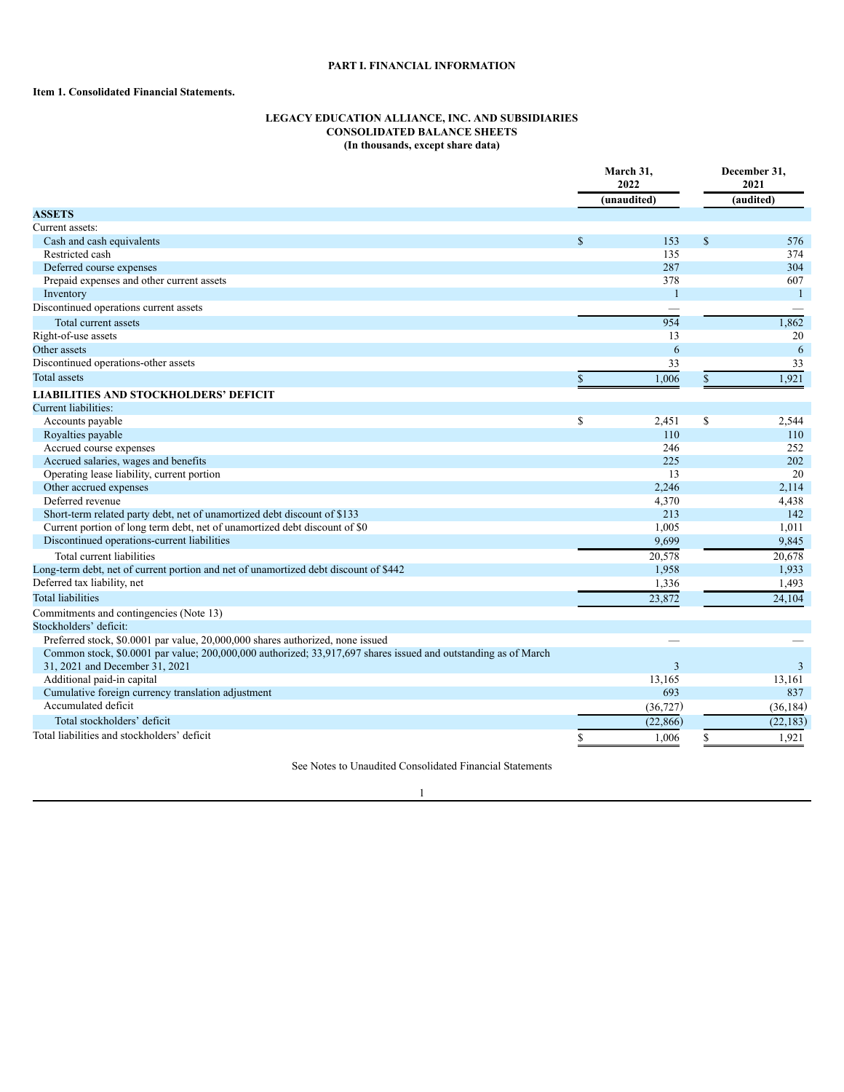# **PART I. FINANCIAL INFORMATION**

# <span id="page-3-2"></span><span id="page-3-1"></span><span id="page-3-0"></span>**Item 1. Consolidated Financial Statements.**

### **LEGACY EDUCATION ALLIANCE, INC. AND SUBSIDIARIES CONSOLIDATED BALANCE SHEETS (In thousands, except share data)**

|                                                                                                                |               | March 31,<br>2022 |               | December 31,<br>2021 |
|----------------------------------------------------------------------------------------------------------------|---------------|-------------------|---------------|----------------------|
|                                                                                                                |               | (unaudited)       |               | (audited)            |
| <b>ASSETS</b>                                                                                                  |               |                   |               |                      |
| Current assets:                                                                                                |               |                   |               |                      |
| Cash and cash equivalents                                                                                      | <sup>\$</sup> | 153               | $\mathcal{S}$ | 576                  |
| Restricted cash                                                                                                |               | 135               |               | 374                  |
| Deferred course expenses                                                                                       |               | 287               |               | 304                  |
| Prepaid expenses and other current assets                                                                      |               | 378               |               | 607                  |
| Inventory                                                                                                      |               | $\mathbf{1}$      |               | $\overline{1}$       |
| Discontinued operations current assets                                                                         |               |                   |               |                      |
| Total current assets                                                                                           |               | 954               |               | 1,862                |
| Right-of-use assets                                                                                            |               | 13                |               | 20                   |
| Other assets                                                                                                   |               | 6                 |               | 6                    |
| Discontinued operations-other assets                                                                           |               | 33                |               | 33                   |
| <b>Total</b> assets                                                                                            | $\mathbf S$   | 1,006             | $\mathbb{S}$  | 1,921                |
| <b>LIABILITIES AND STOCKHOLDERS' DEFICIT</b>                                                                   |               |                   |               |                      |
| Current liabilities:                                                                                           |               |                   |               |                      |
| Accounts payable                                                                                               | \$            | 2,451             | \$            | 2,544                |
| Royalties payable                                                                                              |               | 110               |               | 110                  |
| Accrued course expenses                                                                                        |               | 246               |               | 252                  |
| Accrued salaries, wages and benefits                                                                           |               | 225               |               | 202                  |
| Operating lease liability, current portion                                                                     |               | 13                |               | 20                   |
| Other accrued expenses                                                                                         |               | 2,246             |               | 2,114                |
| Deferred revenue                                                                                               |               | 4,370             |               | 4,438                |
| Short-term related party debt, net of unamortized debt discount of \$133                                       |               | 213               |               | 142                  |
| Current portion of long term debt, net of unamortized debt discount of \$0                                     |               | 1,005             |               | 1,011                |
| Discontinued operations-current liabilities                                                                    |               | 9,699             |               | 9,845                |
| Total current liabilities                                                                                      |               | 20,578            |               | 20,678               |
| Long-term debt, net of current portion and net of unamortized debt discount of \$442                           |               | 1,958             |               | 1,933                |
| Deferred tax liability, net                                                                                    |               | 1,336             |               | 1,493                |
| <b>Total liabilities</b>                                                                                       |               | 23,872            |               | 24,104               |
| Commitments and contingencies (Note 13)                                                                        |               |                   |               |                      |
| Stockholders' deficit:                                                                                         |               |                   |               |                      |
| Preferred stock, \$0.0001 par value, 20,000,000 shares authorized, none issued                                 |               |                   |               |                      |
| Common stock, \$0.0001 par value; 200,000,000 authorized; 33,917,697 shares issued and outstanding as of March |               |                   |               |                      |
| 31, 2021 and December 31, 2021                                                                                 |               | $\overline{3}$    |               | 3                    |
| Additional paid-in capital                                                                                     |               | 13,165            |               | 13,161               |
| Cumulative foreign currency translation adjustment                                                             |               | 693               |               | 837                  |
| Accumulated deficit                                                                                            |               | (36, 727)         |               | (36, 184)            |
| Total stockholders' deficit                                                                                    |               | (22, 866)         |               | (22, 183)            |
| Total liabilities and stockholders' deficit                                                                    | \$            | 1,006             | \$            | 1,921                |

See Notes to Unaudited Consolidated Financial Statements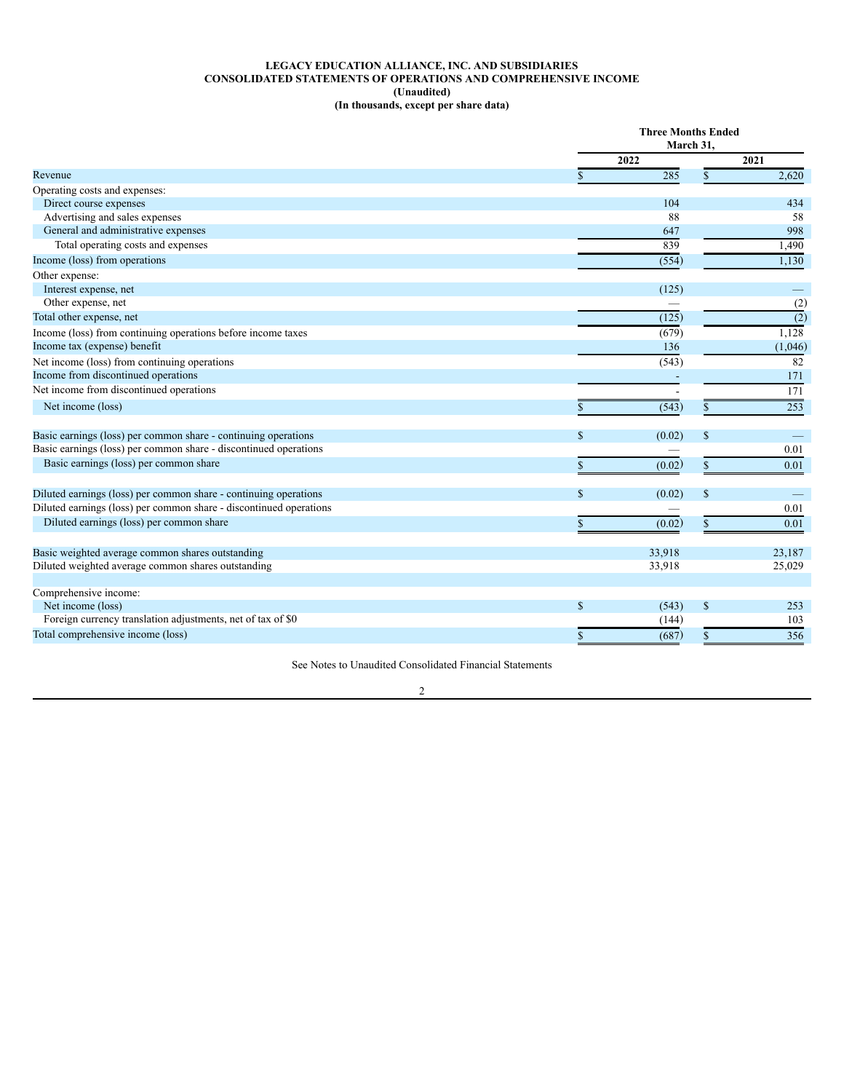### **LEGACY EDUCATION ALLIANCE, INC. AND SUBSIDIARIES CONSOLIDATED STATEMENTS OF OPERATIONS AND COMPREHENSIVE INCOME (Unaudited) (In thousands, except per share data)**

<span id="page-4-0"></span>

|                                                                    |               | <b>Three Months Ended</b><br>March 31, |               |                  |  |
|--------------------------------------------------------------------|---------------|----------------------------------------|---------------|------------------|--|
|                                                                    |               | 2022                                   |               | 2021             |  |
| Revenue                                                            |               | 285                                    | \$            | 2,620            |  |
| Operating costs and expenses:                                      |               |                                        |               |                  |  |
| Direct course expenses                                             |               | 104                                    |               | 434              |  |
| Advertising and sales expenses                                     |               | 88                                     |               | 58               |  |
| General and administrative expenses                                |               | 647                                    |               | 998              |  |
| Total operating costs and expenses                                 |               | 839                                    |               | 1,490            |  |
| Income (loss) from operations                                      |               | (554)                                  |               | 1.130            |  |
| Other expense:                                                     |               |                                        |               |                  |  |
| Interest expense, net                                              |               | (125)                                  |               |                  |  |
| Other expense, net                                                 |               |                                        |               | (2)              |  |
| Total other expense, net                                           |               | (125)                                  |               | $\overline{(2)}$ |  |
| Income (loss) from continuing operations before income taxes       |               | (679)                                  |               | 1,128            |  |
| Income tax (expense) benefit                                       |               | 136                                    |               | (1,046)          |  |
| Net income (loss) from continuing operations                       |               | (543)                                  |               | 82               |  |
| Income from discontinued operations                                |               |                                        |               | 171              |  |
| Net income from discontinued operations                            |               |                                        |               | 171              |  |
| Net income (loss)                                                  |               | (543)                                  |               | 253              |  |
| Basic earnings (loss) per common share - continuing operations     | <sup>\$</sup> | (0.02)                                 | $\mathcal{S}$ | -                |  |
| Basic earnings (loss) per common share - discontinued operations   |               |                                        |               | 0.01             |  |
| Basic earnings (loss) per common share                             |               | (0.02)                                 | \$.           | 0.01             |  |
|                                                                    |               |                                        |               |                  |  |
| Diluted earnings (loss) per common share - continuing operations   | \$.           | (0.02)                                 | $\mathcal{S}$ |                  |  |
| Diluted earnings (loss) per common share - discontinued operations |               |                                        |               | 0.01             |  |
| Diluted earnings (loss) per common share                           |               | (0.02)                                 | S             | 0.01             |  |
| Basic weighted average common shares outstanding                   |               | 33,918                                 |               | 23,187           |  |
| Diluted weighted average common shares outstanding                 |               | 33,918                                 |               | 25,029           |  |
| Comprehensive income:                                              |               |                                        |               |                  |  |
| Net income (loss)                                                  | <sup>\$</sup> | (543)                                  | <sup>\$</sup> | 253              |  |
| Foreign currency translation adjustments, net of tax of \$0        |               | (144)                                  |               | 103              |  |
| Total comprehensive income (loss)                                  |               | (687)                                  |               | 356              |  |
|                                                                    |               |                                        |               |                  |  |

See Notes to Unaudited Consolidated Financial Statements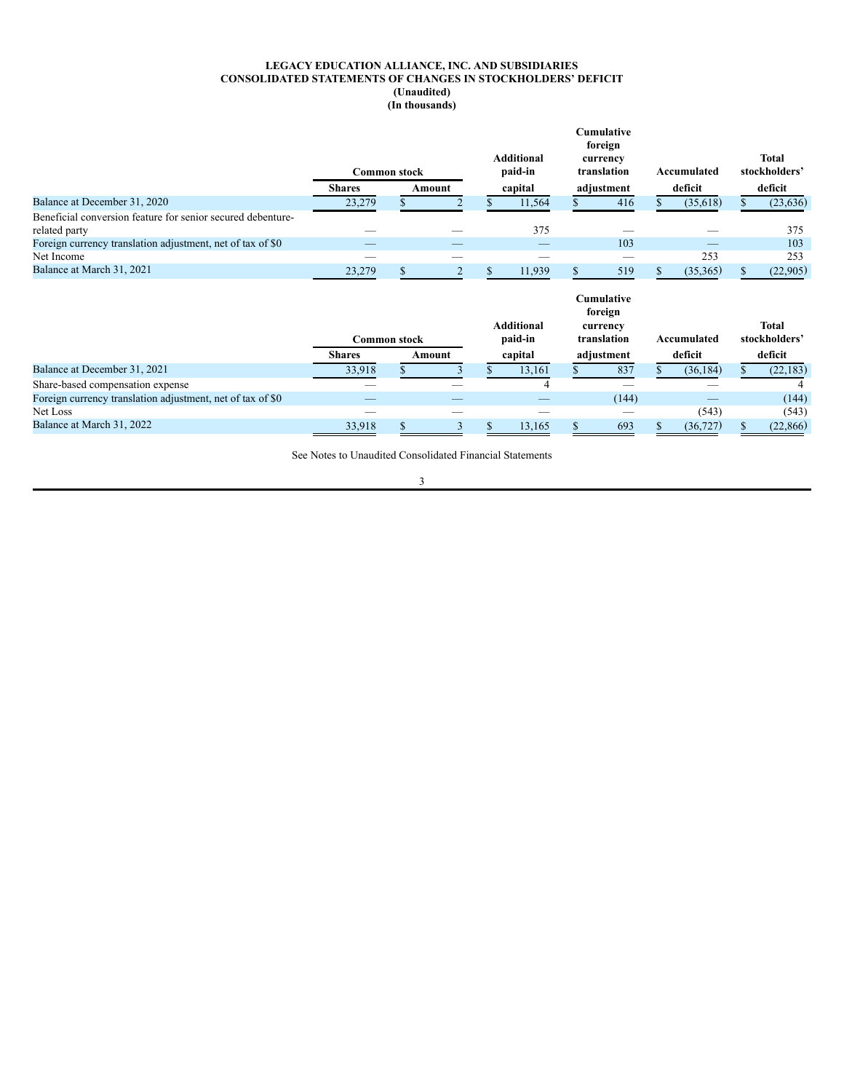### **LEGACY EDUCATION ALLIANCE, INC. AND SUBSIDIARIES CONSOLIDATED STATEMENTS OF CHANGES IN STOCKHOLDERS' DEFICIT (Unaudited) (In thousands)**

<span id="page-5-0"></span>

|                                                             | <b>Common stock</b> |  |        | <b>Cumulative</b><br>foreign<br><b>Additional</b><br>currency<br>paid-in<br>translation |                   |  | Accumulated                              | <b>Total</b><br>stockholders' |              |
|-------------------------------------------------------------|---------------------|--|--------|-----------------------------------------------------------------------------------------|-------------------|--|------------------------------------------|-------------------------------|--------------|
|                                                             | <b>Shares</b>       |  | Amount |                                                                                         | capital           |  | adjustment                               | deficit                       | deficit      |
| Balance at December 31, 2020                                | 23,279              |  |        |                                                                                         | 11,564            |  | 416                                      | (35,618)                      | (23, 636)    |
| Beneficial conversion feature for senior secured debenture- |                     |  |        |                                                                                         |                   |  |                                          |                               |              |
| related party                                               |                     |  |        |                                                                                         | 375               |  |                                          |                               | 375          |
| Foreign currency translation adjustment, net of tax of \$0  |                     |  |        |                                                                                         | —                 |  | 103                                      |                               | 103          |
| Net Income                                                  |                     |  |        |                                                                                         |                   |  |                                          | 253                           | 253          |
| Balance at March 31, 2021                                   | 23,279              |  |        |                                                                                         | 11,939            |  | 519                                      | (35, 365)                     | (22,905)     |
|                                                             |                     |  |        |                                                                                         | <b>Additional</b> |  | <b>Cumulative</b><br>foreign<br>currency |                               | <b>Total</b> |

|                                                            | <b>Common stock</b> |  |        | .<br>.<br>paid-in<br>translation |         |  | Accumulated |  | ------<br>stockholders' |           |
|------------------------------------------------------------|---------------------|--|--------|----------------------------------|---------|--|-------------|--|-------------------------|-----------|
|                                                            | <b>Shares</b>       |  | Amount |                                  | capital |  | adiustment  |  | deficit                 | deficit   |
| Balance at December 31, 2021                               | 33.918              |  |        |                                  | 13.161  |  | 837         |  | (36.184)                | (22, 183) |
| Share-based compensation expense                           |                     |  |        |                                  |         |  |             |  |                         |           |
| Foreign currency translation adjustment, net of tax of \$0 |                     |  |        |                                  |         |  | (144)       |  |                         | (144)     |
| Net Loss                                                   |                     |  |        |                                  |         |  |             |  | (543)                   | (543)     |
| Balance at March 31, 2022                                  | 33.918              |  |        |                                  | 13.165  |  | 693         |  | (36.727)                | (22, 866) |

See Notes to Unaudited Consolidated Financial Statements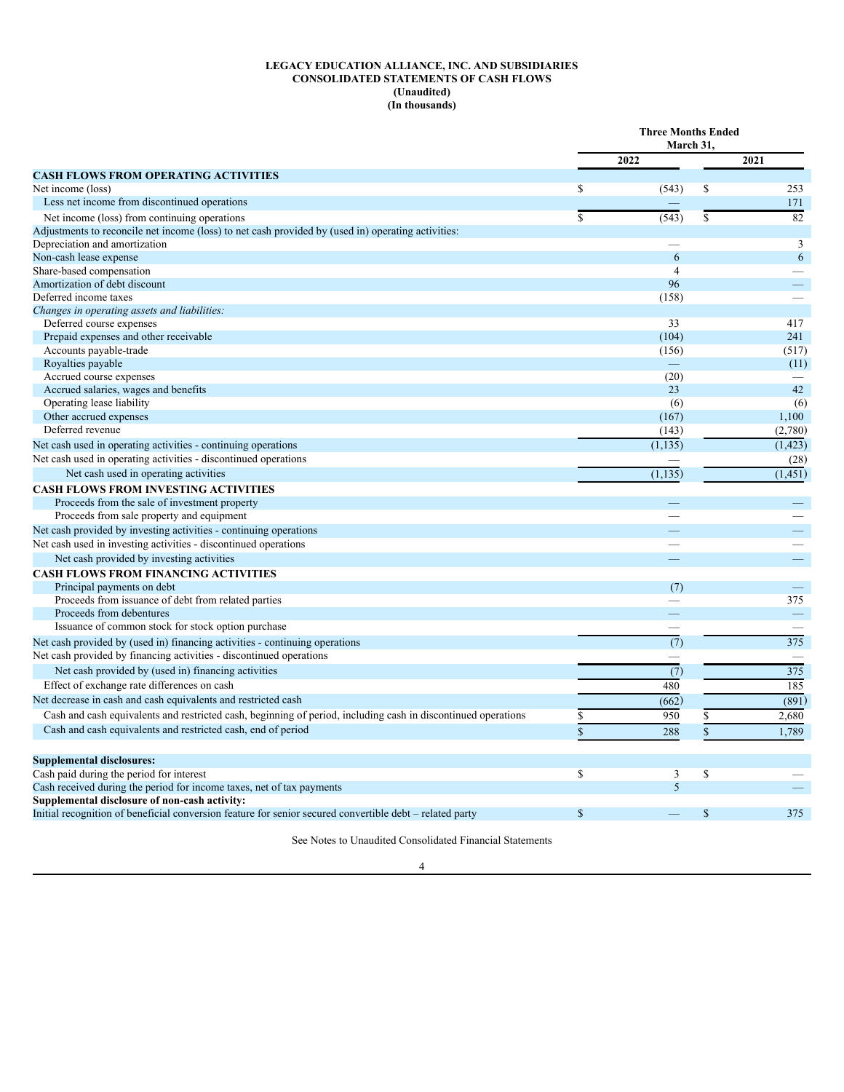### **LEGACY EDUCATION ALLIANCE, INC. AND SUBSIDIARIES CONSOLIDATED STATEMENTS OF CASH FLOWS (Unaudited) (In thousands)**

<span id="page-6-0"></span>

|                                                                                                               | <b>Three Months Ended</b><br>March 31, |                  |               |          |
|---------------------------------------------------------------------------------------------------------------|----------------------------------------|------------------|---------------|----------|
|                                                                                                               |                                        | 2022             |               | 2021     |
| <b>CASH FLOWS FROM OPERATING ACTIVITIES</b>                                                                   |                                        |                  |               |          |
| Net income (loss)                                                                                             | $\mathbb{S}$                           | (543)            | \$            | 253      |
| Less net income from discontinued operations                                                                  |                                        |                  |               | 171      |
| Net income (loss) from continuing operations                                                                  | $\overline{\mathbb{S}}$                | (543)            | <sup>\$</sup> | 82       |
| Adjustments to reconcile net income (loss) to net cash provided by (used in) operating activities:            |                                        |                  |               |          |
| Depreciation and amortization                                                                                 |                                        |                  |               | 3        |
| Non-cash lease expense                                                                                        |                                        | 6                |               | 6        |
| Share-based compensation                                                                                      |                                        | $\overline{4}$   |               |          |
| Amortization of debt discount                                                                                 |                                        | 96               |               |          |
| Deferred income taxes                                                                                         |                                        | (158)            |               |          |
| Changes in operating assets and liabilities:                                                                  |                                        |                  |               |          |
| Deferred course expenses                                                                                      |                                        | 33               |               | 417      |
| Prepaid expenses and other receivable                                                                         |                                        | (104)            |               | 241      |
| Accounts payable-trade                                                                                        |                                        | (156)            |               | (517)    |
| Royalties payable                                                                                             |                                        |                  |               | (11)     |
| Accrued course expenses                                                                                       |                                        | (20)<br>23       |               | 42       |
| Accrued salaries, wages and benefits                                                                          |                                        |                  |               | (6)      |
| Operating lease liability<br>Other accrued expenses                                                           |                                        | (6)<br>(167)     |               | 1,100    |
| Deferred revenue                                                                                              |                                        |                  |               |          |
|                                                                                                               |                                        | (143)            |               | (2,780)  |
| Net cash used in operating activities - continuing operations                                                 |                                        | (1, 135)         |               | (1, 423) |
| Net cash used in operating activities - discontinued operations                                               |                                        |                  |               | (28)     |
| Net cash used in operating activities                                                                         |                                        | (1, 135)         |               | (1, 451) |
| <b>CASH FLOWS FROM INVESTING ACTIVITIES</b>                                                                   |                                        |                  |               |          |
| Proceeds from the sale of investment property                                                                 |                                        |                  |               |          |
| Proceeds from sale property and equipment                                                                     |                                        |                  |               |          |
| Net cash provided by investing activities - continuing operations                                             |                                        |                  |               |          |
| Net cash used in investing activities - discontinued operations                                               |                                        |                  |               |          |
| Net cash provided by investing activities                                                                     |                                        |                  |               |          |
| <b>CASH FLOWS FROM FINANCING ACTIVITIES</b>                                                                   |                                        |                  |               |          |
| Principal payments on debt                                                                                    |                                        | (7)              |               |          |
| Proceeds from issuance of debt from related parties                                                           |                                        |                  |               | 375      |
| Proceeds from debentures                                                                                      |                                        |                  |               |          |
| Issuance of common stock for stock option purchase                                                            |                                        |                  |               |          |
| Net cash provided by (used in) financing activities - continuing operations                                   |                                        | $\overline{(7)}$ |               | 375      |
| Net cash provided by financing activities - discontinued operations                                           |                                        |                  |               |          |
| Net cash provided by (used in) financing activities                                                           |                                        | $\overline{(7)}$ |               | 375      |
| Effect of exchange rate differences on cash                                                                   |                                        | 480              |               | 185      |
| Net decrease in cash and cash equivalents and restricted cash                                                 |                                        | (662)            |               | (891)    |
| Cash and cash equivalents and restricted cash, beginning of period, including cash in discontinued operations | $\mathbb{S}$                           | 950              | S.            | 2,680    |
| Cash and cash equivalents and restricted cash, end of period                                                  | $\mathbf S$                            |                  | \$            |          |
|                                                                                                               |                                        | 288              |               | 1,789    |
| <b>Supplemental disclosures:</b>                                                                              |                                        |                  |               |          |
| Cash paid during the period for interest                                                                      | \$                                     | 3                | \$            |          |
| Cash received during the period for income taxes, net of tax payments                                         |                                        | 5                |               |          |
| Supplemental disclosure of non-cash activity:                                                                 |                                        |                  |               |          |
| Initial recognition of beneficial conversion feature for senior secured convertible debt – related party      | $\mathbb{S}$                           |                  | \$            | 375      |
|                                                                                                               |                                        |                  |               |          |

See Notes to Unaudited Consolidated Financial Statements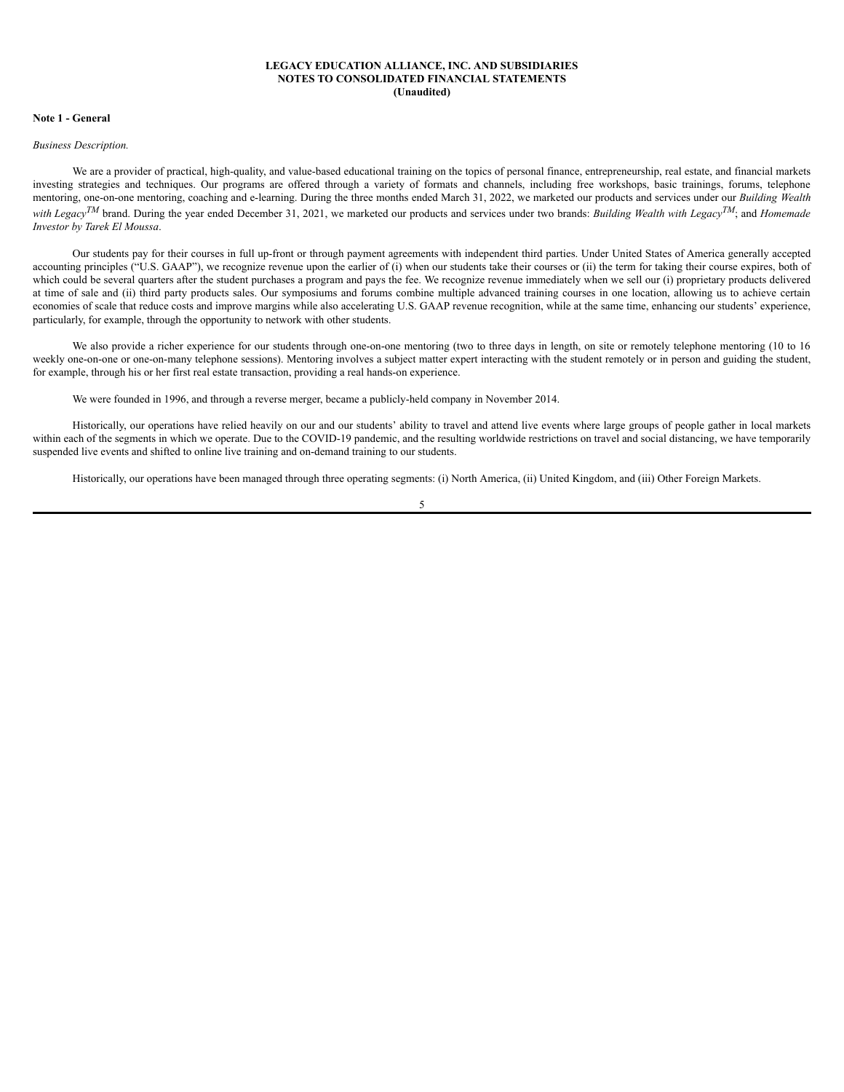### **LEGACY EDUCATION ALLIANCE, INC. AND SUBSIDIARIES NOTES TO CONSOLIDATED FINANCIAL STATEMENTS (Unaudited)**

### <span id="page-7-0"></span>**Note 1 - General**

### *Business Description.*

We are a provider of practical, high-quality, and value-based educational training on the topics of personal finance, entrepreneurship, real estate, and financial markets investing strategies and techniques. Our programs are offered through a variety of formats and channels, including free workshops, basic trainings, forums, telephone mentoring, one-on-one mentoring, coaching and e-learning. During the three months ended March 31, 2022, we marketed our products and services under our *Building Wealth with LegacyTM* brand. During the year ended December 31, 2021, we marketed our products and services under two brands: *Building Wealth with LegacyTM*; and *Homemade Investor by Tarek El Moussa*.

Our students pay for their courses in full up-front or through payment agreements with independent third parties. Under United States of America generally accepted accounting principles ("U.S. GAAP"), we recognize revenue upon the earlier of (i) when our students take their courses or (ii) the term for taking their course expires, both of which could be several quarters after the student purchases a program and pays the fee. We recognize revenue immediately when we sell our (i) proprietary products delivered at time of sale and (ii) third party products sales. Our symposiums and forums combine multiple advanced training courses in one location, allowing us to achieve certain economies of scale that reduce costs and improve margins while also accelerating U.S. GAAP revenue recognition, while at the same time, enhancing our students' experience, particularly, for example, through the opportunity to network with other students.

We also provide a richer experience for our students through one-on-one mentoring (two to three days in length, on site or remotely telephone mentoring (10 to 16 weekly one-on-one or one-on-many telephone sessions). Mentoring involves a subject matter expert interacting with the student remotely or in person and guiding the student, for example, through his or her first real estate transaction, providing a real hands-on experience.

We were founded in 1996, and through a reverse merger, became a publicly-held company in November 2014.

Historically, our operations have relied heavily on our and our students' ability to travel and attend live events where large groups of people gather in local markets within each of the segments in which we operate. Due to the COVID-19 pandemic, and the resulting worldwide restrictions on travel and social distancing, we have temporarily suspended live events and shifted to online live training and on-demand training to our students.

Historically, our operations have been managed through three operating segments: (i) North America, (ii) United Kingdom, and (iii) Other Foreign Markets.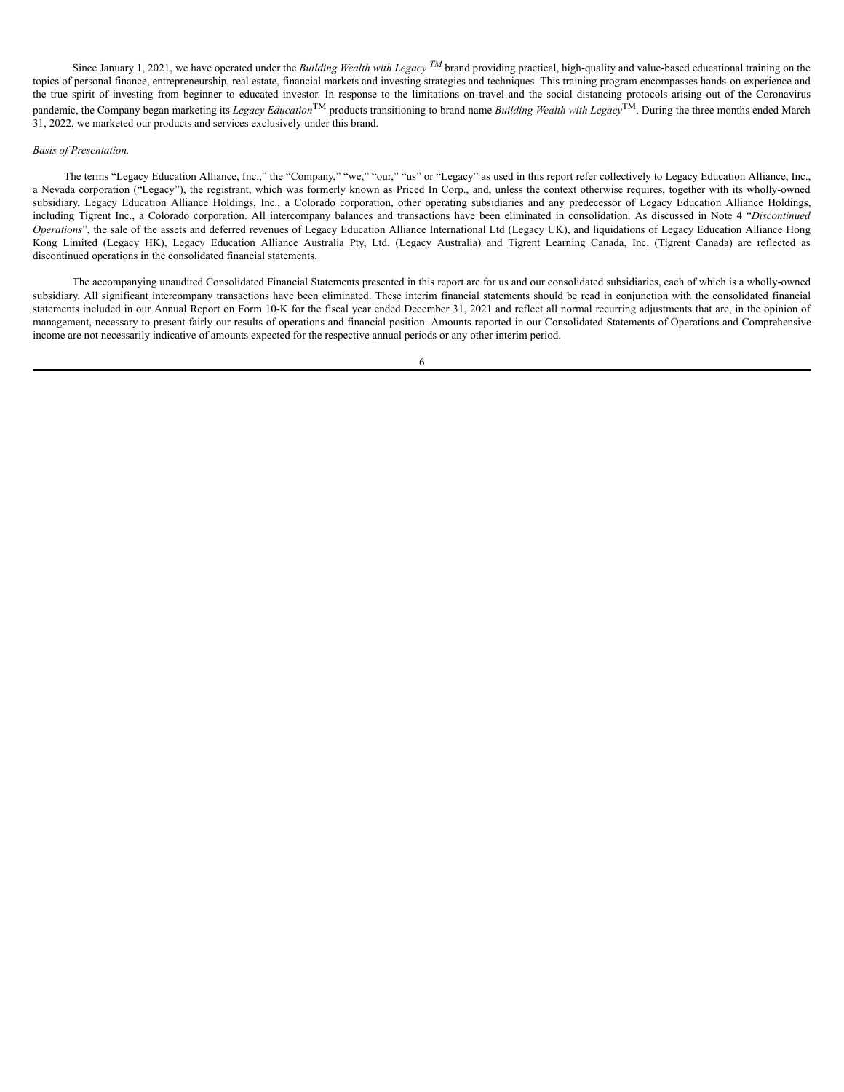Since January 1, 2021, we have operated under the *Building Wealth with Legacy*  $^{TM}$  brand providing practical, high-quality and value-based educational training on the topics of personal finance, entrepreneurship, real estate, financial markets and investing strategies and techniques. This training program encompasses hands-on experience and the true spirit of investing from beginner to educated investor. In response to the limitations on travel and the social distancing protocols arising out of the Coronavirus pandemic, the Company began marketing its *Legacy Education*TM products transitioning to brand name *Building Wealth with Legacy*TM. During the three months ended March 31, 2022, we marketed our products and services exclusively under this brand.

## *Basis of Presentation.*

The terms "Legacy Education Alliance, Inc.," the "Company," "we," "our," "us" or "Legacy" as used in this report refer collectively to Legacy Education Alliance, Inc., a Nevada corporation ("Legacy"), the registrant, which was formerly known as Priced In Corp., and, unless the context otherwise requires, together with its wholly-owned subsidiary, Legacy Education Alliance Holdings, Inc., a Colorado corporation, other operating subsidiaries and any predecessor of Legacy Education Alliance Holdings, including Tigrent Inc., a Colorado corporation. All intercompany balances and transactions have been eliminated in consolidation. As discussed in Note 4 "*Discontinued Operations*", the sale of the assets and deferred revenues of Legacy Education Alliance International Ltd (Legacy UK), and liquidations of Legacy Education Alliance Hong Kong Limited (Legacy HK), Legacy Education Alliance Australia Pty, Ltd. (Legacy Australia) and Tigrent Learning Canada, Inc. (Tigrent Canada) are reflected as discontinued operations in the consolidated financial statements.

The accompanying unaudited Consolidated Financial Statements presented in this report are for us and our consolidated subsidiaries, each of which is a wholly-owned subsidiary. All significant intercompany transactions have been eliminated. These interim financial statements should be read in conjunction with the consolidated financial statements included in our Annual Report on Form 10-K for the fiscal year ended December 31, 2021 and reflect all normal recurring adjustments that are, in the opinion of management, necessary to present fairly our results of operations and financial position. Amounts reported in our Consolidated Statements of Operations and Comprehensive income are not necessarily indicative of amounts expected for the respective annual periods or any other interim period.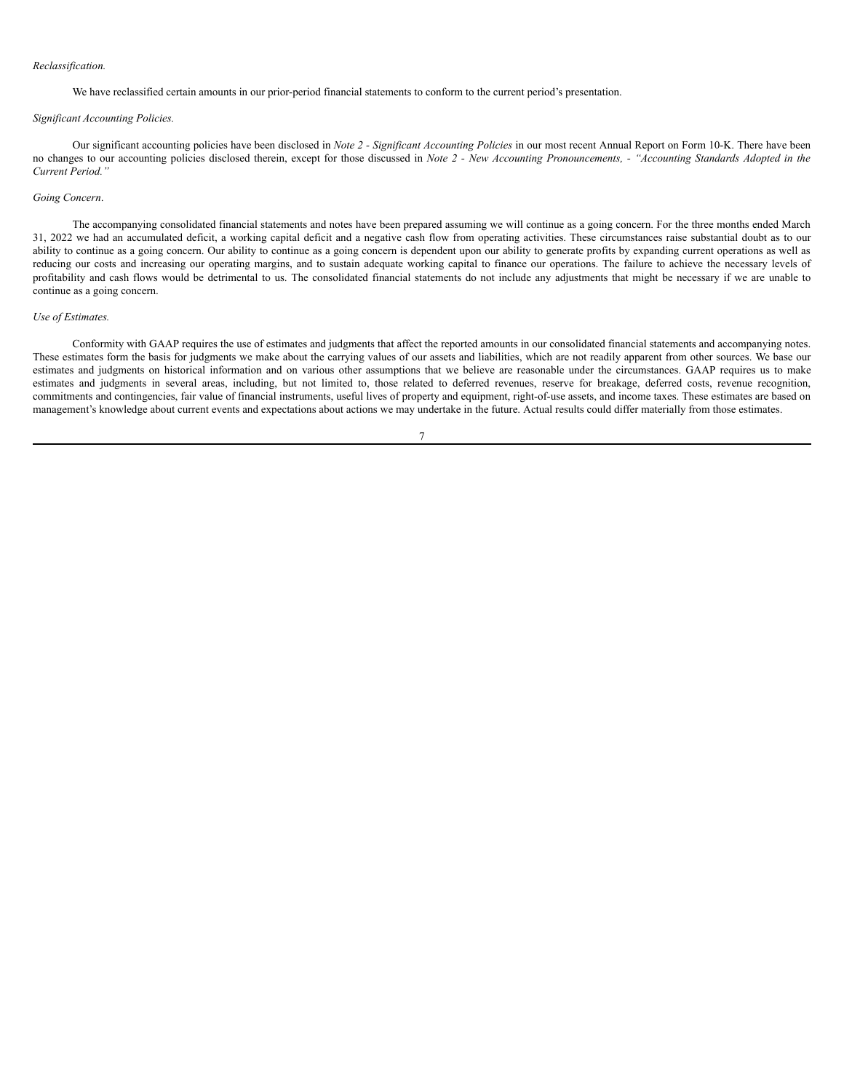### *Reclassification.*

We have reclassified certain amounts in our prior-period financial statements to conform to the current period's presentation.

#### *Significant Accounting Policies.*

Our significant accounting policies have been disclosed in *Note 2 - Significant Accounting Policies* in our most recent Annual Report on Form 10-K. There have been no changes to our accounting policies disclosed therein, except for those discussed in Note 2 - New Accounting Pronouncements, - "Accounting Standards Adopted in the *Current Period."*

### *Going Concern*.

The accompanying consolidated financial statements and notes have been prepared assuming we will continue as a going concern. For the three months ended March 31, 2022 we had an accumulated deficit, a working capital deficit and a negative cash flow from operating activities. These circumstances raise substantial doubt as to our ability to continue as a going concern. Our ability to continue as a going concern is dependent upon our ability to generate profits by expanding current operations as well as reducing our costs and increasing our operating margins, and to sustain adequate working capital to finance our operations. The failure to achieve the necessary levels of profitability and cash flows would be detrimental to us. The consolidated financial statements do not include any adjustments that might be necessary if we are unable to continue as a going concern.

### *Use of Estimates.*

Conformity with GAAP requires the use of estimates and judgments that affect the reported amounts in our consolidated financial statements and accompanying notes. These estimates form the basis for judgments we make about the carrying values of our assets and liabilities, which are not readily apparent from other sources. We base our estimates and judgments on historical information and on various other assumptions that we believe are reasonable under the circumstances. GAAP requires us to make estimates and judgments in several areas, including, but not limited to, those related to deferred revenues, reserve for breakage, deferred costs, revenue recognition, commitments and contingencies, fair value of financial instruments, useful lives of property and equipment, right-of-use assets, and income taxes. These estimates are based on management's knowledge about current events and expectations about actions we may undertake in the future. Actual results could differ materially from those estimates.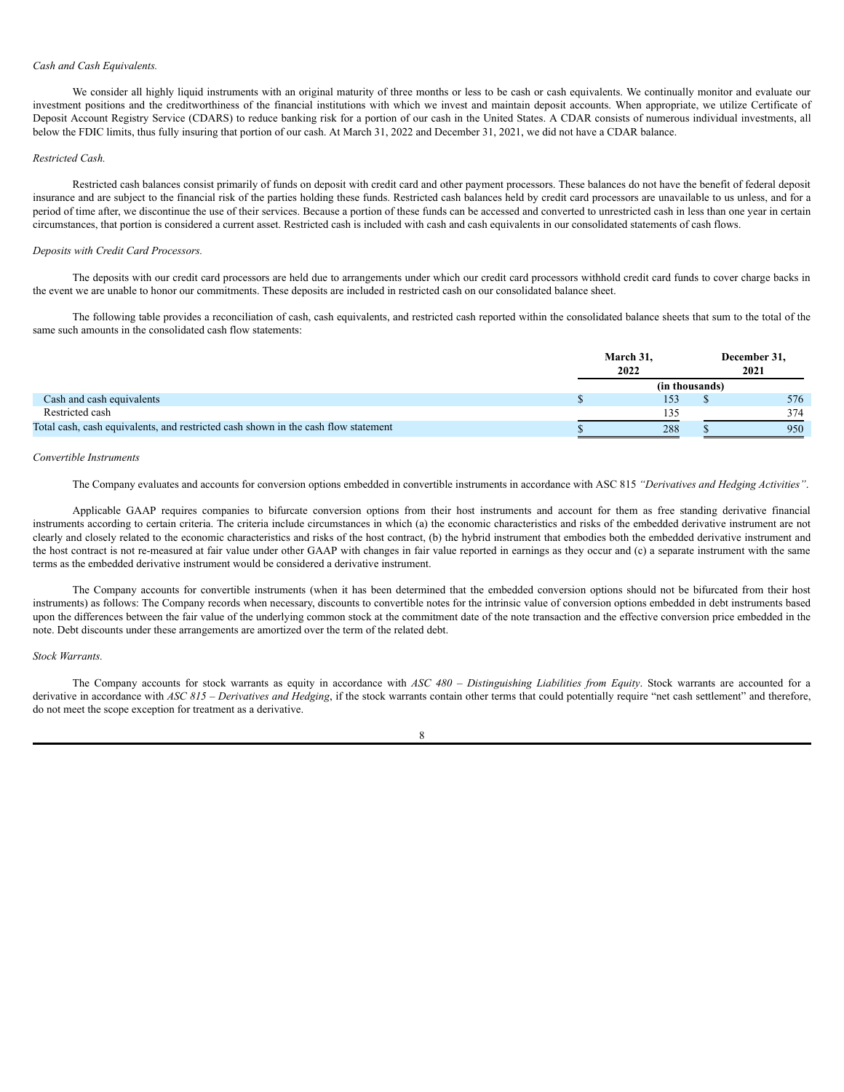### *Cash and Cash Equivalents.*

We consider all highly liquid instruments with an original maturity of three months or less to be cash or cash equivalents. We continually monitor and evaluate our investment positions and the creditworthiness of the financial institutions with which we invest and maintain deposit accounts. When appropriate, we utilize Certificate of Deposit Account Registry Service (CDARS) to reduce banking risk for a portion of our cash in the United States. A CDAR consists of numerous individual investments, all below the FDIC limits, thus fully insuring that portion of our cash. At March 31, 2022 and December 31, 2021, we did not have a CDAR balance.

#### *Restricted Cash.*

Restricted cash balances consist primarily of funds on deposit with credit card and other payment processors. These balances do not have the benefit of federal deposit insurance and are subject to the financial risk of the parties holding these funds. Restricted cash balances held by credit card processors are unavailable to us unless, and for a period of time after, we discontinue the use of their services. Because a portion of these funds can be accessed and converted to unrestricted cash in less than one year in certain circumstances, that portion is considered a current asset. Restricted cash is included with cash and cash equivalents in our consolidated statements of cash flows.

#### *Deposits with Credit Card Processors.*

The deposits with our credit card processors are held due to arrangements under which our credit card processors withhold credit card funds to cover charge backs in the event we are unable to honor our commitments. These deposits are included in restricted cash on our consolidated balance sheet.

The following table provides a reconciliation of cash, cash equivalents, and restricted cash reported within the consolidated balance sheets that sum to the total of the same such amounts in the consolidated cash flow statements:

|                                                                                    | March 31,<br>2022 |  | December 31,<br>2021 |  |  |
|------------------------------------------------------------------------------------|-------------------|--|----------------------|--|--|
|                                                                                    | (in thousands)    |  |                      |  |  |
| Cash and cash equivalents                                                          |                   |  | 576                  |  |  |
| Restricted cash                                                                    | 135               |  | 374                  |  |  |
| Total cash, cash equivalents, and restricted cash shown in the cash flow statement | 288               |  | 950                  |  |  |

### *Convertible Instruments*

The Company evaluates and accounts for conversion options embedded in convertible instruments in accordance with ASC 815 *"Derivatives and Hedging Activities"*.

Applicable GAAP requires companies to bifurcate conversion options from their host instruments and account for them as free standing derivative financial instruments according to certain criteria. The criteria include circumstances in which (a) the economic characteristics and risks of the embedded derivative instrument are not clearly and closely related to the economic characteristics and risks of the host contract, (b) the hybrid instrument that embodies both the embedded derivative instrument and the host contract is not re-measured at fair value under other GAAP with changes in fair value reported in earnings as they occur and (c) a separate instrument with the same terms as the embedded derivative instrument would be considered a derivative instrument.

The Company accounts for convertible instruments (when it has been determined that the embedded conversion options should not be bifurcated from their host instruments) as follows: The Company records when necessary, discounts to convertible notes for the intrinsic value of conversion options embedded in debt instruments based upon the differences between the fair value of the underlying common stock at the commitment date of the note transaction and the effective conversion price embedded in the note. Debt discounts under these arrangements are amortized over the term of the related debt.

### *Stock Warrants.*

The Company accounts for stock warrants as equity in accordance with *ASC 480 – Distinguishing Liabilities from Equity*. Stock warrants are accounted for a derivative in accordance with *ASC 815 – Derivatives and Hedging*, if the stock warrants contain other terms that could potentially require "net cash settlement" and therefore, do not meet the scope exception for treatment as a derivative.

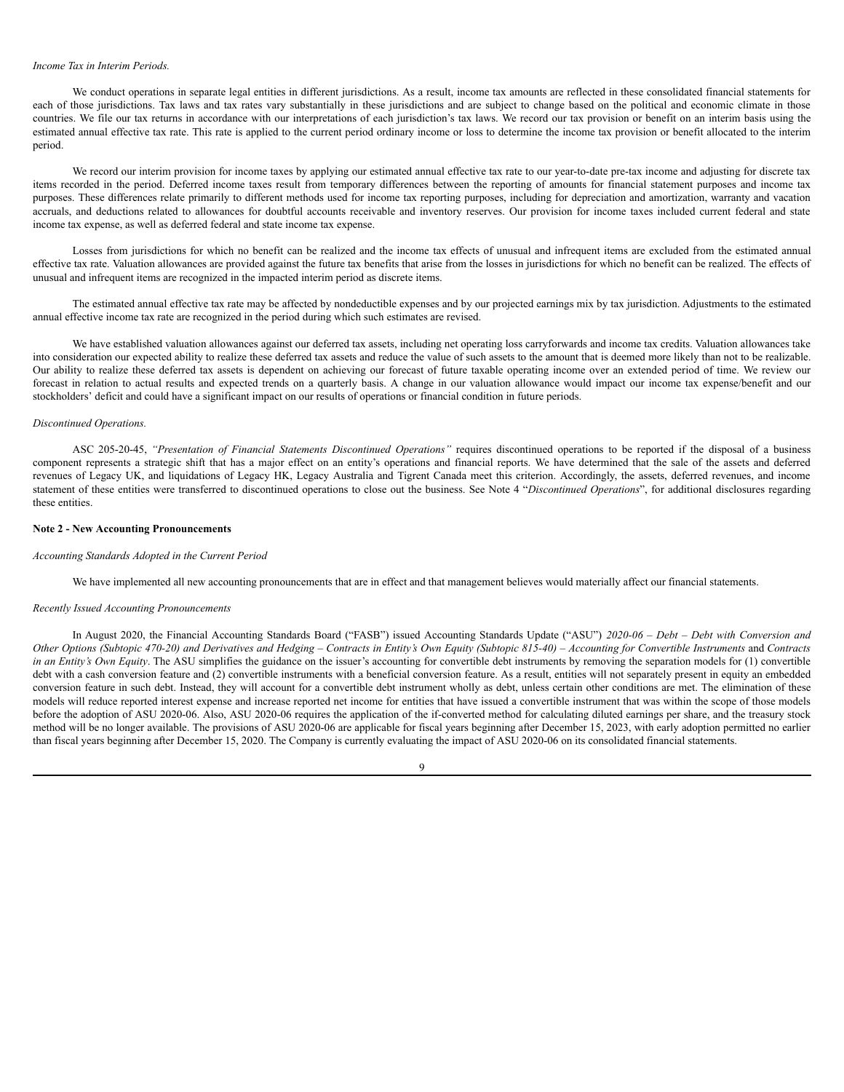### *Income Tax in Interim Periods.*

We conduct operations in separate legal entities in different jurisdictions. As a result, income tax amounts are reflected in these consolidated financial statements for each of those jurisdictions. Tax laws and tax rates vary substantially in these jurisdictions and are subject to change based on the political and economic climate in those countries. We file our tax returns in accordance with our interpretations of each jurisdiction's tax laws. We record our tax provision or benefit on an interim basis using the estimated annual effective tax rate. This rate is applied to the current period ordinary income or loss to determine the income tax provision or benefit allocated to the interim period.

We record our interim provision for income taxes by applying our estimated annual effective tax rate to our year-to-date pre-tax income and adjusting for discrete tax items recorded in the period. Deferred income taxes result from temporary differences between the reporting of amounts for financial statement purposes and income tax purposes. These differences relate primarily to different methods used for income tax reporting purposes, including for depreciation and amortization, warranty and vacation accruals, and deductions related to allowances for doubtful accounts receivable and inventory reserves. Our provision for income taxes included current federal and state income tax expense, as well as deferred federal and state income tax expense.

Losses from jurisdictions for which no benefit can be realized and the income tax effects of unusual and infrequent items are excluded from the estimated annual effective tax rate. Valuation allowances are provided against the future tax benefits that arise from the losses in jurisdictions for which no benefit can be realized. The effects of unusual and infrequent items are recognized in the impacted interim period as discrete items.

The estimated annual effective tax rate may be affected by nondeductible expenses and by our projected earnings mix by tax jurisdiction. Adjustments to the estimated annual effective income tax rate are recognized in the period during which such estimates are revised.

We have established valuation allowances against our deferred tax assets, including net operating loss carryforwards and income tax credits. Valuation allowances take into consideration our expected ability to realize these deferred tax assets and reduce the value of such assets to the amount that is deemed more likely than not to be realizable. Our ability to realize these deferred tax assets is dependent on achieving our forecast of future taxable operating income over an extended period of time. We review our forecast in relation to actual results and expected trends on a quarterly basis. A change in our valuation allowance would impact our income tax expense/benefit and our stockholders' deficit and could have a significant impact on our results of operations or financial condition in future periods.

#### *Discontinued Operations.*

ASC 205-20-45, *"Presentation of Financial Statements Discontinued Operations"* requires discontinued operations to be reported if the disposal of a business component represents a strategic shift that has a major effect on an entity's operations and financial reports. We have determined that the sale of the assets and deferred revenues of Legacy UK, and liquidations of Legacy HK, Legacy Australia and Tigrent Canada meet this criterion. Accordingly, the assets, deferred revenues, and income statement of these entities were transferred to discontinued operations to close out the business. See Note 4 "*Discontinued Operations*", for additional disclosures regarding these entities.

### **Note 2 - New Accounting Pronouncements**

#### *Accounting Standards Adopted in the Current Period*

We have implemented all new accounting pronouncements that are in effect and that management believes would materially affect our financial statements.

#### *Recently Issued Accounting Pronouncements*

In August 2020, the Financial Accounting Standards Board ("FASB") issued Accounting Standards Update ("ASU") *2020-06 – Debt – Debt with Conversion and* Other Options (Subtopic 470-20) and Derivatives and Hedging – Contracts in Entity's Own Equity (Subtopic 815-40) – Accounting for Convertible Instruments and Contracts *in* an *Entity's Own Equity*. The ASU simplifies the guidance on the issuer's accounting for convertible debt instruments by removing the separation models for (1) convertible debt with a cash conversion feature and (2) convertible instruments with a beneficial conversion feature. As a result, entities will not separately present in equity an embedded conversion feature in such debt. Instead, they will account for a convertible debt instrument wholly as debt, unless certain other conditions are met. The elimination of these models will reduce reported interest expense and increase reported net income for entities that have issued a convertible instrument that was within the scope of those models before the adoption of ASU 2020-06. Also, ASU 2020-06 requires the application of the if-converted method for calculating diluted earnings per share, and the treasury stock method will be no longer available. The provisions of ASU 2020-06 are applicable for fiscal years beginning after December 15, 2023, with early adoption permitted no earlier than fiscal years beginning after December 15, 2020. The Company is currently evaluating the impact of ASU 2020-06 on its consolidated financial statements.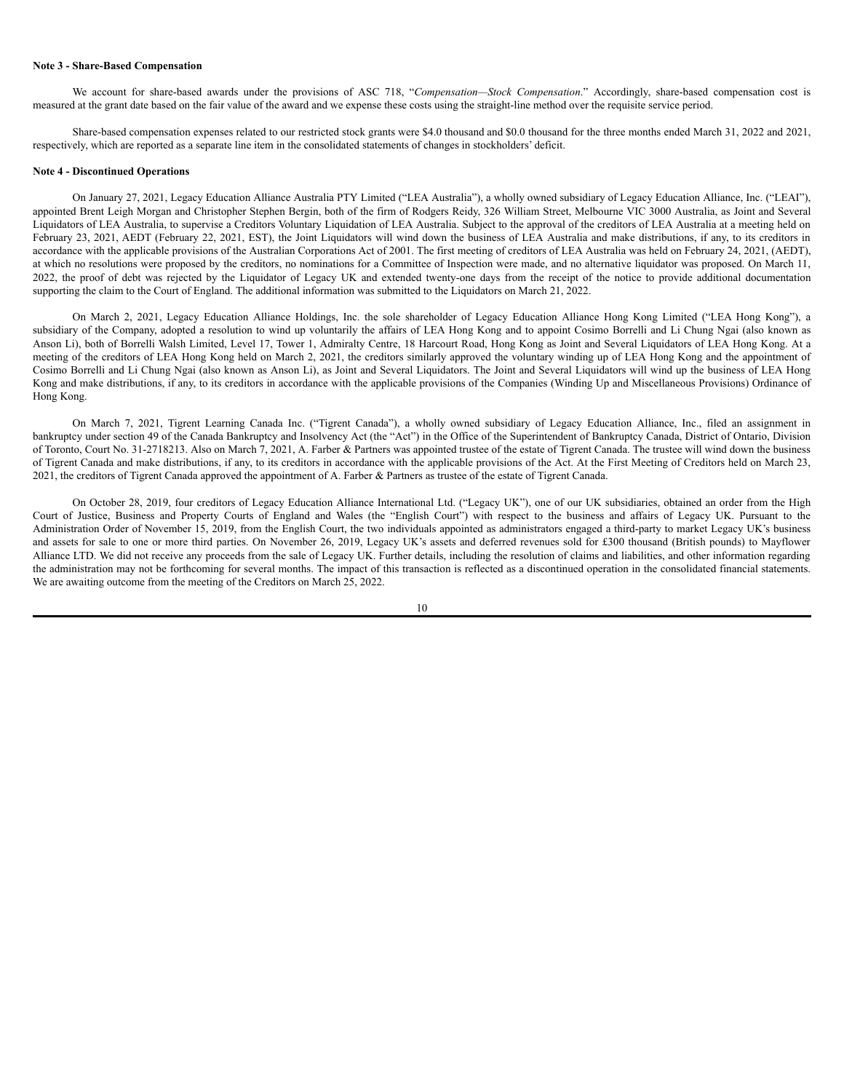### **Note 3 - Share-Based Compensation**

We account for share-based awards under the provisions of ASC 718, "*Compensation—Stock Compensation*." Accordingly, share-based compensation cost is measured at the grant date based on the fair value of the award and we expense these costs using the straight-line method over the requisite service period.

Share-based compensation expenses related to our restricted stock grants were \$4.0 thousand and \$0.0 thousand for the three months ended March 31, 2022 and 2021, respectively, which are reported as a separate line item in the consolidated statements of changes in stockholders' deficit.

#### **Note 4 - Discontinued Operations**

On January 27, 2021, Legacy Education Alliance Australia PTY Limited ("LEA Australia"), a wholly owned subsidiary of Legacy Education Alliance, Inc. ("LEAI"), appointed Brent Leigh Morgan and Christopher Stephen Bergin, both of the firm of Rodgers Reidy, 326 William Street, Melbourne VIC 3000 Australia, as Joint and Several Liquidators of LEA Australia, to supervise a Creditors Voluntary Liquidation of LEA Australia. Subject to the approval of the creditors of LEA Australia at a meeting held on February 23, 2021, AEDT (February 22, 2021, EST), the Joint Liquidators will wind down the business of LEA Australia and make distributions, if any, to its creditors in accordance with the applicable provisions of the Australian Corporations Act of 2001. The first meeting of creditors of LEA Australia was held on February 24, 2021, (AEDT), at which no resolutions were proposed by the creditors, no nominations for a Committee of Inspection were made, and no alternative liquidator was proposed. On March 11, 2022, the proof of debt was rejected by the Liquidator of Legacy UK and extended twenty-one days from the receipt of the notice to provide additional documentation supporting the claim to the Court of England. The additional information was submitted to the Liquidators on March 21, 2022.

On March 2, 2021, Legacy Education Alliance Holdings, Inc. the sole shareholder of Legacy Education Alliance Hong Kong Limited ("LEA Hong Kong"), a subsidiary of the Company, adopted a resolution to wind up voluntarily the affairs of LEA Hong Kong and to appoint Cosimo Borrelli and Li Chung Ngai (also known as Anson Li), both of Borrelli Walsh Limited, Level 17, Tower 1, Admiralty Centre, 18 Harcourt Road, Hong Kong as Joint and Several Liquidators of LEA Hong Kong. At a meeting of the creditors of LEA Hong Kong held on March 2, 2021, the creditors similarly approved the voluntary winding up of LEA Hong Kong and the appointment of Cosimo Borrelli and Li Chung Ngai (also known as Anson Li), as Joint and Several Liquidators. The Joint and Several Liquidators will wind up the business of LEA Hong Kong and make distributions, if any, to its creditors in accordance with the applicable provisions of the Companies (Winding Up and Miscellaneous Provisions) Ordinance of Hong Kong.

On March 7, 2021, Tigrent Learning Canada Inc. ("Tigrent Canada"), a wholly owned subsidiary of Legacy Education Alliance, Inc., filed an assignment in bankruptcy under section 49 of the Canada Bankruptcy and Insolvency Act (the "Act") in the Office of the Superintendent of Bankruptcy Canada, District of Ontario, Division of Toronto, Court No. 31-2718213. Also on March 7, 2021, A. Farber & Partners was appointed trustee of the estate of Tigrent Canada. The trustee will wind down the business of Tigrent Canada and make distributions, if any, to its creditors in accordance with the applicable provisions of the Act. At the First Meeting of Creditors held on March 23, 2021, the creditors of Tigrent Canada approved the appointment of A. Farber & Partners as trustee of the estate of Tigrent Canada.

On October 28, 2019, four creditors of Legacy Education Alliance International Ltd. ("Legacy UK"), one of our UK subsidiaries, obtained an order from the High Court of Justice, Business and Property Courts of England and Wales (the "English Court") with respect to the business and affairs of Legacy UK. Pursuant to the Administration Order of November 15, 2019, from the English Court, the two individuals appointed as administrators engaged a third-party to market Legacy UK's business and assets for sale to one or more third parties. On November 26, 2019, Legacy UK's assets and deferred revenues sold for £300 thousand (British pounds) to Mayflower Alliance LTD. We did not receive any proceeds from the sale of Legacy UK. Further details, including the resolution of claims and liabilities, and other information regarding the administration may not be forthcoming for several months. The impact of this transaction is reflected as a discontinued operation in the consolidated financial statements. We are awaiting outcome from the meeting of the Creditors on March 25, 2022.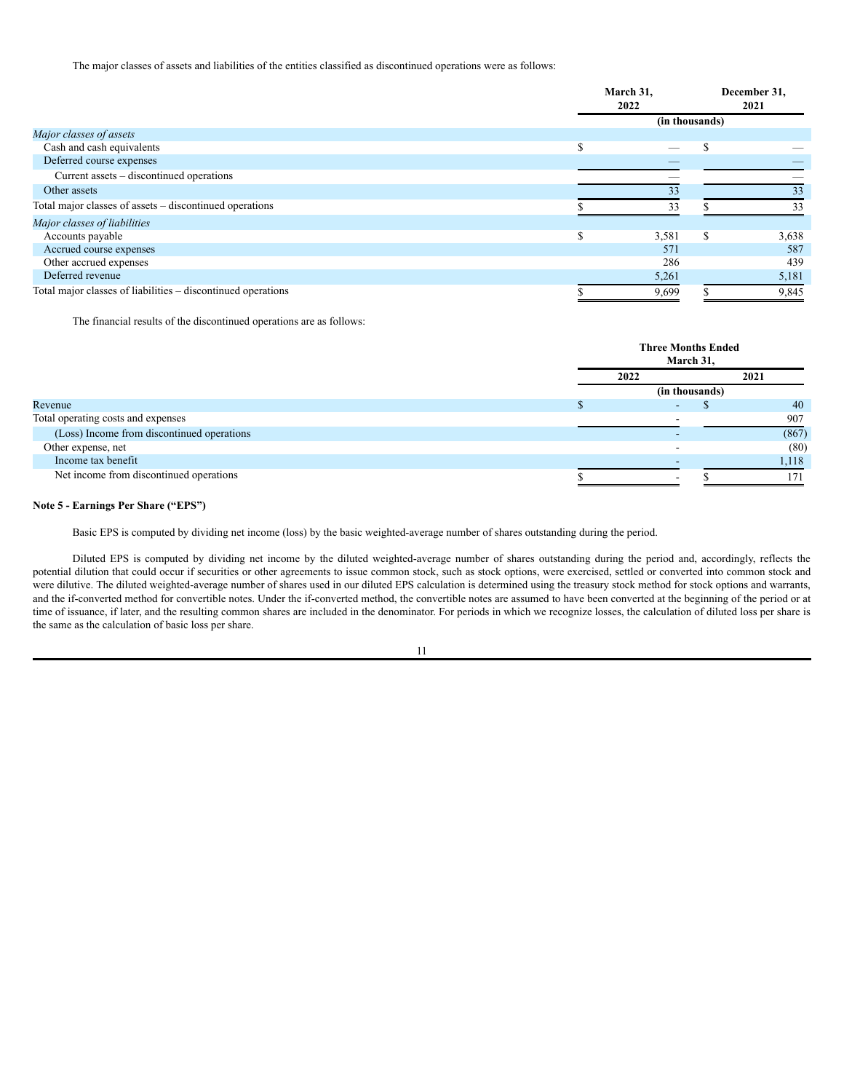The major classes of assets and liabilities of the entities classified as discontinued operations were as follows:

|                                                              | March 31,<br>2022 |                | December 31,<br>2021 |
|--------------------------------------------------------------|-------------------|----------------|----------------------|
|                                                              |                   | (in thousands) |                      |
| Major classes of assets                                      |                   |                |                      |
| Cash and cash equivalents                                    |                   |                |                      |
| Deferred course expenses                                     |                   |                |                      |
| Current assets – discontinued operations                     |                   |                |                      |
| Other assets                                                 | 33                |                | 33                   |
| Total major classes of assets – discontinued operations      | 33                |                | 33                   |
| Major classes of liabilities                                 |                   |                |                      |
| Accounts payable                                             | 3,581             | \$.            | 3,638                |
| Accrued course expenses                                      | 571               |                | 587                  |
| Other accrued expenses                                       | 286               |                | 439                  |
| Deferred revenue                                             | 5,261             |                | 5,181                |
| Total major classes of liabilities – discontinued operations | 9,699             |                | 9,845                |

The financial results of the discontinued operations are as follows:

|                                            |      | <b>Three Months Ended</b><br>March 31, |       |  |  |
|--------------------------------------------|------|----------------------------------------|-------|--|--|
|                                            | 2022 | 2021                                   |       |  |  |
|                                            |      | (in thousands)                         |       |  |  |
| Revenue                                    |      |                                        | 40    |  |  |
| Total operating costs and expenses         |      |                                        | 907   |  |  |
| (Loss) Income from discontinued operations |      |                                        | (867) |  |  |
| Other expense, net                         |      |                                        | (80)  |  |  |
| Income tax benefit                         |      |                                        | 1,118 |  |  |
| Net income from discontinued operations    |      |                                        | 71    |  |  |

### **Note 5 - Earnings Per Share ("EPS")**

Basic EPS is computed by dividing net income (loss) by the basic weighted-average number of shares outstanding during the period.

Diluted EPS is computed by dividing net income by the diluted weighted-average number of shares outstanding during the period and, accordingly, reflects the potential dilution that could occur if securities or other agreements to issue common stock, such as stock options, were exercised, settled or converted into common stock and were dilutive. The diluted weighted-average number of shares used in our diluted EPS calculation is determined using the treasury stock method for stock options and warrants, and the if-converted method for convertible notes. Under the if-converted method, the convertible notes are assumed to have been converted at the beginning of the period or at time of issuance, if later, and the resulting common shares are included in the denominator. For periods in which we recognize losses, the calculation of diluted loss per share is the same as the calculation of basic loss per share.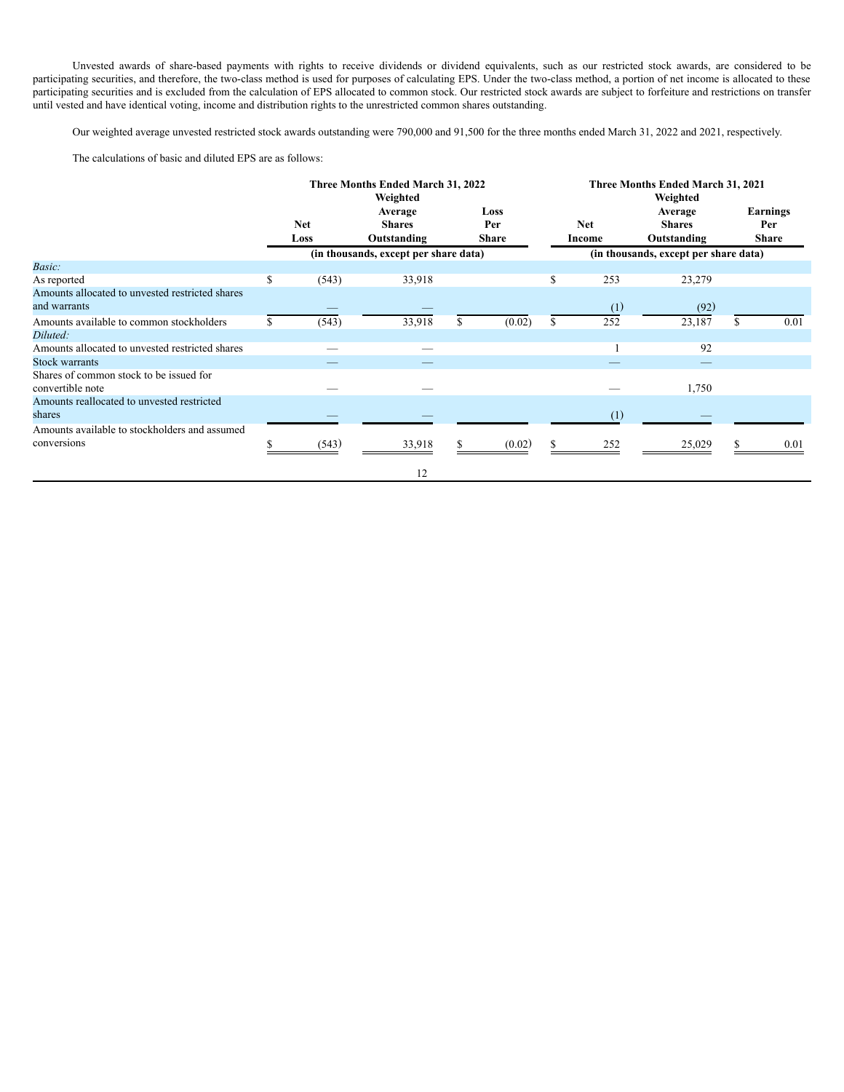Unvested awards of share-based payments with rights to receive dividends or dividend equivalents, such as our restricted stock awards, are considered to be participating securities, and therefore, the two-class method is used for purposes of calculating EPS. Under the two-class method, a portion of net income is allocated to these participating securities and is excluded from the calculation of EPS allocated to common stock. Our restricted stock awards are subject to forfeiture and restrictions on transfer until vested and have identical voting, income and distribution rights to the unrestricted common shares outstanding.

Our weighted average unvested restricted stock awards outstanding were 790,000 and 91,500 for the three months ended March 31, 2022 and 2021, respectively.

The calculations of basic and diluted EPS are as follows:

|                                                                 |            |       | Three Months Ended March 31, 2022<br>Weighted |              |             | Three Months Ended March 31, 2021<br>Weighted |     |                                       |  |                 |  |
|-----------------------------------------------------------------|------------|-------|-----------------------------------------------|--------------|-------------|-----------------------------------------------|-----|---------------------------------------|--|-----------------|--|
|                                                                 | <b>Net</b> |       | Average<br><b>Shares</b>                      |              | Loss<br>Per | <b>Net</b>                                    |     | Average<br><b>Shares</b>              |  | Earnings<br>Per |  |
|                                                                 |            | Loss  | Outstanding                                   | <b>Share</b> |             | Income                                        |     | Outstanding                           |  | <b>Share</b>    |  |
|                                                                 |            |       | (in thousands, except per share data)         |              |             |                                               |     | (in thousands, except per share data) |  |                 |  |
| Basic:                                                          |            |       |                                               |              |             |                                               |     |                                       |  |                 |  |
| As reported                                                     | \$         | (543) | 33,918                                        |              |             | \$                                            | 253 | 23,279                                |  |                 |  |
| Amounts allocated to unvested restricted shares<br>and warrants |            |       |                                               |              |             |                                               | (1) | (92)                                  |  |                 |  |
| Amounts available to common stockholders                        |            | (543) | 33,918                                        |              | (0.02)      |                                               | 252 | 23,187                                |  | 0.01            |  |
| Diluted:                                                        |            |       |                                               |              |             |                                               |     |                                       |  |                 |  |
| Amounts allocated to unvested restricted shares                 |            |       |                                               |              |             |                                               |     | 92                                    |  |                 |  |
| <b>Stock warrants</b>                                           |            |       |                                               |              |             |                                               |     |                                       |  |                 |  |
| Shares of common stock to be issued for<br>convertible note     |            |       |                                               |              |             |                                               |     | 1,750                                 |  |                 |  |
| Amounts reallocated to unvested restricted<br>shares            |            |       |                                               |              |             |                                               | (1) |                                       |  |                 |  |
| Amounts available to stockholders and assumed                   |            |       |                                               |              |             |                                               |     |                                       |  |                 |  |
| conversions                                                     |            | (543) | 33,918                                        |              | (0.02)      |                                               | 252 | 25,029                                |  | 0.01            |  |
|                                                                 |            |       | 12                                            |              |             |                                               |     |                                       |  |                 |  |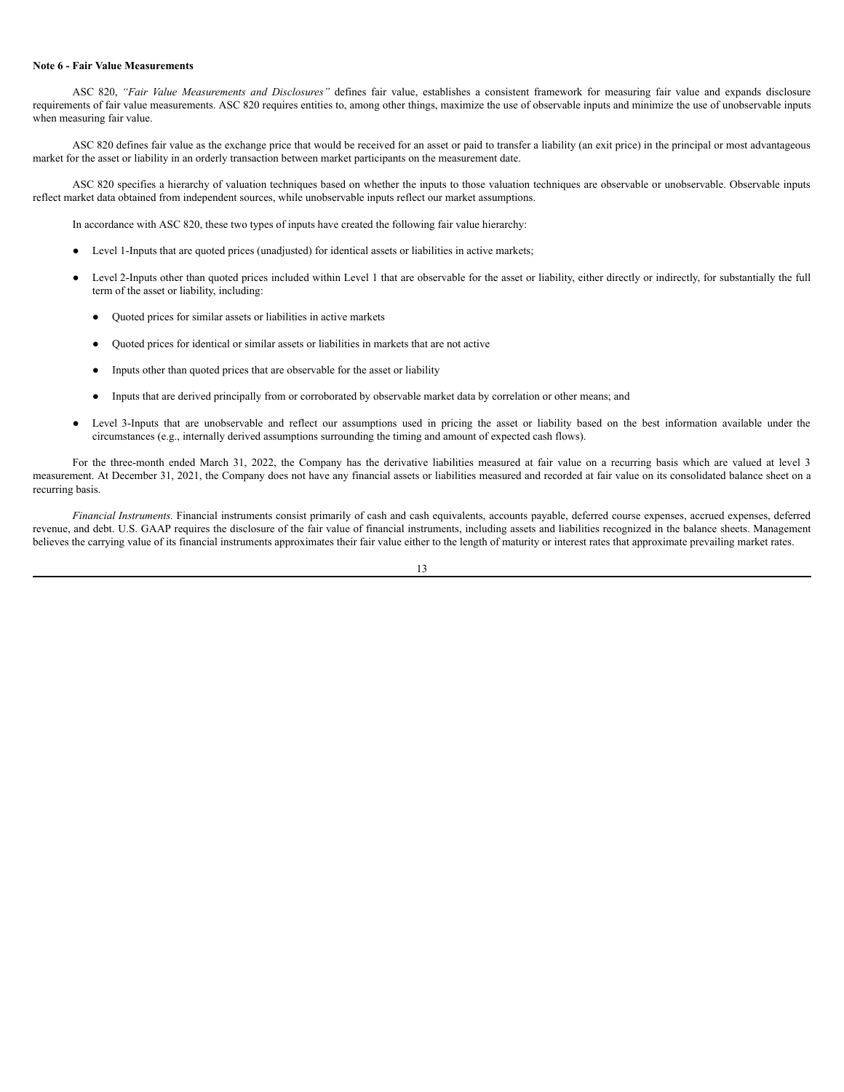### **Note 6 - Fair Value Measurements**

ASC 820, *"Fair Value Measurements and Disclosures"* defines fair value, establishes a consistent framework for measuring fair value and expands disclosure requirements of fair value measurements. ASC 820 requires entities to, among other things, maximize the use of observable inputs and minimize the use of unobservable inputs when measuring fair value.

ASC 820 defines fair value as the exchange price that would be received for an asset or paid to transfer a liability (an exit price) in the principal or most advantageous market for the asset or liability in an orderly transaction between market participants on the measurement date.

ASC 820 specifies a hierarchy of valuation techniques based on whether the inputs to those valuation techniques are observable or unobservable. Observable inputs reflect market data obtained from independent sources, while unobservable inputs reflect our market assumptions.

In accordance with ASC 820, these two types of inputs have created the following fair value hierarchy:

- Level 1-Inputs that are quoted prices (unadjusted) for identical assets or liabilities in active markets;
- Level 2-Inputs other than quoted prices included within Level 1 that are observable for the asset or liability, either directly or indirectly, for substantially the full term of the asset or liability, including:
	- Quoted prices for similar assets or liabilities in active markets
	- Quoted prices for identical or similar assets or liabilities in markets that are not active
	- Inputs other than quoted prices that are observable for the asset or liability
	- Inputs that are derived principally from or corroborated by observable market data by correlation or other means; and
- Level 3-Inputs that are unobservable and reflect our assumptions used in pricing the asset or liability based on the best information available under the circumstances (e.g., internally derived assumptions surrounding the timing and amount of expected cash flows).

For the three-month ended March 31, 2022, the Company has the derivative liabilities measured at fair value on a recurring basis which are valued at level 3 measurement. At December 31, 2021, the Company does not have any financial assets or liabilities measured and recorded at fair value on its consolidated balance sheet on a recurring basis.

*Financial Instruments.* Financial instruments consist primarily of cash and cash equivalents, accounts payable, deferred course expenses, accrued expenses, deferred revenue, and debt. U.S. GAAP requires the disclosure of the fair value of financial instruments, including assets and liabilities recognized in the balance sheets. Management believes the carrying value of its financial instruments approximates their fair value either to the length of maturity or interest rates that approximate prevailing market rates.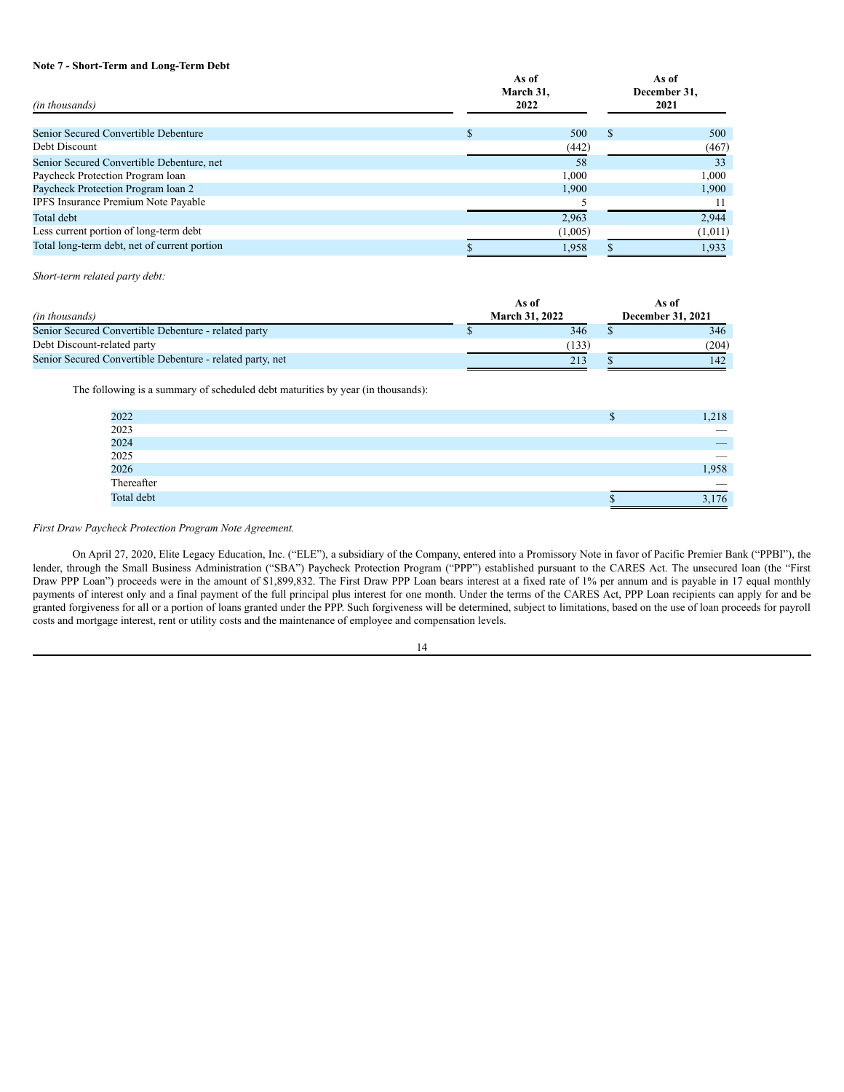### **Note 7 - Short-Term and Long-Term Debt**

| (in thousands)                               |  | As of<br>March 31,<br>2022 | As of<br>December 31,<br>2021 |         |  |
|----------------------------------------------|--|----------------------------|-------------------------------|---------|--|
| Senior Secured Convertible Debenture         |  | 500                        | \$.                           | 500     |  |
| Debt Discount                                |  | (442)                      |                               | (467)   |  |
| Senior Secured Convertible Debenture, net    |  | 58                         |                               | 33      |  |
| Paycheck Protection Program loan             |  | 1.000                      |                               | 1,000   |  |
| Paycheck Protection Program loan 2           |  | 1,900                      |                               | 1,900   |  |
| <b>IPFS</b> Insurance Premium Note Payable   |  |                            |                               | 11      |  |
| Total debt                                   |  | 2,963                      |                               | 2,944   |  |
| Less current portion of long-term debt       |  | (1,005)                    |                               | (1,011) |  |
| Total long-term debt, net of current portion |  | 1.958                      |                               | 1,933   |  |

*Short-term related party debt:*

|                                                           |  | As of                 | As of                    |
|-----------------------------------------------------------|--|-----------------------|--------------------------|
| (in thousands)                                            |  | <b>March 31, 2022</b> | <b>December 31, 2021</b> |
| Senior Secured Convertible Debenture - related party      |  | 346                   | 346                      |
| Debt Discount-related party                               |  | (133)                 | (204)                    |
| Senior Secured Convertible Debenture - related party, net |  | 213                   | 142                      |

The following is a summary of scheduled debt maturities by year (in thousands):

| 2022<br>2023<br>2024<br>2025<br>2026 | Ф | 1,218                    |
|--------------------------------------|---|--------------------------|
|                                      |   | $\overline{\phantom{a}}$ |
|                                      |   |                          |
|                                      |   |                          |
|                                      |   | 1,958                    |
| Thereafter                           |   | $\overline{\phantom{a}}$ |
| Total debt                           |   | 3,176                    |

### *First Draw Paycheck Protection Program Note Agreement.*

On April 27, 2020, Elite Legacy Education, Inc. ("ELE"), a subsidiary of the Company, entered into a Promissory Note in favor of Pacific Premier Bank ("PPBI"), the lender, through the Small Business Administration ("SBA") Paycheck Protection Program ("PPP") established pursuant to the CARES Act. The unsecured loan (the "First Draw PPP Loan") proceeds were in the amount of \$1,899,832. The First Draw PPP Loan bears interest at a fixed rate of 1% per annum and is payable in 17 equal monthly payments of interest only and a final payment of the full principal plus interest for one month. Under the terms of the CARES Act, PPP Loan recipients can apply for and be granted forgiveness for all or a portion of loans granted under the PPP. Such forgiveness will be determined, subject to limitations, based on the use of loan proceeds for payroll costs and mortgage interest, rent or utility costs and the maintenance of employee and compensation levels.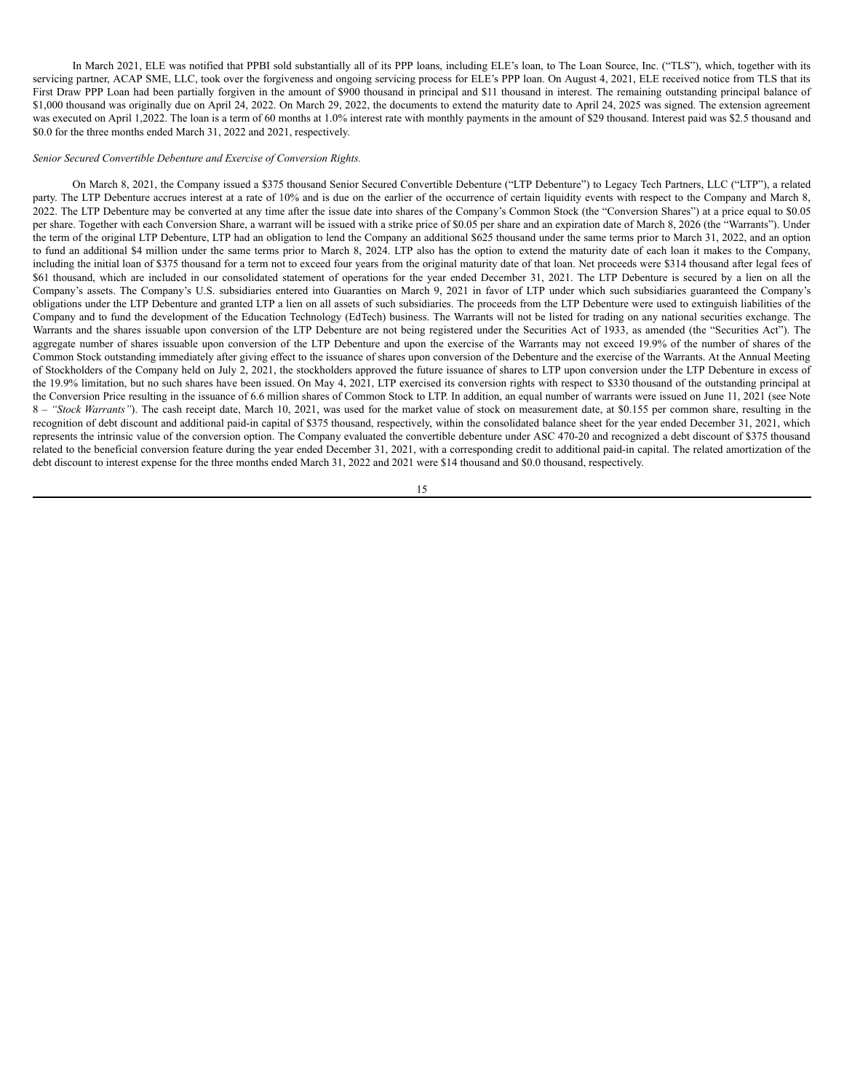In March 2021, ELE was notified that PPBI sold substantially all of its PPP loans, including ELE's loan, to The Loan Source, Inc. ("TLS"), which, together with its servicing partner, ACAP SME, LLC, took over the forgiveness and ongoing servicing process for ELE's PPP loan. On August 4, 2021, ELE received notice from TLS that its First Draw PPP Loan had been partially forgiven in the amount of \$900 thousand in principal and \$11 thousand in interest. The remaining outstanding principal balance of \$1,000 thousand was originally due on April 24, 2022. On March 29, 2022, the documents to extend the maturity date to April 24, 2025 was signed. The extension agreement was executed on April 1,2022. The loan is a term of 60 months at 1.0% interest rate with monthly payments in the amount of \$29 thousand. Interest paid was \$2.5 thousand and \$0.0 for the three months ended March 31, 2022 and 2021, respectively.

#### *Senior Secured Convertible Debenture and Exercise of Conversion Rights.*

On March 8, 2021, the Company issued a \$375 thousand Senior Secured Convertible Debenture ("LTP Debenture") to Legacy Tech Partners, LLC ("LTP"), a related party. The LTP Debenture accrues interest at a rate of 10% and is due on the earlier of the occurrence of certain liquidity events with respect to the Company and March 8, 2022. The LTP Debenture may be converted at any time after the issue date into shares of the Company's Common Stock (the "Conversion Shares") at a price equal to \$0.05 per share. Together with each Conversion Share, a warrant will be issued with a strike price of \$0.05 per share and an expiration date of March 8, 2026 (the "Warrants"). Under the term of the original LTP Debenture, LTP had an obligation to lend the Company an additional \$625 thousand under the same terms prior to March 31, 2022, and an option to fund an additional \$4 million under the same terms prior to March 8, 2024. LTP also has the option to extend the maturity date of each loan it makes to the Company, including the initial loan of \$375 thousand for a term not to exceed four years from the original maturity date of that loan. Net proceeds were \$314 thousand after legal fees of \$61 thousand, which are included in our consolidated statement of operations for the year ended December 31, 2021. The LTP Debenture is secured by a lien on all the Company's assets. The Company's U.S. subsidiaries entered into Guaranties on March 9, 2021 in favor of LTP under which such subsidiaries guaranteed the Company's obligations under the LTP Debenture and granted LTP a lien on all assets of such subsidiaries. The proceeds from the LTP Debenture were used to extinguish liabilities of the Company and to fund the development of the Education Technology (EdTech) business. The Warrants will not be listed for trading on any national securities exchange. The Warrants and the shares issuable upon conversion of the LTP Debenture are not being registered under the Securities Act of 1933, as amended (the "Securities Act"). The aggregate number of shares issuable upon conversion of the LTP Debenture and upon the exercise of the Warrants may not exceed 19.9% of the number of shares of the Common Stock outstanding immediately after giving effect to the issuance of shares upon conversion of the Debenture and the exercise of the Warrants. At the Annual Meeting of Stockholders of the Company held on July 2, 2021, the stockholders approved the future issuance of shares to LTP upon conversion under the LTP Debenture in excess of the 19.9% limitation, but no such shares have been issued. On May 4, 2021, LTP exercised its conversion rights with respect to \$330 thousand of the outstanding principal at the Conversion Price resulting in the issuance of 6.6 million shares of Common Stock to LTP. In addition, an equal number of warrants were issued on June 11, 2021 (see Note 8 - "Stock Warrants"). The cash receipt date, March 10, 2021, was used for the market value of stock on measurement date, at \$0.155 per common share, resulting in the recognition of debt discount and additional paid-in capital of \$375 thousand, respectively, within the consolidated balance sheet for the year ended December 31, 2021, which represents the intrinsic value of the conversion option. The Company evaluated the convertible debenture under ASC 470-20 and recognized a debt discount of \$375 thousand related to the beneficial conversion feature during the year ended December 31, 2021, with a corresponding credit to additional paid-in capital. The related amortization of the debt discount to interest expense for the three months ended March 31, 2022 and 2021 were \$14 thousand and \$0.0 thousand, respectively.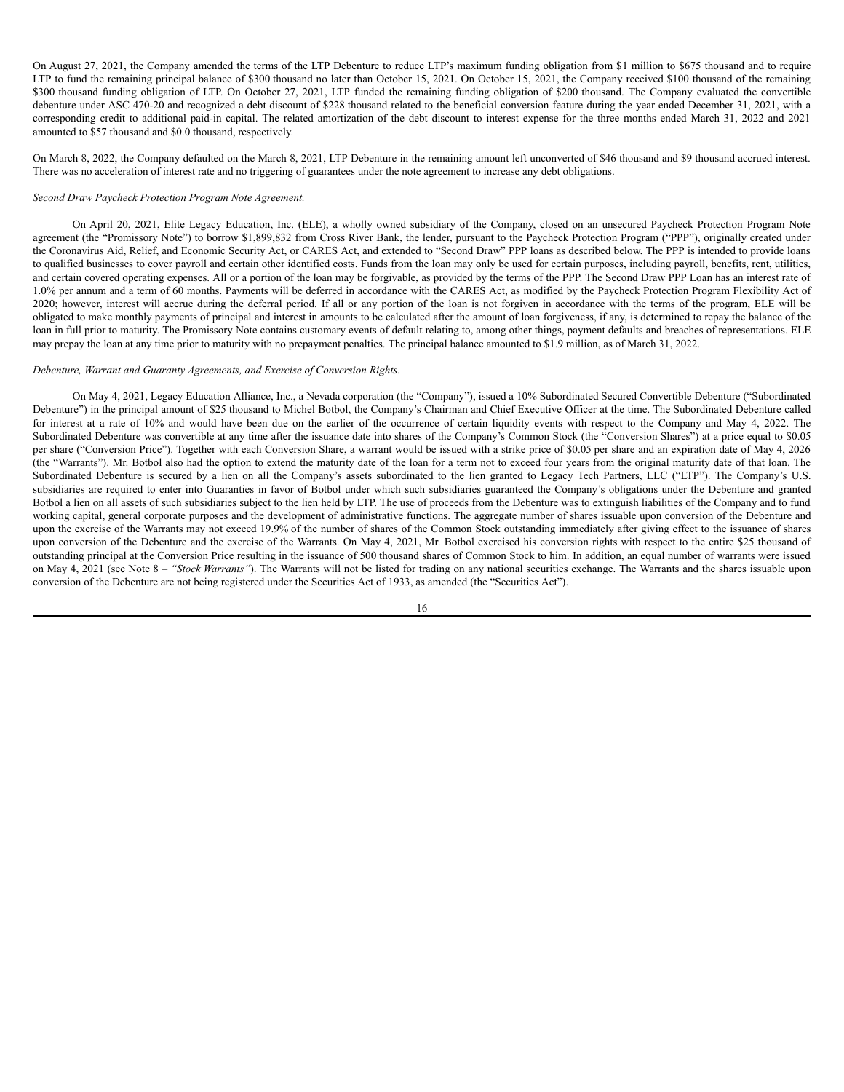On August 27, 2021, the Company amended the terms of the LTP Debenture to reduce LTP's maximum funding obligation from \$1 million to \$675 thousand and to require LTP to fund the remaining principal balance of \$300 thousand no later than October 15, 2021. On October 15, 2021, the Company received \$100 thousand of the remaining \$300 thousand funding obligation of LTP. On October 27, 2021, LTP funded the remaining funding obligation of \$200 thousand. The Company evaluated the convertible debenture under ASC 470-20 and recognized a debt discount of \$228 thousand related to the beneficial conversion feature during the year ended December 31, 2021, with a corresponding credit to additional paid-in capital. The related amortization of the debt discount to interest expense for the three months ended March 31, 2022 and 2021 amounted to \$57 thousand and \$0.0 thousand, respectively.

On March 8, 2022, the Company defaulted on the March 8, 2021, LTP Debenture in the remaining amount left unconverted of \$46 thousand and \$9 thousand accrued interest. There was no acceleration of interest rate and no triggering of guarantees under the note agreement to increase any debt obligations.

# *Second Draw Paycheck Protection Program Note Agreement.*

On April 20, 2021, Elite Legacy Education, Inc. (ELE), a wholly owned subsidiary of the Company, closed on an unsecured Paycheck Protection Program Note agreement (the "Promissory Note") to borrow \$1,899,832 from Cross River Bank, the lender, pursuant to the Paycheck Protection Program ("PPP"), originally created under the Coronavirus Aid, Relief, and Economic Security Act, or CARES Act, and extended to "Second Draw" PPP loans as described below. The PPP is intended to provide loans to qualified businesses to cover payroll and certain other identified costs. Funds from the loan may only be used for certain purposes, including payroll, benefits, rent, utilities, and certain covered operating expenses. All or a portion of the loan may be forgivable, as provided by the terms of the PPP. The Second Draw PPP Loan has an interest rate of 1.0% per annum and a term of 60 months. Payments will be deferred in accordance with the CARES Act, as modified by the Paycheck Protection Program Flexibility Act of 2020; however, interest will accrue during the deferral period. If all or any portion of the loan is not forgiven in accordance with the terms of the program, ELE will be obligated to make monthly payments of principal and interest in amounts to be calculated after the amount of loan forgiveness, if any, is determined to repay the balance of the loan in full prior to maturity. The Promissory Note contains customary events of default relating to, among other things, payment defaults and breaches of representations. ELE may prepay the loan at any time prior to maturity with no prepayment penalties. The principal balance amounted to \$1.9 million, as of March 31, 2022.

# *Debenture, Warrant and Guaranty Agreements, and Exercise of Conversion Rights.*

On May 4, 2021, Legacy Education Alliance, Inc., a Nevada corporation (the "Company"), issued a 10% Subordinated Secured Convertible Debenture ("Subordinated Debenture") in the principal amount of \$25 thousand to Michel Botbol, the Company's Chairman and Chief Executive Officer at the time. The Subordinated Debenture called for interest at a rate of 10% and would have been due on the earlier of the occurrence of certain liquidity events with respect to the Company and May 4, 2022. The Subordinated Debenture was convertible at any time after the issuance date into shares of the Company's Common Stock (the "Conversion Shares") at a price equal to \$0.05 per share ("Conversion Price"). Together with each Conversion Share, a warrant would be issued with a strike price of \$0.05 per share and an expiration date of May 4, 2026 (the "Warrants"). Mr. Botbol also had the option to extend the maturity date of the loan for a term not to exceed four years from the original maturity date of that loan. The Subordinated Debenture is secured by a lien on all the Company's assets subordinated to the lien granted to Legacy Tech Partners, LLC ("LTP"). The Company's U.S. subsidiaries are required to enter into Guaranties in favor of Botbol under which such subsidiaries guaranteed the Company's obligations under the Debenture and granted Botbol a lien on all assets of such subsidiaries subject to the lien held by LTP. The use of proceeds from the Debenture was to extinguish liabilities of the Company and to fund working capital, general corporate purposes and the development of administrative functions. The aggregate number of shares issuable upon conversion of the Debenture and upon the exercise of the Warrants may not exceed 19.9% of the number of shares of the Common Stock outstanding immediately after giving effect to the issuance of shares upon conversion of the Debenture and the exercise of the Warrants. On May 4, 2021, Mr. Botbol exercised his conversion rights with respect to the entire \$25 thousand of outstanding principal at the Conversion Price resulting in the issuance of 500 thousand shares of Common Stock to him. In addition, an equal number of warrants were issued on May 4, 2021 (see Note 8 – *"Stock Warrants"*). The Warrants will not be listed for trading on any national securities exchange. The Warrants and the shares issuable upon conversion of the Debenture are not being registered under the Securities Act of 1933, as amended (the "Securities Act").

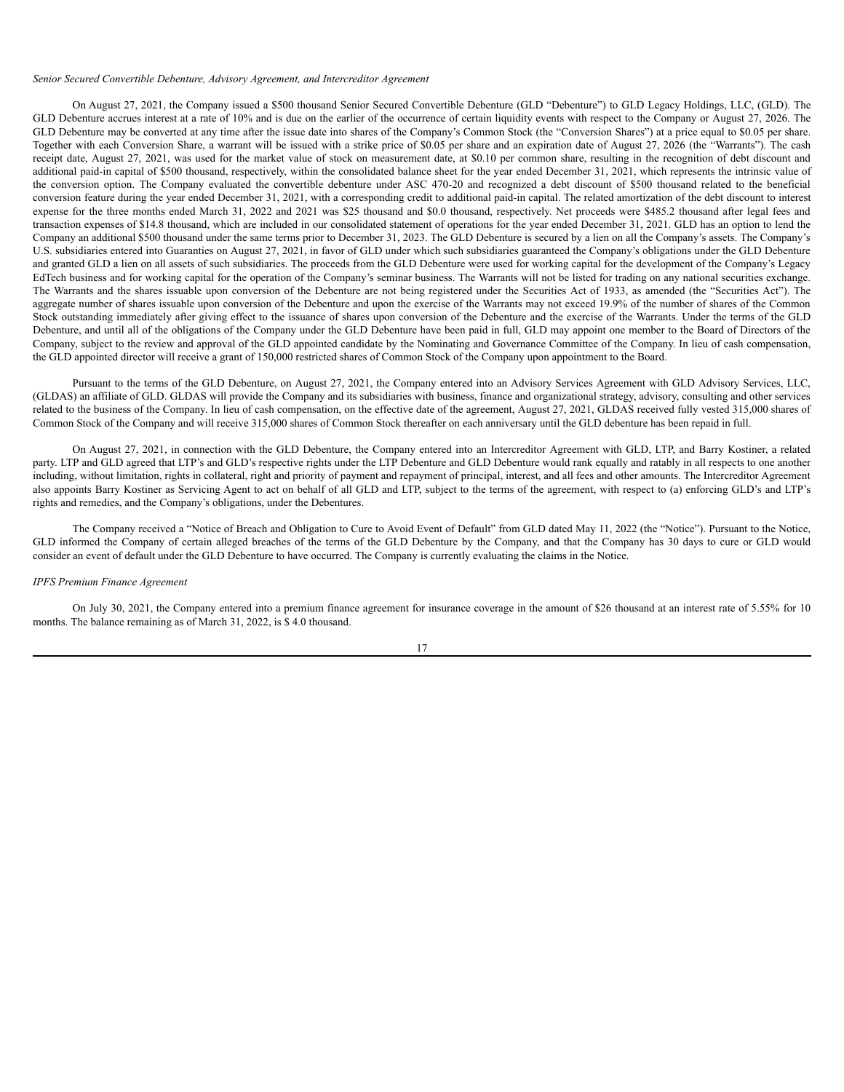#### *Senior Secured Convertible Debenture, Advisory Agreement, and Intercreditor Agreement*

On August 27, 2021, the Company issued a \$500 thousand Senior Secured Convertible Debenture (GLD "Debenture") to GLD Legacy Holdings, LLC, (GLD). The GLD Debenture accrues interest at a rate of 10% and is due on the earlier of the occurrence of certain liquidity events with respect to the Company or August 27, 2026. The GLD Debenture may be converted at any time after the issue date into shares of the Company's Common Stock (the "Conversion Shares") at a price equal to \$0.05 per share. Together with each Conversion Share, a warrant will be issued with a strike price of \$0.05 per share and an expiration date of August 27, 2026 (the "Warrants"). The cash receipt date, August 27, 2021, was used for the market value of stock on measurement date, at \$0.10 per common share, resulting in the recognition of debt discount and additional paid-in capital of \$500 thousand, respectively, within the consolidated balance sheet for the year ended December 31, 2021, which represents the intrinsic value of the conversion option. The Company evaluated the convertible debenture under ASC 470-20 and recognized a debt discount of \$500 thousand related to the beneficial conversion feature during the year ended December 31, 2021, with a corresponding credit to additional paid-in capital. The related amortization of the debt discount to interest expense for the three months ended March 31, 2022 and 2021 was \$25 thousand and \$0.0 thousand, respectively. Net proceeds were \$485.2 thousand after legal fees and transaction expenses of \$14.8 thousand, which are included in our consolidated statement of operations for the year ended December 31, 2021. GLD has an option to lend the Company an additional \$500 thousand under the same terms prior to December 31, 2023. The GLD Debenture is secured by a lien on all the Company's assets. The Company's U.S. subsidiaries entered into Guaranties on August 27, 2021, in favor of GLD under which such subsidiaries guaranteed the Company's obligations under the GLD Debenture and granted GLD a lien on all assets of such subsidiaries. The proceeds from the GLD Debenture were used for working capital for the development of the Company's Legacy EdTech business and for working capital for the operation of the Company's seminar business. The Warrants will not be listed for trading on any national securities exchange. The Warrants and the shares issuable upon conversion of the Debenture are not being registered under the Securities Act of 1933, as amended (the "Securities Act"). The aggregate number of shares issuable upon conversion of the Debenture and upon the exercise of the Warrants may not exceed 19.9% of the number of shares of the Common Stock outstanding immediately after giving effect to the issuance of shares upon conversion of the Debenture and the exercise of the Warrants. Under the terms of the GLD Debenture, and until all of the obligations of the Company under the GLD Debenture have been paid in full, GLD may appoint one member to the Board of Directors of the Company, subject to the review and approval of the GLD appointed candidate by the Nominating and Governance Committee of the Company. In lieu of cash compensation, the GLD appointed director will receive a grant of 150,000 restricted shares of Common Stock of the Company upon appointment to the Board.

Pursuant to the terms of the GLD Debenture, on August 27, 2021, the Company entered into an Advisory Services Agreement with GLD Advisory Services, LLC, (GLDAS) an affiliate of GLD. GLDAS will provide the Company and its subsidiaries with business, finance and organizational strategy, advisory, consulting and other services related to the business of the Company. In lieu of cash compensation, on the effective date of the agreement, August 27, 2021, GLDAS received fully vested 315,000 shares of Common Stock of the Company and will receive 315,000 shares of Common Stock thereafter on each anniversary until the GLD debenture has been repaid in full.

On August 27, 2021, in connection with the GLD Debenture, the Company entered into an Intercreditor Agreement with GLD, LTP, and Barry Kostiner, a related party. LTP and GLD agreed that LTP's and GLD's respective rights under the LTP Debenture and GLD Debenture would rank equally and ratably in all respects to one another including, without limitation, rights in collateral, right and priority of payment and repayment of principal, interest, and all fees and other amounts. The Intercreditor Agreement also appoints Barry Kostiner as Servicing Agent to act on behalf of all GLD and LTP, subject to the terms of the agreement, with respect to (a) enforcing GLD's and LTP's rights and remedies, and the Company's obligations, under the Debentures.

The Company received a "Notice of Breach and Obligation to Cure to Avoid Event of Default" from GLD dated May 11, 2022 (the "Notice"). Pursuant to the Notice, GLD informed the Company of certain alleged breaches of the terms of the GLD Debenture by the Company, and that the Company has 30 days to cure or GLD would consider an event of default under the GLD Debenture to have occurred. The Company is currently evaluating the claims in the Notice.

### *IPFS Premium Finance Agreement*

On July 30, 2021, the Company entered into a premium finance agreement for insurance coverage in the amount of \$26 thousand at an interest rate of 5.55% for 10 months. The balance remaining as of March 31, 2022, is \$ 4.0 thousand.

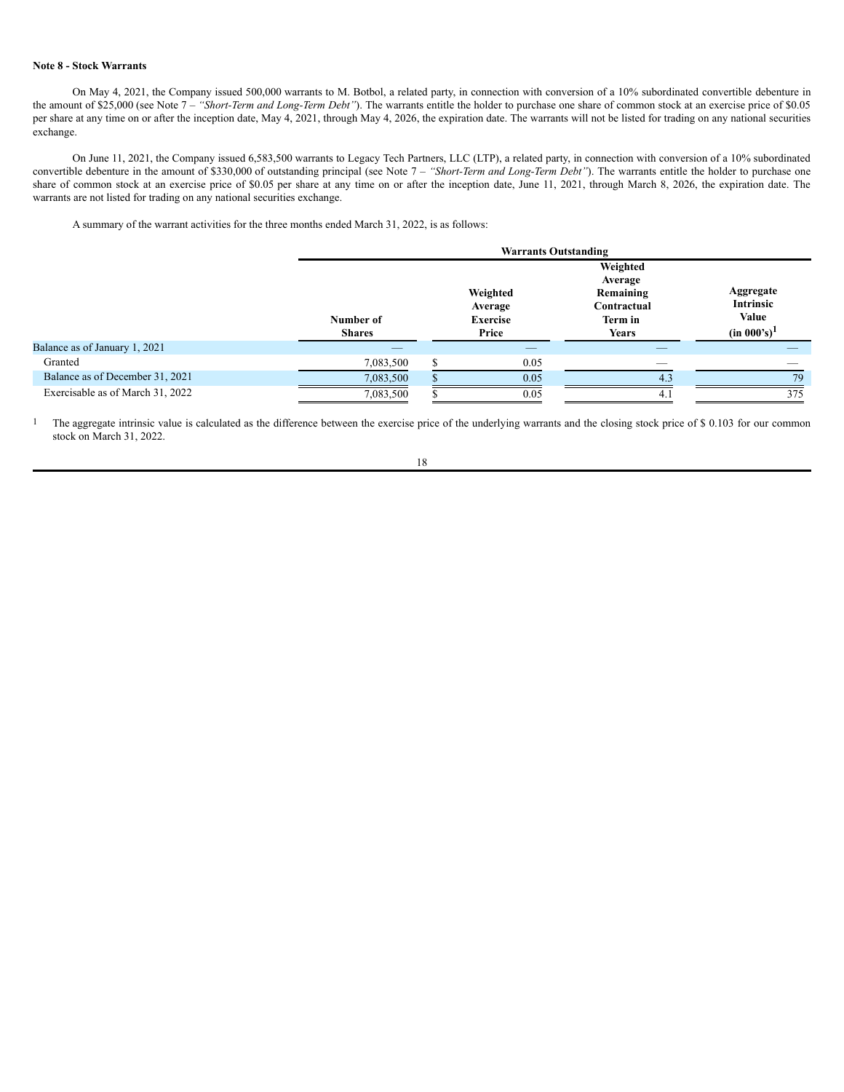### **Note 8 - Stock Warrants**

On May 4, 2021, the Company issued 500,000 warrants to M. Botbol, a related party, in connection with conversion of a 10% subordinated convertible debenture in the amount of \$25,000 (see Note 7 – *"Short-Term and Long-Term Debt"*). The warrants entitle the holder to purchase one share of common stock at an exercise price of \$0.05 per share at any time on or after the inception date, May 4, 2021, through May 4, 2026, the expiration date. The warrants will not be listed for trading on any national securities exchange.

On June 11, 2021, the Company issued 6,583,500 warrants to Legacy Tech Partners, LLC (LTP), a related party, in connection with conversion of a 10% subordinated convertible debenture in the amount of \$330,000 of outstanding principal (see Note 7 – *"Short-Term and Long-Term Debt"*). The warrants entitle the holder to purchase one share of common stock at an exercise price of \$0.05 per share at any time on or after the inception date, June 11, 2021, through March 8, 2026, the expiration date. The warrants are not listed for trading on any national securities exchange.

A summary of the warrant activities for the three months ended March 31, 2022, is as follows:

|                                  |                            | <b>Warrants Outstanding</b> |                                          |                                                                     |                                                   |  |  |  |  |  |
|----------------------------------|----------------------------|-----------------------------|------------------------------------------|---------------------------------------------------------------------|---------------------------------------------------|--|--|--|--|--|
|                                  | Number of<br><b>Shares</b> |                             | Weighted<br>Average<br>Exercise<br>Price | Weighted<br>Average<br>Remaining<br>Contractual<br>Term in<br>Years | Aggregate<br>Intrinsic<br>Value<br>$(in 000's)^1$ |  |  |  |  |  |
| Balance as of January 1, 2021    |                            |                             | _                                        |                                                                     |                                                   |  |  |  |  |  |
| Granted                          | 7,083,500                  |                             | 0.05                                     |                                                                     |                                                   |  |  |  |  |  |
| Balance as of December 31, 2021  | 7,083,500                  |                             | 0.05                                     | $4^3$                                                               | 79                                                |  |  |  |  |  |
| Exercisable as of March 31, 2022 | 7,083,500                  |                             | 0.05                                     | 4.                                                                  | 375                                               |  |  |  |  |  |

<sup>1</sup> The aggregate intrinsic value is calculated as the difference between the exercise price of the underlying warrants and the closing stock price of \$ 0.103 for our common stock on March 31, 2022.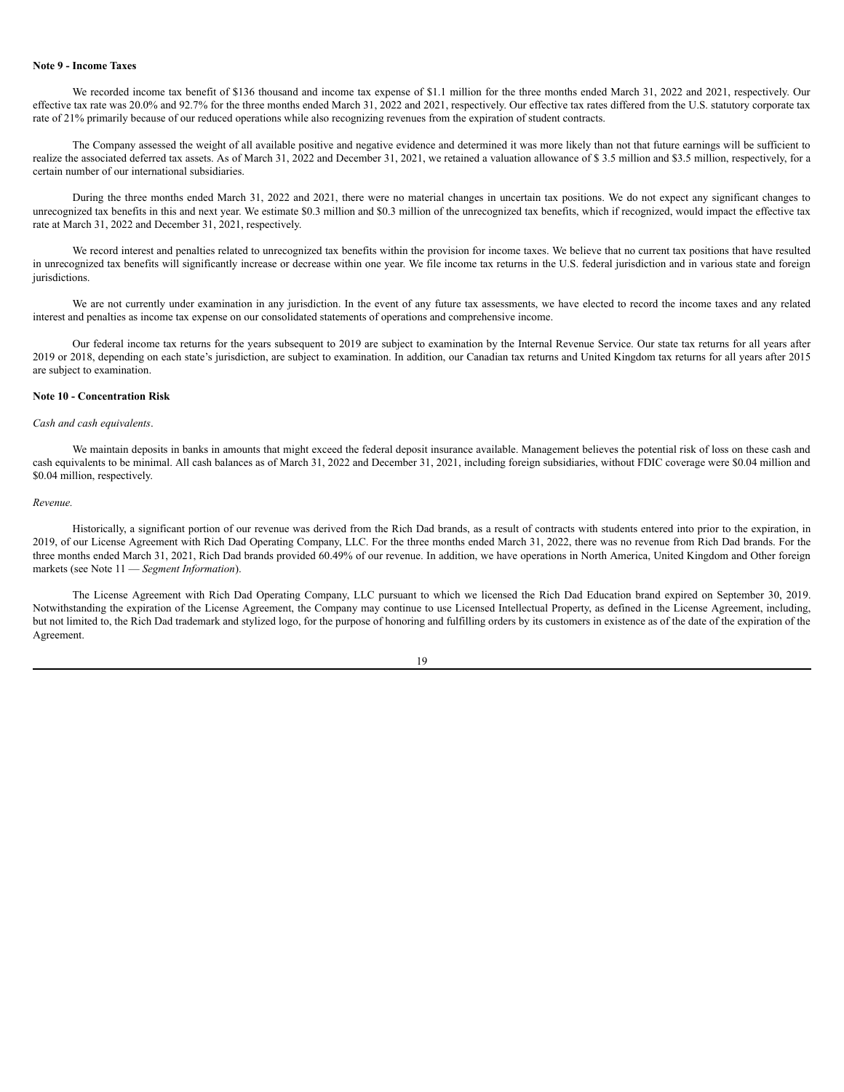### **Note 9 - Income Taxes**

We recorded income tax benefit of \$136 thousand and income tax expense of \$1.1 million for the three months ended March 31, 2022 and 2021, respectively. Our effective tax rate was 20.0% and 92.7% for the three months ended March 31, 2022 and 2021, respectively. Our effective tax rates differed from the U.S. statutory corporate tax rate of 21% primarily because of our reduced operations while also recognizing revenues from the expiration of student contracts.

The Company assessed the weight of all available positive and negative evidence and determined it was more likely than not that future earnings will be sufficient to realize the associated deferred tax assets. As of March 31, 2022 and December 31, 2021, we retained a valuation allowance of \$ 3.5 million and \$3.5 million, respectively, for a certain number of our international subsidiaries.

During the three months ended March 31, 2022 and 2021, there were no material changes in uncertain tax positions. We do not expect any significant changes to unrecognized tax benefits in this and next year. We estimate \$0.3 million and \$0.3 million of the unrecognized tax benefits, which if recognized, would impact the effective tax rate at March 31, 2022 and December 31, 2021, respectively.

We record interest and penalties related to unrecognized tax benefits within the provision for income taxes. We believe that no current tax positions that have resulted in unrecognized tax benefits will significantly increase or decrease within one year. We file income tax returns in the U.S. federal jurisdiction and in various state and foreign jurisdictions.

We are not currently under examination in any jurisdiction. In the event of any future tax assessments, we have elected to record the income taxes and any related interest and penalties as income tax expense on our consolidated statements of operations and comprehensive income.

Our federal income tax returns for the years subsequent to 2019 are subject to examination by the Internal Revenue Service. Our state tax returns for all years after 2019 or 2018, depending on each state's jurisdiction, are subject to examination. In addition, our Canadian tax returns and United Kingdom tax returns for all years after 2015 are subject to examination.

### **Note 10 - Concentration Risk**

# *Cash and cash equivalents*.

We maintain deposits in banks in amounts that might exceed the federal deposit insurance available. Management believes the potential risk of loss on these cash and cash equivalents to be minimal. All cash balances as of March 31, 2022 and December 31, 2021, including foreign subsidiaries, without FDIC coverage were \$0.04 million and \$0.04 million, respectively.

#### *Revenue.*

Historically, a significant portion of our revenue was derived from the Rich Dad brands, as a result of contracts with students entered into prior to the expiration, in 2019, of our License Agreement with Rich Dad Operating Company, LLC. For the three months ended March 31, 2022, there was no revenue from Rich Dad brands. For the three months ended March 31, 2021, Rich Dad brands provided 60.49% of our revenue. In addition, we have operations in North America, United Kingdom and Other foreign markets (see Note 11 — *Segment Information*).

The License Agreement with Rich Dad Operating Company, LLC pursuant to which we licensed the Rich Dad Education brand expired on September 30, 2019. Notwithstanding the expiration of the License Agreement, the Company may continue to use Licensed Intellectual Property, as defined in the License Agreement, including, but not limited to, the Rich Dad trademark and stylized logo, for the purpose of honoring and fulfilling orders by its customers in existence as of the date of the expiration of the Agreement.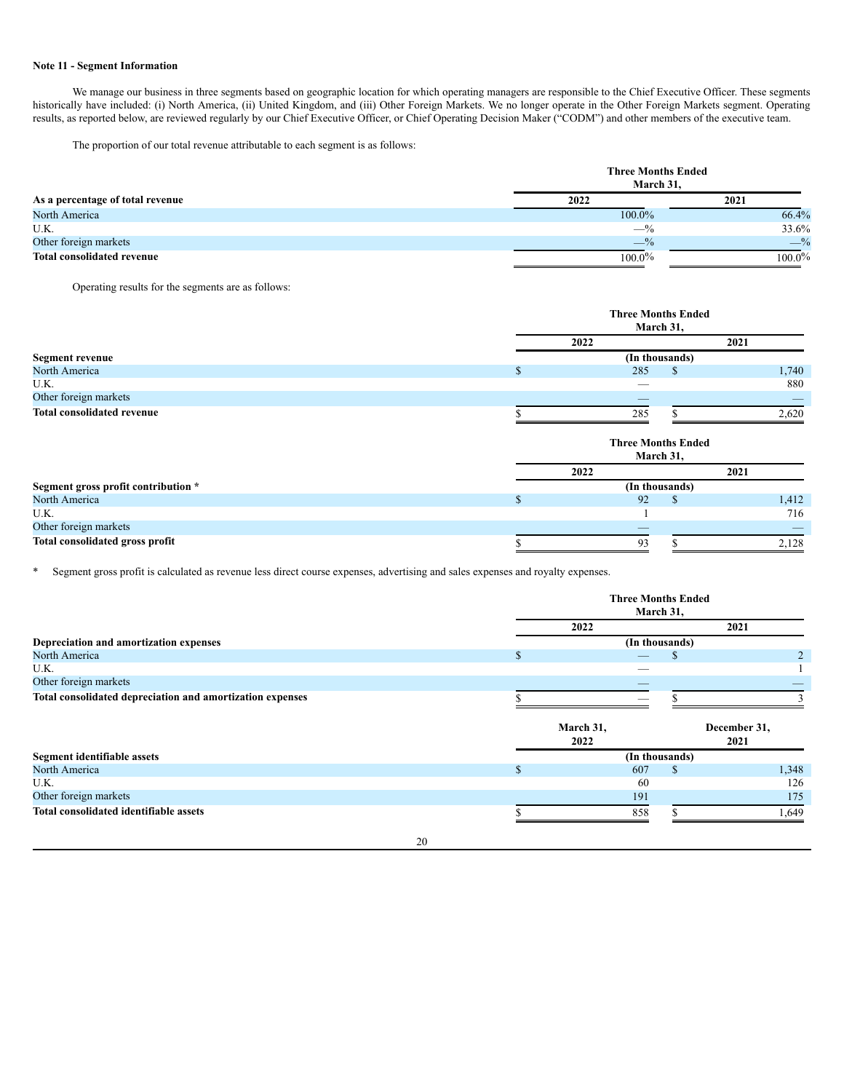### **Note 11 - Segment Information**

We manage our business in three segments based on geographic location for which operating managers are responsible to the Chief Executive Officer. These segments historically have included: (i) North America, (ii) United Kingdom, and (iii) Other Foreign Markets. We no longer operate in the Other Foreign Markets segment. Operating results, as reported below, are reviewed regularly by our Chief Executive Officer, or Chief Operating Decision Maker ("CODM") and other members of the executive team.

The proportion of our total revenue attributable to each segment is as follows:

|                                   | <b>Three Months Ended</b><br>March 31. |           |  |  |  |  |  |
|-----------------------------------|----------------------------------------|-----------|--|--|--|--|--|
| As a percentage of total revenue  | 2022                                   | 2021      |  |  |  |  |  |
| North America                     | 100.0%                                 | 66.4%     |  |  |  |  |  |
| U.K.                              | $-$ %                                  | 33.6%     |  |  |  |  |  |
| Other foreign markets             | $-$ %                                  | $-$ %     |  |  |  |  |  |
| <b>Total consolidated revenue</b> | $100.0\%$                              | $100.0\%$ |  |  |  |  |  |

Operating results for the segments are as follows:

|                                     |               | <b>Three Months Ended</b><br>March 31, |                |       |  |  |  |  |
|-------------------------------------|---------------|----------------------------------------|----------------|-------|--|--|--|--|
|                                     |               | 2022                                   |                | 2021  |  |  |  |  |
| <b>Segment revenue</b>              |               | (In thousands)                         |                |       |  |  |  |  |
| North America                       | <sup>\$</sup> | 285                                    | <sup>S</sup>   | 1,740 |  |  |  |  |
| U.K.                                |               |                                        |                | 880   |  |  |  |  |
| Other foreign markets               |               |                                        |                |       |  |  |  |  |
| <b>Total consolidated revenue</b>   |               | 285                                    |                | 2,620 |  |  |  |  |
|                                     |               | <b>Three Months Ended</b><br>March 31, |                |       |  |  |  |  |
|                                     |               | 2022                                   |                | 2021  |  |  |  |  |
| Segment gross profit contribution * |               |                                        | (In thousands) |       |  |  |  |  |
| North America                       | <sup>\$</sup> | 92                                     | \$.            | 1,412 |  |  |  |  |
| U.K.                                |               |                                        |                | 716   |  |  |  |  |
| Other foreign markets               |               |                                        |                |       |  |  |  |  |
| Total consolidated gross profit     | ъ             | 93                                     | ъ              | 2,128 |  |  |  |  |

\* Segment gross profit is calculated as revenue less direct course expenses, advertising and sales expenses and royalty expenses.

|                                                           | <b>Three Months Ended</b><br>March 31, |           |                |     |              |       |  |  |
|-----------------------------------------------------------|----------------------------------------|-----------|----------------|-----|--------------|-------|--|--|
|                                                           |                                        | 2022      |                |     | 2021         |       |  |  |
| Depreciation and amortization expenses                    |                                        |           | (In thousands) |     |              |       |  |  |
| North America                                             | S                                      |           |                |     |              | 2     |  |  |
| U.K.                                                      |                                        |           |                |     |              |       |  |  |
| Other foreign markets                                     |                                        |           |                |     |              |       |  |  |
| Total consolidated depreciation and amortization expenses |                                        |           |                |     |              |       |  |  |
|                                                           |                                        | March 31, |                |     | December 31, |       |  |  |
|                                                           |                                        | 2022      |                |     | 2021         |       |  |  |
| Segment identifiable assets                               |                                        |           | (In thousands) |     |              |       |  |  |
| North America                                             | э                                      |           | 607            | \$. |              | 1,348 |  |  |
| U.K.                                                      |                                        |           | -60            |     |              | 126   |  |  |
| Other foreign markets                                     |                                        |           | 191            |     |              | 175   |  |  |
| <b>Total consolidated identifiable assets</b>             |                                        |           | 858            |     |              | .649  |  |  |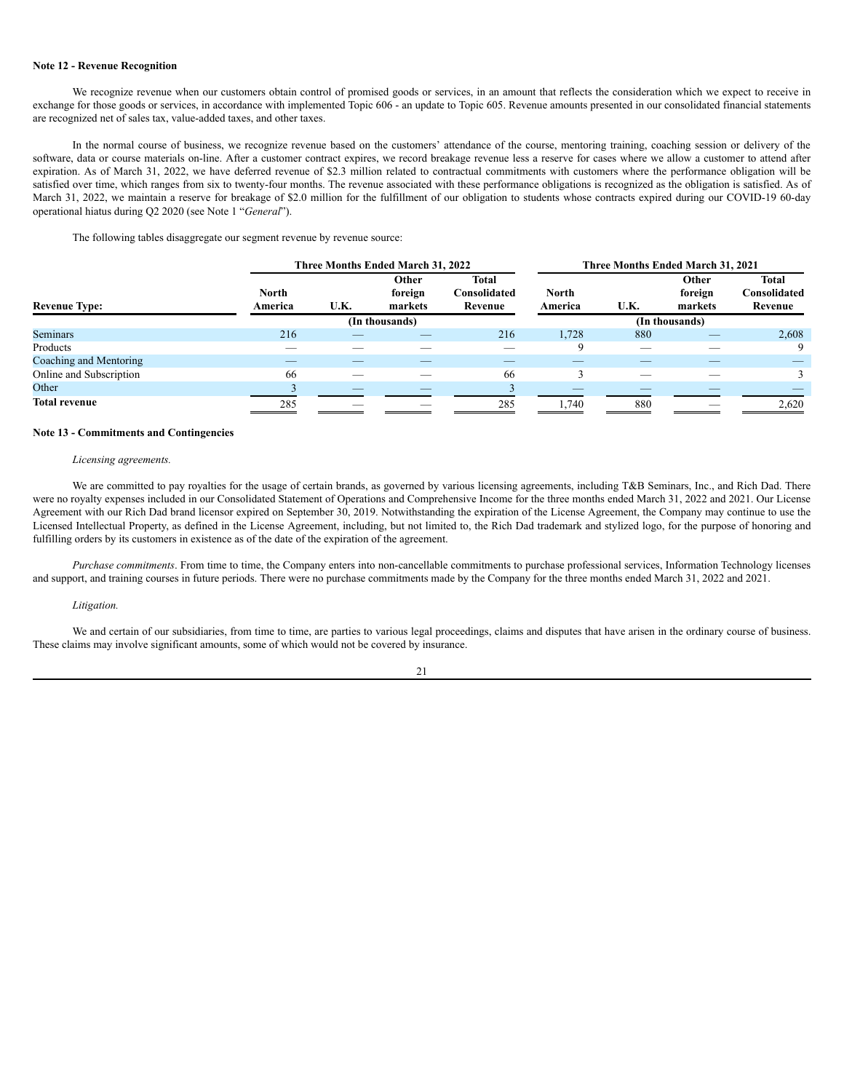### **Note 12 - Revenue Recognition**

We recognize revenue when our customers obtain control of promised goods or services, in an amount that reflects the consideration which we expect to receive in exchange for those goods or services, in accordance with implemented Topic 606 - an update to Topic 605. Revenue amounts presented in our consolidated financial statements are recognized net of sales tax, value-added taxes, and other taxes.

In the normal course of business, we recognize revenue based on the customers' attendance of the course, mentoring training, coaching session or delivery of the software, data or course materials on-line. After a customer contract expires, we record breakage revenue less a reserve for cases where we allow a customer to attend after expiration. As of March 31, 2022, we have deferred revenue of \$2.3 million related to contractual commitments with customers where the performance obligation will be satisfied over time, which ranges from six to twenty-four months. The revenue associated with these performance obligations is recognized as the obligation is satisfied. As of March 31, 2022, we maintain a reserve for breakage of \$2.0 million for the fulfillment of our obligation to students whose contracts expired during our COVID-19 60-day operational hiatus during Q2 2020 (see Note 1 "*General*").

The following tables disaggregate our segment revenue by revenue source:

|                         | Three Months Ended March 31, 2022 |      |                             |                                  | Three Months Ended March 31, 2021 |      |                             |                                         |  |
|-------------------------|-----------------------------------|------|-----------------------------|----------------------------------|-----------------------------------|------|-----------------------------|-----------------------------------------|--|
| <b>Revenue Type:</b>    | <b>North</b><br>America           | U.K. | Other<br>foreign<br>markets | Total<br>Consolidated<br>Revenue | <b>North</b><br>America           | U.K. | Other<br>foreign<br>markets | <b>Total</b><br>Consolidated<br>Revenue |  |
|                         |                                   |      | (In thousands)              |                                  |                                   |      | (In thousands)              |                                         |  |
| <b>Seminars</b>         | 216                               |      |                             | 216                              | 1,728                             | 880  |                             | 2,608                                   |  |
| Products                |                                   |      |                             |                                  | 9                                 |      |                             |                                         |  |
| Coaching and Mentoring  |                                   |      |                             |                                  |                                   |      |                             |                                         |  |
| Online and Subscription | 66                                |      |                             | 66                               |                                   |      |                             |                                         |  |
| Other                   |                                   |      |                             |                                  |                                   |      |                             |                                         |  |
| <b>Total revenue</b>    | 285                               |      |                             | 285                              | 1,740                             | 880  |                             | 2,620                                   |  |

### **Note 13 - Commitments and Contingencies**

### *Licensing agreements.*

We are committed to pay royalties for the usage of certain brands, as governed by various licensing agreements, including T&B Seminars, Inc., and Rich Dad. There were no royalty expenses included in our Consolidated Statement of Operations and Comprehensive Income for the three months ended March 31, 2022 and 2021. Our License Agreement with our Rich Dad brand licensor expired on September 30, 2019. Notwithstanding the expiration of the License Agreement, the Company may continue to use the Licensed Intellectual Property, as defined in the License Agreement, including, but not limited to, the Rich Dad trademark and stylized logo, for the purpose of honoring and fulfilling orders by its customers in existence as of the date of the expiration of the agreement.

*Purchase commitments*. From time to time, the Company enters into non-cancellable commitments to purchase professional services, Information Technology licenses and support, and training courses in future periods. There were no purchase commitments made by the Company for the three months ended March 31, 2022 and 2021.

#### *Litigation.*

We and certain of our subsidiaries, from time to time, are parties to various legal proceedings, claims and disputes that have arisen in the ordinary course of business. These claims may involve significant amounts, some of which would not be covered by insurance.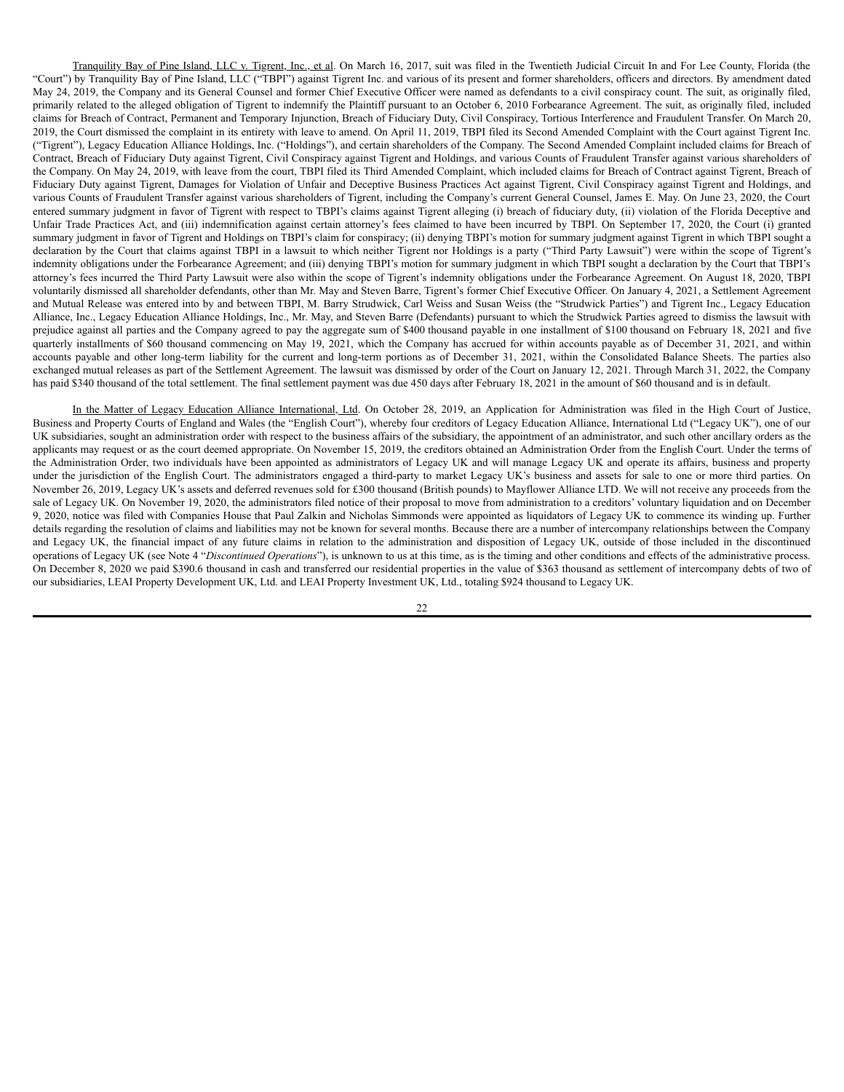Tranquility Bay of Pine Island, LLC v. Tigrent, Inc., et al. On March 16, 2017, suit was filed in the Twentieth Judicial Circuit In and For Lee County, Florida (the "Court") by Tranquility Bay of Pine Island, LLC ("TBPI") against Tigrent Inc. and various of its present and former shareholders, officers and directors. By amendment dated May 24, 2019, the Company and its General Counsel and former Chief Executive Officer were named as defendants to a civil conspiracy count. The suit, as originally filed, primarily related to the alleged obligation of Tigrent to indemnify the Plaintiff pursuant to an October 6, 2010 Forbearance Agreement. The suit, as originally filed, included claims for Breach of Contract, Permanent and Temporary Injunction, Breach of Fiduciary Duty, Civil Conspiracy, Tortious Interference and Fraudulent Transfer. On March 20, 2019, the Court dismissed the complaint in its entirety with leave to amend. On April 11, 2019, TBPI filed its Second Amended Complaint with the Court against Tigrent Inc. ("Tigrent"), Legacy Education Alliance Holdings, Inc. ("Holdings"), and certain shareholders of the Company. The Second Amended Complaint included claims for Breach of Contract, Breach of Fiduciary Duty against Tigrent, Civil Conspiracy against Tigrent and Holdings, and various Counts of Fraudulent Transfer against various shareholders of the Company. On May 24, 2019, with leave from the court, TBPI filed its Third Amended Complaint, which included claims for Breach of Contract against Tigrent, Breach of Fiduciary Duty against Tigrent, Damages for Violation of Unfair and Deceptive Business Practices Act against Tigrent, Civil Conspiracy against Tigrent and Holdings, and various Counts of Fraudulent Transfer against various shareholders of Tigrent, including the Company's current General Counsel, James E. May. On June 23, 2020, the Court entered summary judgment in favor of Tigrent with respect to TBPI's claims against Tigrent alleging (i) breach of fiduciary duty, (ii) violation of the Florida Deceptive and Unfair Trade Practices Act, and (iii) indemnification against certain attorney's fees claimed to have been incurred by TBPI. On September 17, 2020, the Court (i) granted summary judgment in favor of Tigrent and Holdings on TBPI's claim for conspiracy; (ii) denying TBPI's motion for summary judgment against Tigrent in which TBPI sought a declaration by the Court that claims against TBPI in a lawsuit to which neither Tigrent nor Holdings is a party ("Third Party Lawsuit") were within the scope of Tigrent's indemnity obligations under the Forbearance Agreement; and (iii) denying TBPI's motion for summary judgment in which TBPI sought a declaration by the Court that TBPI's attorney's fees incurred the Third Party Lawsuit were also within the scope of Tigrent's indemnity obligations under the Forbearance Agreement. On August 18, 2020, TBPI voluntarily dismissed all shareholder defendants, other than Mr. May and Steven Barre, Tigrent's former Chief Executive Officer. On January 4, 2021, a Settlement Agreement and Mutual Release was entered into by and between TBPI, M. Barry Strudwick, Carl Weiss and Susan Weiss (the "Strudwick Parties") and Tigrent Inc., Legacy Education Alliance, Inc., Legacy Education Alliance Holdings, Inc., Mr. May, and Steven Barre (Defendants) pursuant to which the Strudwick Parties agreed to dismiss the lawsuit with prejudice against all parties and the Company agreed to pay the aggregate sum of \$400 thousand payable in one installment of \$100 thousand on February 18, 2021 and five quarterly installments of \$60 thousand commencing on May 19, 2021, which the Company has accrued for within accounts payable as of December 31, 2021, and within accounts payable and other long-term liability for the current and long-term portions as of December 31, 2021, within the Consolidated Balance Sheets. The parties also exchanged mutual releases as part of the Settlement Agreement. The lawsuit was dismissed by order of the Court on January 12, 2021. Through March 31, 2022, the Company has paid \$340 thousand of the total settlement. The final settlement payment was due 450 days after February 18, 2021 in the amount of \$60 thousand and is in default.

In the Matter of Legacy Education Alliance International, Ltd. On October 28, 2019, an Application for Administration was filed in the High Court of Justice, Business and Property Courts of England and Wales (the "English Court"), whereby four creditors of Legacy Education Alliance, International Ltd ("Legacy UK"), one of our UK subsidiaries, sought an administration order with respect to the business affairs of the subsidiary, the appointment of an administrator, and such other ancillary orders as the applicants may request or as the court deemed appropriate. On November 15, 2019, the creditors obtained an Administration Order from the English Court. Under the terms of the Administration Order, two individuals have been appointed as administrators of Legacy UK and will manage Legacy UK and operate its affairs, business and property under the jurisdiction of the English Court. The administrators engaged a third-party to market Legacy UK's business and assets for sale to one or more third parties. On November 26, 2019, Legacy UK's assets and deferred revenues sold for £300 thousand (British pounds) to Mayflower Alliance LTD. We will not receive any proceeds from the sale of Legacy UK. On November 19, 2020, the administrators filed notice of their proposal to move from administration to a creditors' voluntary liquidation and on December 9, 2020, notice was filed with Companies House that Paul Zalkin and Nicholas Simmonds were appointed as liquidators of Legacy UK to commence its winding up. Further details regarding the resolution of claims and liabilities may not be known for several months. Because there are a number of intercompany relationships between the Company and Legacy UK, the financial impact of any future claims in relation to the administration and disposition of Legacy UK, outside of those included in the discontinued operations of Legacy UK (see Note 4 "*Discontinued Operations*"), is unknown to us at this time, as is the timing and other conditions and effects of the administrative process. On December 8, 2020 we paid \$390.6 thousand in cash and transferred our residential properties in the value of \$363 thousand as settlement of intercompany debts of two of our subsidiaries, LEAI Property Development UK, Ltd. and LEAI Property Investment UK, Ltd., totaling \$924 thousand to Legacy UK.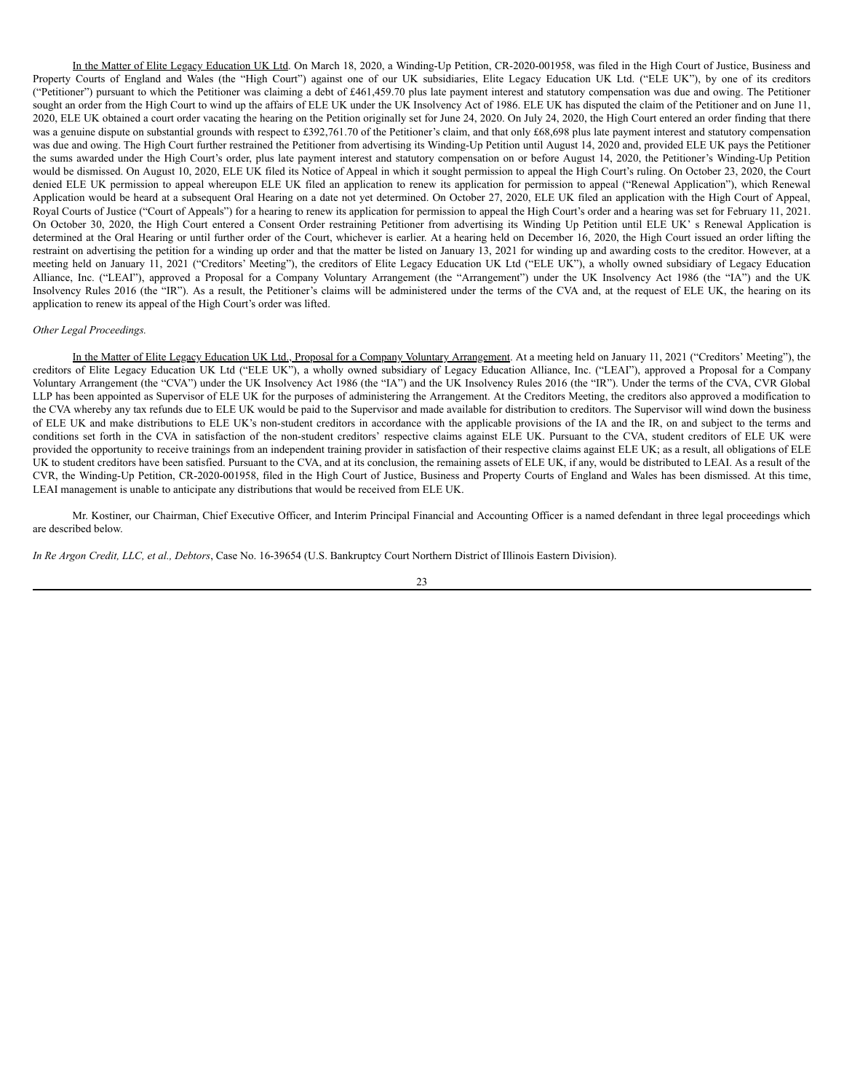In the Matter of Elite Legacy Education UK Ltd. On March 18, 2020, a Winding-Up Petition, CR-2020-001958, was filed in the High Court of Justice, Business and Property Courts of England and Wales (the "High Court") against one of our UK subsidiaries, Elite Legacy Education UK Ltd. ("ELE UK"), by one of its creditors ("Petitioner") pursuant to which the Petitioner was claiming a debt of £461,459.70 plus late payment interest and statutory compensation was due and owing. The Petitioner sought an order from the High Court to wind up the affairs of ELE UK under the UK Insolvency Act of 1986. ELE UK has disputed the claim of the Petitioner and on June 11, 2020, ELE UK obtained a court order vacating the hearing on the Petition originally set for June 24, 2020. On July 24, 2020, the High Court entered an order finding that there was a genuine dispute on substantial grounds with respect to £392,761.70 of the Petitioner's claim, and that only £68,698 plus late payment interest and statutory compensation was due and owing. The High Court further restrained the Petitioner from advertising its Winding-Up Petition until August 14, 2020 and, provided ELE UK pays the Petitioner the sums awarded under the High Court's order, plus late payment interest and statutory compensation on or before August 14, 2020, the Petitioner's Winding-Up Petition would be dismissed. On August 10, 2020, ELE UK filed its Notice of Appeal in which it sought permission to appeal the High Court's ruling. On October 23, 2020, the Court denied ELE UK permission to appeal whereupon ELE UK filed an application to renew its application for permission to appeal ("Renewal Application"), which Renewal Application would be heard at a subsequent Oral Hearing on a date not yet determined. On October 27, 2020, ELE UK filed an application with the High Court of Appeal, Royal Courts of Justice ("Court of Appeals") for a hearing to renew its application for permission to appeal the High Court's order and a hearing was set for February 11, 2021. On October 30, 2020, the High Court entered a Consent Order restraining Petitioner from advertising its Winding Up Petition until ELE UK' s Renewal Application is determined at the Oral Hearing or until further order of the Court, whichever is earlier. At a hearing held on December 16, 2020, the High Court issued an order lifting the restraint on advertising the petition for a winding up order and that the matter be listed on January 13, 2021 for winding up and awarding costs to the creditor. However, at a meeting held on January 11, 2021 ("Creditors' Meeting"), the creditors of Elite Legacy Education UK Ltd ("ELE UK"), a wholly owned subsidiary of Legacy Education Alliance, Inc. ("LEAI"), approved a Proposal for a Company Voluntary Arrangement (the "Arrangement") under the UK Insolvency Act 1986 (the "IA") and the UK Insolvency Rules 2016 (the "IR"). As a result, the Petitioner's claims will be administered under the terms of the CVA and, at the request of ELE UK, the hearing on its application to renew its appeal of the High Court's order was lifted.

#### *Other Legal Proceedings.*

In the Matter of Elite Legacy Education UK Ltd., Proposal for a Company Voluntary Arrangement. At a meeting held on January 11, 2021 ("Creditors' Meeting"), the creditors of Elite Legacy Education UK Ltd ("ELE UK"), a wholly owned subsidiary of Legacy Education Alliance, Inc. ("LEAI"), approved a Proposal for a Company Voluntary Arrangement (the "CVA") under the UK Insolvency Act 1986 (the "IA") and the UK Insolvency Rules 2016 (the "IR"). Under the terms of the CVA, CVR Global LLP has been appointed as Supervisor of ELE UK for the purposes of administering the Arrangement. At the Creditors Meeting, the creditors also approved a modification to the CVA whereby any tax refunds due to ELE UK would be paid to the Supervisor and made available for distribution to creditors. The Supervisor will wind down the business of ELE UK and make distributions to ELE UK's non-student creditors in accordance with the applicable provisions of the IA and the IR, on and subject to the terms and conditions set forth in the CVA in satisfaction of the non-student creditors' respective claims against ELE UK. Pursuant to the CVA, student creditors of ELE UK were provided the opportunity to receive trainings from an independent training provider in satisfaction of their respective claims against ELE UK; as a result, all obligations of ELE UK to student creditors have been satisfied. Pursuant to the CVA, and at its conclusion, the remaining assets of ELE UK, if any, would be distributed to LEAI. As a result of the CVR, the Winding-Up Petition, CR-2020-001958, filed in the High Court of Justice, Business and Property Courts of England and Wales has been dismissed. At this time, LEAI management is unable to anticipate any distributions that would be received from ELE UK.

Mr. Kostiner, our Chairman, Chief Executive Officer, and Interim Principal Financial and Accounting Officer is a named defendant in three legal proceedings which are described below.

*In Re Argon Credit, LLC, et al., Debtors*, Case No. 16-39654 (U.S. Bankruptcy Court Northern District of Illinois Eastern Division).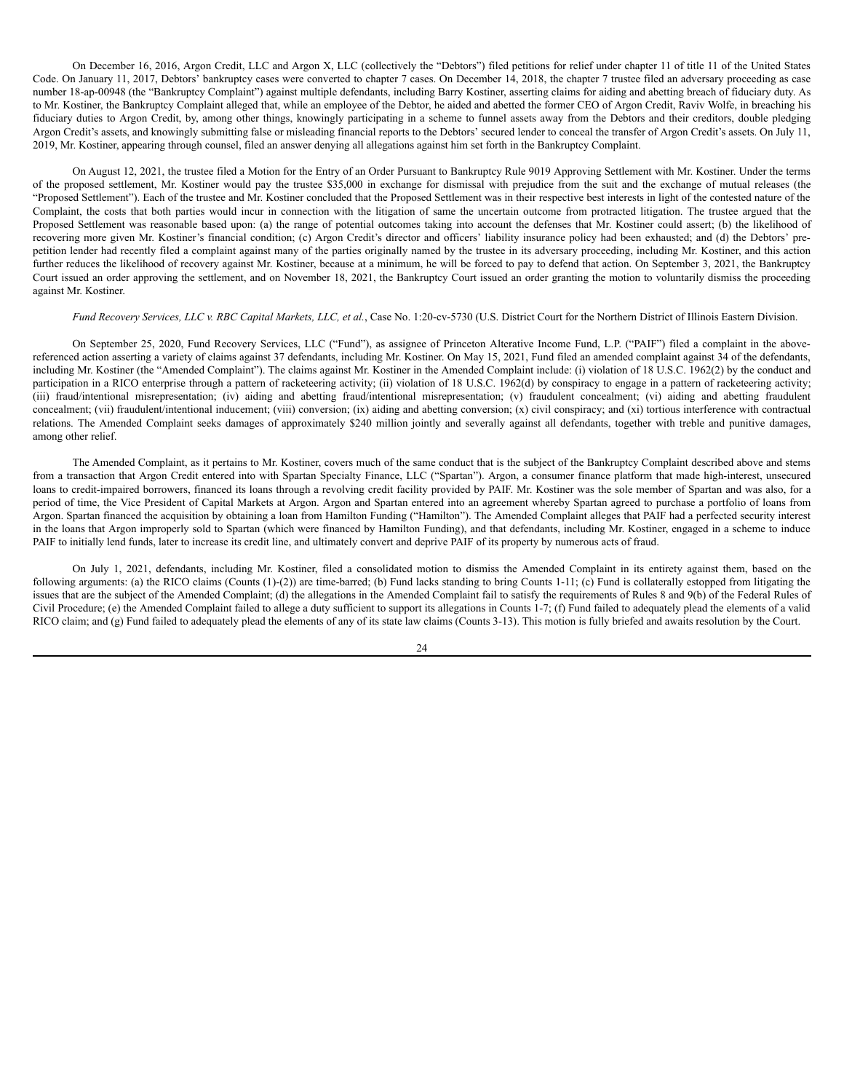On December 16, 2016, Argon Credit, LLC and Argon X, LLC (collectively the "Debtors") filed petitions for relief under chapter 11 of title 11 of the United States Code. On January 11, 2017, Debtors' bankruptcy cases were converted to chapter 7 cases. On December 14, 2018, the chapter 7 trustee filed an adversary proceeding as case number 18-ap-00948 (the "Bankruptcy Complaint") against multiple defendants, including Barry Kostiner, asserting claims for aiding and abetting breach of fiduciary duty. As to Mr. Kostiner, the Bankruptcy Complaint alleged that, while an employee of the Debtor, he aided and abetted the former CEO of Argon Credit, Raviv Wolfe, in breaching his fiduciary duties to Argon Credit, by, among other things, knowingly participating in a scheme to funnel assets away from the Debtors and their creditors, double pledging Argon Credit's assets, and knowingly submitting false or misleading financial reports to the Debtors' secured lender to conceal the transfer of Argon Credit's assets. On July 11, 2019, Mr. Kostiner, appearing through counsel, filed an answer denying all allegations against him set forth in the Bankruptcy Complaint.

On August 12, 2021, the trustee filed a Motion for the Entry of an Order Pursuant to Bankruptcy Rule 9019 Approving Settlement with Mr. Kostiner. Under the terms of the proposed settlement, Mr. Kostiner would pay the trustee \$35,000 in exchange for dismissal with prejudice from the suit and the exchange of mutual releases (the "Proposed Settlement"). Each of the trustee and Mr. Kostiner concluded that the Proposed Settlement was in their respective best interests in light of the contested nature of the Complaint, the costs that both parties would incur in connection with the litigation of same the uncertain outcome from protracted litigation. The trustee argued that the Proposed Settlement was reasonable based upon: (a) the range of potential outcomes taking into account the defenses that Mr. Kostiner could assert; (b) the likelihood of recovering more given Mr. Kostiner's financial condition; (c) Argon Credit's director and officers' liability insurance policy had been exhausted; and (d) the Debtors' prepetition lender had recently filed a complaint against many of the parties originally named by the trustee in its adversary proceeding, including Mr. Kostiner, and this action further reduces the likelihood of recovery against Mr. Kostiner, because at a minimum, he will be forced to pay to defend that action. On September 3, 2021, the Bankruptcy Court issued an order approving the settlement, and on November 18, 2021, the Bankruptcy Court issued an order granting the motion to voluntarily dismiss the proceeding against Mr. Kostiner.

### Fund Recovery Services, LLC v. RBC Capital Markets, LLC, et al., Case No. 1:20-cv-5730 (U.S. District Court for the Northern District of Illinois Eastern Division.

On September 25, 2020, Fund Recovery Services, LLC ("Fund"), as assignee of Princeton Alterative Income Fund, L.P. ("PAIF") filed a complaint in the abovereferenced action asserting a variety of claims against 37 defendants, including Mr. Kostiner. On May 15, 2021, Fund filed an amended complaint against 34 of the defendants, including Mr. Kostiner (the "Amended Complaint"). The claims against Mr. Kostiner in the Amended Complaint include: (i) violation of 18 U.S.C. 1962(2) by the conduct and participation in a RICO enterprise through a pattern of racketeering activity; (ii) violation of 18 U.S.C. 1962(d) by conspiracy to engage in a pattern of racketeering activity; (iii) fraud/intentional misrepresentation; (iv) aiding and abetting fraud/intentional misrepresentation; (v) fraudulent concealment; (vi) aiding and abetting fraudulent concealment; (vii) fraudulent/intentional inducement; (viii) conversion; (ix) aiding and abetting conversion; (x) civil conspiracy; and (xi) tortious interference with contractual relations. The Amended Complaint seeks damages of approximately \$240 million jointly and severally against all defendants, together with treble and punitive damages, among other relief.

The Amended Complaint, as it pertains to Mr. Kostiner, covers much of the same conduct that is the subject of the Bankruptcy Complaint described above and stems from a transaction that Argon Credit entered into with Spartan Specialty Finance, LLC ("Spartan"). Argon, a consumer finance platform that made high-interest, unsecured loans to credit-impaired borrowers, financed its loans through a revolving credit facility provided by PAIF. Mr. Kostiner was the sole member of Spartan and was also, for a period of time, the Vice President of Capital Markets at Argon. Argon and Spartan entered into an agreement whereby Spartan agreed to purchase a portfolio of loans from Argon. Spartan financed the acquisition by obtaining a loan from Hamilton Funding ("Hamilton"). The Amended Complaint alleges that PAIF had a perfected security interest in the loans that Argon improperly sold to Spartan (which were financed by Hamilton Funding), and that defendants, including Mr. Kostiner, engaged in a scheme to induce PAIF to initially lend funds, later to increase its credit line, and ultimately convert and deprive PAIF of its property by numerous acts of fraud.

On July 1, 2021, defendants, including Mr. Kostiner, filed a consolidated motion to dismiss the Amended Complaint in its entirety against them, based on the following arguments: (a) the RICO claims (Counts (1)-(2)) are time-barred; (b) Fund lacks standing to bring Counts 1-11; (c) Fund is collaterally estopped from litigating the issues that are the subject of the Amended Complaint; (d) the allegations in the Amended Complaint fail to satisfy the requirements of Rules 8 and 9(b) of the Federal Rules of Civil Procedure; (e) the Amended Complaint failed to allege a duty sufficient to support its allegations in Counts 1-7; (f) Fund failed to adequately plead the elements of a valid RICO claim; and (g) Fund failed to adequately plead the elements of any of its state law claims (Counts 3-13). This motion is fully briefed and awaits resolution by the Court.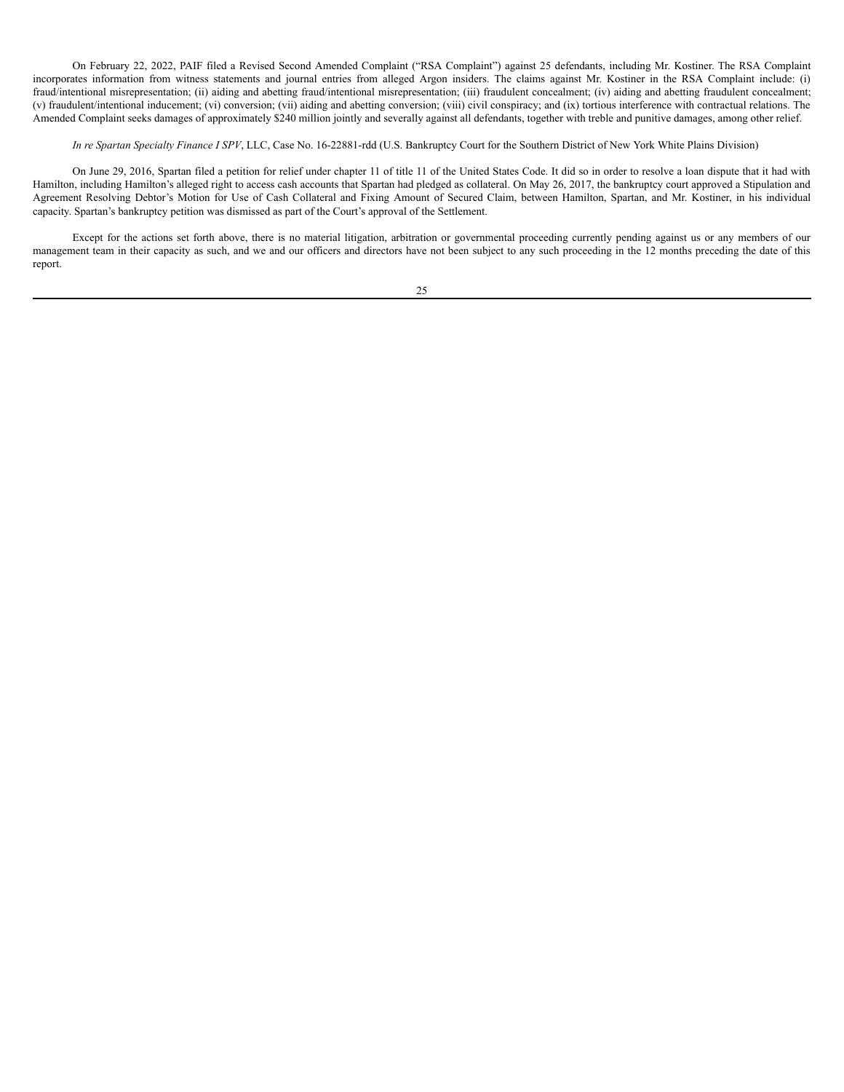On February 22, 2022, PAIF filed a Revised Second Amended Complaint ("RSA Complaint") against 25 defendants, including Mr. Kostiner. The RSA Complaint incorporates information from witness statements and journal entries from alleged Argon insiders. The claims against Mr. Kostiner in the RSA Complaint include: (i) fraud/intentional misrepresentation; (ii) aiding and abetting fraud/intentional misrepresentation; (iii) fraudulent concealment; (iv) aiding and abetting fraudulent concealment; (v) fraudulent/intentional inducement; (vi) conversion; (vii) aiding and abetting conversion; (viii) civil conspiracy; and (ix) tortious interference with contractual relations. The Amended Complaint seeks damages of approximately \$240 million jointly and severally against all defendants, together with treble and punitive damages, among other relief.

# *In re Spartan Specialty Finance I SPV*, LLC, Case No. 16-22881-rdd (U.S. Bankruptcy Court for the Southern District of New York White Plains Division)

On June 29, 2016, Spartan filed a petition for relief under chapter 11 of title 11 of the United States Code. It did so in order to resolve a loan dispute that it had with Hamilton, including Hamilton's alleged right to access cash accounts that Spartan had pledged as collateral. On May 26, 2017, the bankruptcy court approved a Stipulation and Agreement Resolving Debtor's Motion for Use of Cash Collateral and Fixing Amount of Secured Claim, between Hamilton, Spartan, and Mr. Kostiner, in his individual capacity. Spartan's bankruptcy petition was dismissed as part of the Court's approval of the Settlement.

Except for the actions set forth above, there is no material litigation, arbitration or governmental proceeding currently pending against us or any members of our management team in their capacity as such, and we and our officers and directors have not been subject to any such proceeding in the 12 months preceding the date of this report.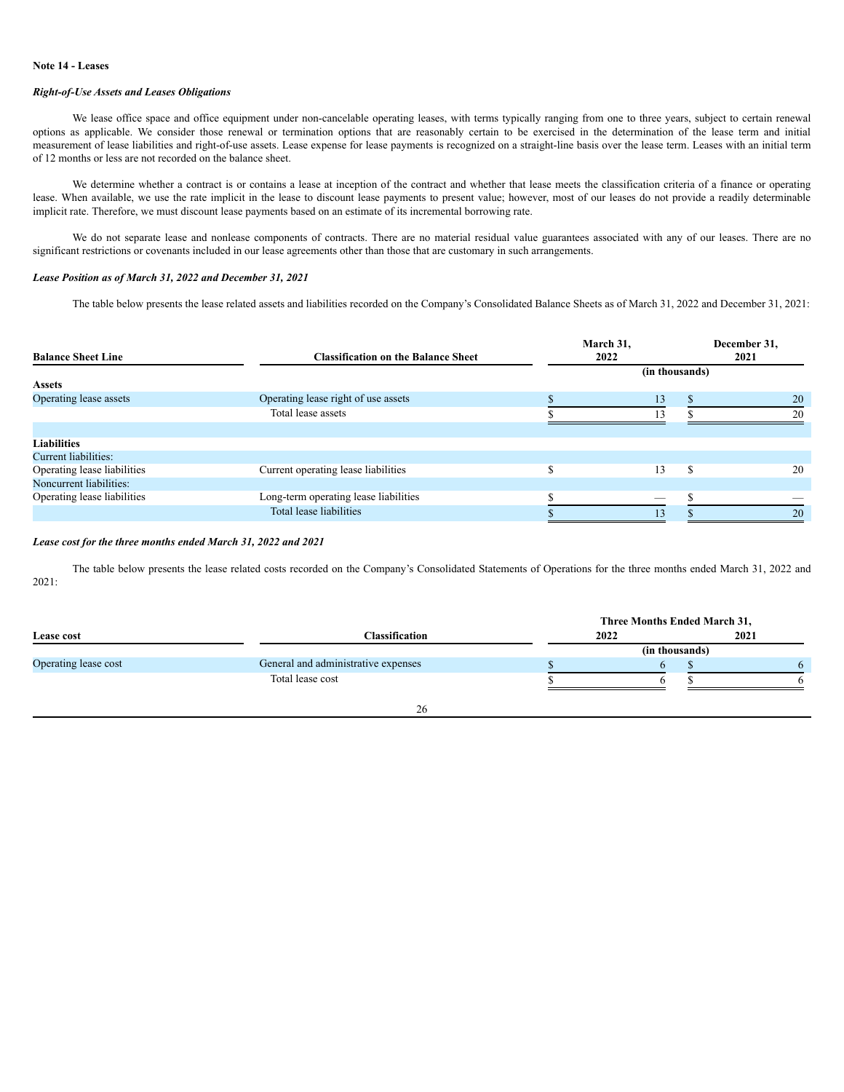### **Note 14 - Leases**

# *Right-of-Use Assets and Leases Obligations*

We lease office space and office equipment under non-cancelable operating leases, with terms typically ranging from one to three years, subject to certain renewal options as applicable. We consider those renewal or termination options that are reasonably certain to be exercised in the determination of the lease term and initial measurement of lease liabilities and right-of-use assets. Lease expense for lease payments is recognized on a straight-line basis over the lease term. Leases with an initial term of 12 months or less are not recorded on the balance sheet.

We determine whether a contract is or contains a lease at inception of the contract and whether that lease meets the classification criteria of a finance or operating lease. When available, we use the rate implicit in the lease to discount lease payments to present value; however, most of our leases do not provide a readily determinable implicit rate. Therefore, we must discount lease payments based on an estimate of its incremental borrowing rate.

We do not separate lease and nonlease components of contracts. There are no material residual value guarantees associated with any of our leases. There are no significant restrictions or covenants included in our lease agreements other than those that are customary in such arrangements.

## *Lease Position as of March 31, 2022 and December 31, 2021*

The table below presents the lease related assets and liabilities recorded on the Company's Consolidated Balance Sheets as of March 31, 2022 and December 31, 2021:

| <b>Balance Sheet Line</b>   | <b>Classification on the Balance Sheet</b> | March 31,<br>2022 | December 31,<br>2021 |    |
|-----------------------------|--------------------------------------------|-------------------|----------------------|----|
|                             |                                            | (in thousands)    |                      |    |
| <b>Assets</b>               |                                            |                   |                      |    |
| Operating lease assets      | Operating lease right of use assets        | 13                |                      | 20 |
|                             | Total lease assets                         | 13                |                      | 20 |
|                             |                                            |                   |                      |    |
| <b>Liabilities</b>          |                                            |                   |                      |    |
| Current liabilities:        |                                            |                   |                      |    |
| Operating lease liabilities | Current operating lease liabilities        | 13                |                      | 20 |
| Noncurrent liabilities:     |                                            |                   |                      |    |
| Operating lease liabilities | Long-term operating lease liabilities      |                   |                      |    |
|                             | Total lease liabilities                    | 13                |                      | 20 |

#### *Lease cost for the three months ended March 31, 2022 and 2021*

The table below presents the lease related costs recorded on the Company's Consolidated Statements of Operations for the three months ended March 31, 2022 and 2021:

|                      |                                     | Three Months Ended March 31, |      |  |  |  |
|----------------------|-------------------------------------|------------------------------|------|--|--|--|
| Lease cost           | Classification                      | 2022                         | 2021 |  |  |  |
|                      |                                     | (in thousands)               |      |  |  |  |
| Operating lease cost | General and administrative expenses |                              |      |  |  |  |
|                      | Total lease cost                    |                              |      |  |  |  |
|                      |                                     |                              |      |  |  |  |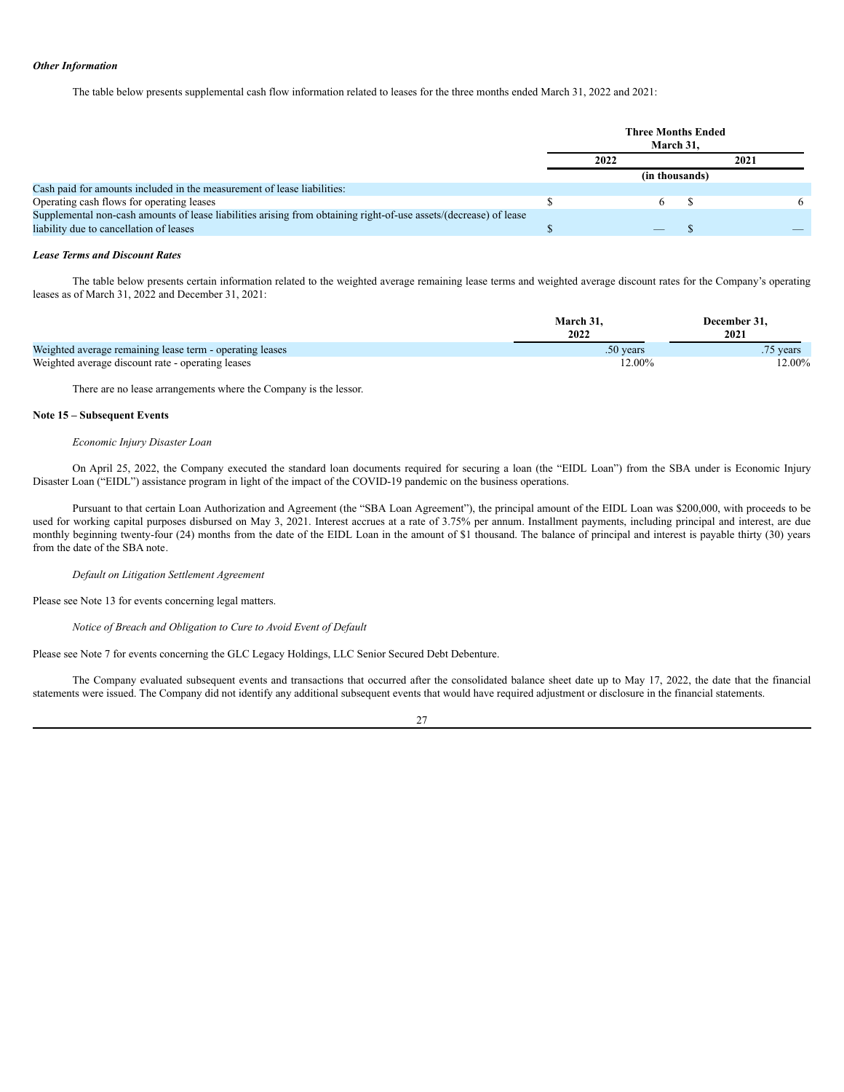### *Other Information*

The table below presents supplemental cash flow information related to leases for the three months ended March 31, 2022 and 2021:

|                                                                                                                                                              | <b>Three Months Ended</b><br>March 31. |  |      |  |  |
|--------------------------------------------------------------------------------------------------------------------------------------------------------------|----------------------------------------|--|------|--|--|
|                                                                                                                                                              | 2022                                   |  | 2021 |  |  |
|                                                                                                                                                              | (in thousands)                         |  |      |  |  |
| Cash paid for amounts included in the measurement of lease liabilities:                                                                                      |                                        |  |      |  |  |
| Operating cash flows for operating leases                                                                                                                    |                                        |  |      |  |  |
| Supplemental non-cash amounts of lease liabilities arising from obtaining right-of-use assets/(decrease) of lease<br>liability due to cancellation of leases |                                        |  |      |  |  |

### *Lease Terms and Discount Rates*

The table below presents certain information related to the weighted average remaining lease terms and weighted average discount rates for the Company's operating leases as of March 31, 2022 and December 31, 2021:

|                                                          | March 31.<br>2022 | December 31.<br>2021 |
|----------------------------------------------------------|-------------------|----------------------|
| Weighted average remaining lease term - operating leases | $.50$ years       | 75 years             |
| Weighted average discount rate - operating leases        | 12.00%            | $12.00\%$            |

There are no lease arrangements where the Company is the lessor.

### **Note 15 – Subsequent Events**

#### *Economic Injury Disaster Loan*

On April 25, 2022, the Company executed the standard loan documents required for securing a loan (the "EIDL Loan") from the SBA under is Economic Injury Disaster Loan ("EIDL") assistance program in light of the impact of the COVID-19 pandemic on the business operations.

Pursuant to that certain Loan Authorization and Agreement (the "SBA Loan Agreement"), the principal amount of the EIDL Loan was \$200,000, with proceeds to be used for working capital purposes disbursed on May 3, 2021. Interest accrues at a rate of 3.75% per annum. Installment payments, including principal and interest, are due monthly beginning twenty-four (24) months from the date of the EIDL Loan in the amount of \$1 thousand. The balance of principal and interest is payable thirty (30) years from the date of the SBA note.

*Default on Litigation Settlement Agreement*

Please see Note 13 for events concerning legal matters.

*Notice of Breach and Obligation to Cure to Avoid Event of Default*

Please see Note 7 for events concerning the GLC Legacy Holdings, LLC Senior Secured Debt Debenture.

The Company evaluated subsequent events and transactions that occurred after the consolidated balance sheet date up to May 17, 2022, the date that the financial statements were issued. The Company did not identify any additional subsequent events that would have required adjustment or disclosure in the financial statements.

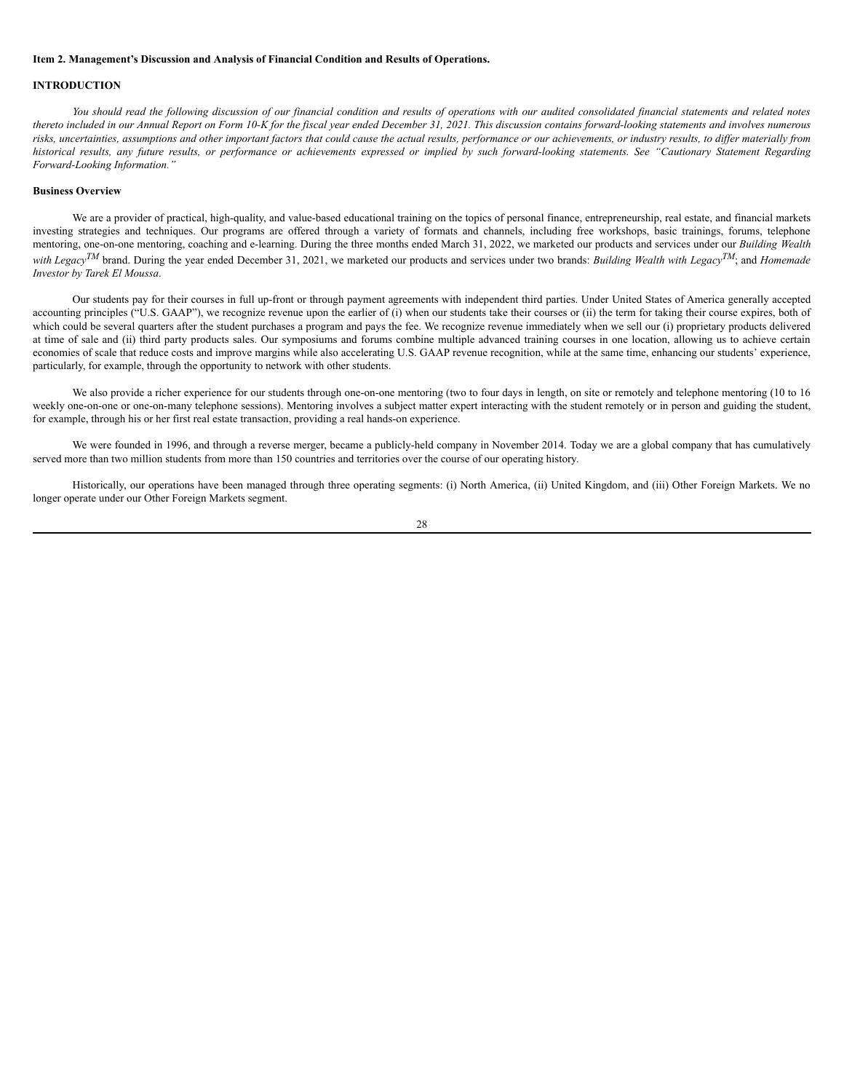## <span id="page-30-0"></span>**Item 2. Management's Discussion and Analysis of Financial Condition and Results of Operations.**

# **INTRODUCTION**

You should read the following discussion of our financial condition and results of operations with our audited consolidated financial statements and related notes thereto included in our Annual Report on Form 10-K for the fiscal year ended December 31, 2021. This discussion contains forward-looking statements and involves numerous risks, uncertainties, assumptions and other important factors that could cause the actual results, performance or our achievements, or industry results, to differ materially from historical results, any future results, or performance or achievements expressed or implied by such forward-looking statements. See "Cautionary Statement Regarding *Forward-Looking Information."*

### **Business Overview**

We are a provider of practical, high-quality, and value-based educational training on the topics of personal finance, entrepreneurship, real estate, and financial markets investing strategies and techniques. Our programs are offered through a variety of formats and channels, including free workshops, basic trainings, forums, telephone mentoring, one-on-one mentoring, coaching and e-learning. During the three months ended March 31, 2022, we marketed our products and services under our *Building Wealth with* Legacy<sup>*TM*</sup> brand. During the year ended December 31, 2021, we marketed our products and services under two brands: *Building Wealth with Legacy*<sup>*TM*</sup>; and *Homemade Investor by Tarek El Moussa*.

Our students pay for their courses in full up-front or through payment agreements with independent third parties. Under United States of America generally accepted accounting principles ("U.S. GAAP"), we recognize revenue upon the earlier of (i) when our students take their courses or (ii) the term for taking their course expires, both of which could be several quarters after the student purchases a program and pays the fee. We recognize revenue immediately when we sell our (i) proprietary products delivered at time of sale and (ii) third party products sales. Our symposiums and forums combine multiple advanced training courses in one location, allowing us to achieve certain economies of scale that reduce costs and improve margins while also accelerating U.S. GAAP revenue recognition, while at the same time, enhancing our students' experience, particularly, for example, through the opportunity to network with other students.

We also provide a richer experience for our students through one-on-one mentoring (two to four days in length, on site or remotely and telephone mentoring (10 to 16 weekly one-on-one or one-on-many telephone sessions). Mentoring involves a subject matter expert interacting with the student remotely or in person and guiding the student, for example, through his or her first real estate transaction, providing a real hands-on experience.

We were founded in 1996, and through a reverse merger, became a publicly-held company in November 2014. Today we are a global company that has cumulatively served more than two million students from more than 150 countries and territories over the course of our operating history.

Historically, our operations have been managed through three operating segments: (i) North America, (ii) United Kingdom, and (iii) Other Foreign Markets. We no longer operate under our Other Foreign Markets segment.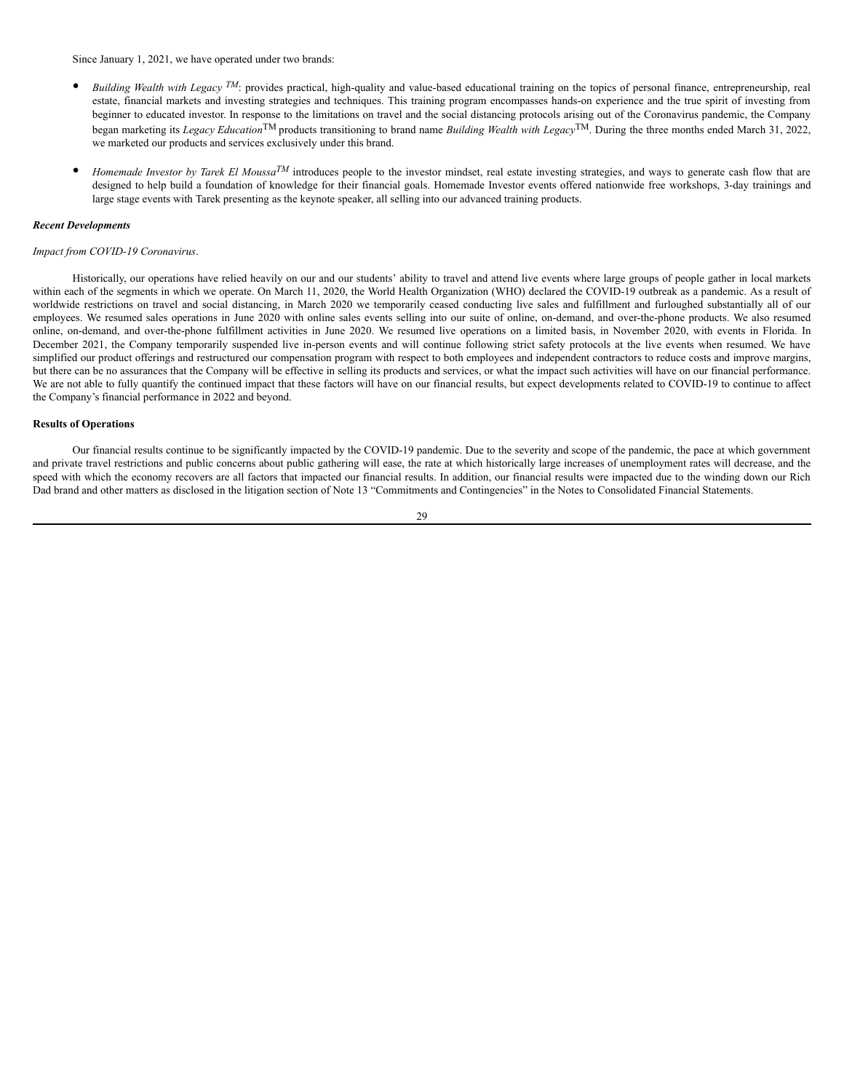Since January 1, 2021, we have operated under two brands:

- Building Wealth with Legacy <sup>TM</sup>: provides practical, high-quality and value-based educational training on the topics of personal finance, entrepreneurship, real estate, financial markets and investing strategies and techniques. This training program encompasses hands-on experience and the true spirit of investing from beginner to educated investor. In response to the limitations on travel and the social distancing protocols arising out of the Coronavirus pandemic, the Company began marketing its *Legacy Education*TM products transitioning to brand name *Building Wealth with Legacy*TM. During the three months ended March 31, 2022, we marketed our products and services exclusively under this brand.
- *Homemade Investor by Tarek El Moussa™* introduces people to the investor mindset, real estate investing strategies, and ways to generate cash flow that are designed to help build a foundation of knowledge for their financial goals. Homemade Investor events offered nationwide free workshops, 3-day trainings and large stage events with Tarek presenting as the keynote speaker, all selling into our advanced training products.

### *Recent Developments*

### *Impact from COVID-19 Coronavirus*.

Historically, our operations have relied heavily on our and our students' ability to travel and attend live events where large groups of people gather in local markets within each of the segments in which we operate. On March 11, 2020, the World Health Organization (WHO) declared the COVID-19 outbreak as a pandemic. As a result of worldwide restrictions on travel and social distancing, in March 2020 we temporarily ceased conducting live sales and fulfillment and furloughed substantially all of our employees. We resumed sales operations in June 2020 with online sales events selling into our suite of online, on-demand, and over-the-phone products. We also resumed online, on-demand, and over-the-phone fulfillment activities in June 2020. We resumed live operations on a limited basis, in November 2020, with events in Florida. In December 2021, the Company temporarily suspended live in-person events and will continue following strict safety protocols at the live events when resumed. We have simplified our product offerings and restructured our compensation program with respect to both employees and independent contractors to reduce costs and improve margins, but there can be no assurances that the Company will be effective in selling its products and services, or what the impact such activities will have on our financial performance. We are not able to fully quantify the continued impact that these factors will have on our financial results, but expect developments related to COVID-19 to continue to affect the Company's financial performance in 2022 and beyond.

### **Results of Operations**

Our financial results continue to be significantly impacted by the COVID-19 pandemic. Due to the severity and scope of the pandemic, the pace at which government and private travel restrictions and public concerns about public gathering will ease, the rate at which historically large increases of unemployment rates will decrease, and the speed with which the economy recovers are all factors that impacted our financial results. In addition, our financial results were impacted due to the winding down our Rich Dad brand and other matters as disclosed in the litigation section of Note 13 "Commitments and Contingencies" in the Notes to Consolidated Financial Statements.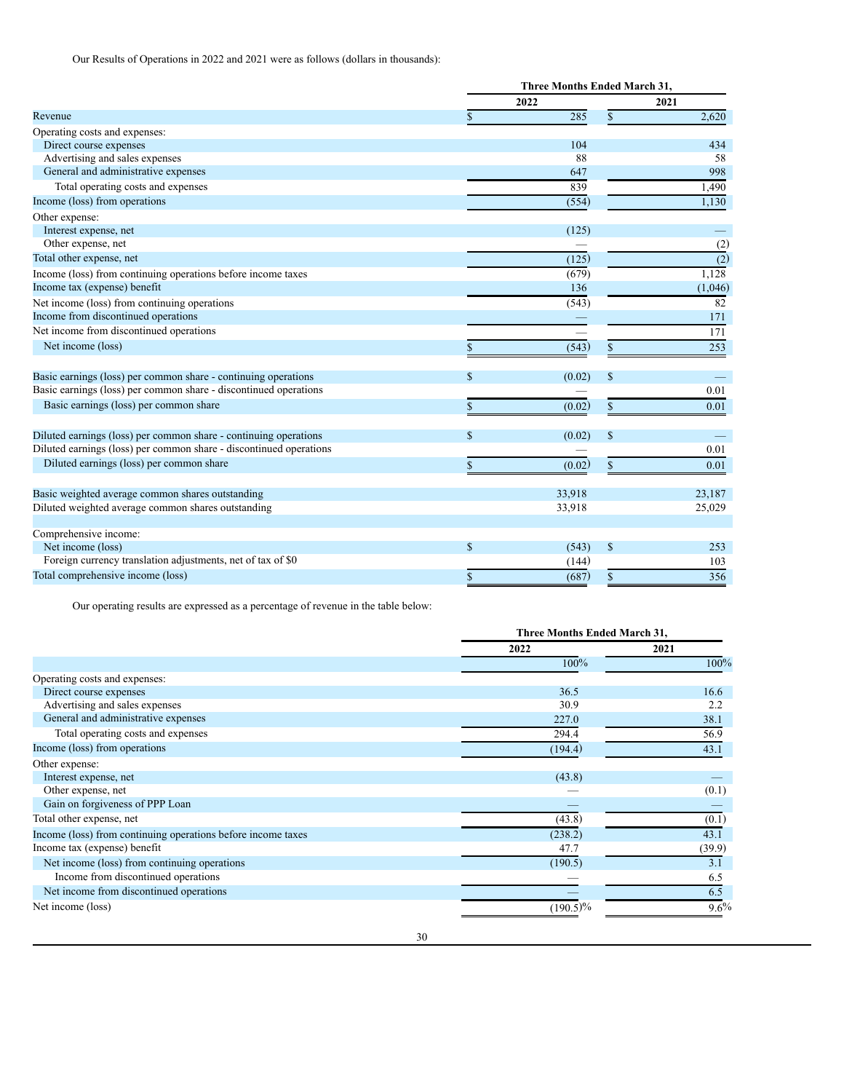Our Results of Operations in 2022 and 2021 were as follows (dollars in thousands):

|                                                                    |             | <b>Three Months Ended March 31,</b> |               |                  |
|--------------------------------------------------------------------|-------------|-------------------------------------|---------------|------------------|
|                                                                    |             | 2022                                |               | 2021             |
| Revenue                                                            |             | 285                                 | \$            | 2,620            |
| Operating costs and expenses:                                      |             |                                     |               |                  |
| Direct course expenses                                             |             | 104                                 |               | 434              |
| Advertising and sales expenses                                     |             | 88                                  |               | 58               |
| General and administrative expenses                                |             | 647                                 |               | 998              |
| Total operating costs and expenses                                 |             | 839                                 |               | 1,490            |
| Income (loss) from operations                                      |             | (554)                               |               | 1,130            |
| Other expense:                                                     |             |                                     |               |                  |
| Interest expense, net                                              |             | (125)                               |               |                  |
| Other expense, net                                                 |             |                                     |               | (2)              |
| Total other expense, net                                           |             | (125)                               |               | $\overline{(2)}$ |
| Income (loss) from continuing operations before income taxes       |             | (679)                               |               | 1,128            |
| Income tax (expense) benefit                                       |             | 136                                 |               | (1,046)          |
| Net income (loss) from continuing operations                       |             | (543)                               |               | 82               |
| Income from discontinued operations                                |             |                                     |               | 171              |
| Net income from discontinued operations                            |             |                                     |               | 171              |
| Net income (loss)                                                  |             | (543)                               |               | 253              |
|                                                                    |             |                                     |               |                  |
| Basic earnings (loss) per common share - continuing operations     | $\mathbf S$ | (0.02)                              | $\mathcal{S}$ |                  |
| Basic earnings (loss) per common share - discontinued operations   |             |                                     |               | 0.01             |
| Basic earnings (loss) per common share                             | \$          | (0.02)                              | \$            | 0.01             |
|                                                                    |             |                                     |               |                  |
| Diluted earnings (loss) per common share - continuing operations   | $\mathbf S$ | (0.02)                              | $\mathbf S$   |                  |
| Diluted earnings (loss) per common share - discontinued operations |             |                                     |               | 0.01             |
| Diluted earnings (loss) per common share                           |             | (0.02)                              | \$            | 0.01             |
|                                                                    |             |                                     |               |                  |
| Basic weighted average common shares outstanding                   |             | 33,918                              |               | 23,187           |
| Diluted weighted average common shares outstanding                 |             | 33,918                              |               | 25,029           |
|                                                                    |             |                                     |               |                  |
| Comprehensive income:                                              |             |                                     |               |                  |
| Net income (loss)                                                  | \$          | (543)                               | $\mathcal{S}$ | 253              |
| Foreign currency translation adjustments, net of tax of \$0        |             | (144)                               |               | 103              |
| Total comprehensive income (loss)                                  | \$          | (687)                               | $\mathbf S$   | 356              |

Our operating results are expressed as a percentage of revenue in the table below:

|                                                              |             | Three Months Ended March 31, |  |
|--------------------------------------------------------------|-------------|------------------------------|--|
|                                                              | 2022        | 2021                         |  |
|                                                              | 100%        | 100%                         |  |
| Operating costs and expenses:                                |             |                              |  |
| Direct course expenses                                       | 36.5        | 16.6                         |  |
| Advertising and sales expenses                               | 30.9        | 2.2                          |  |
| General and administrative expenses                          | 227.0       | 38.1                         |  |
| Total operating costs and expenses                           | 294.4       | 56.9                         |  |
| Income (loss) from operations                                | (194.4)     | 43.1                         |  |
| Other expense:                                               |             |                              |  |
| Interest expense, net                                        | (43.8)      |                              |  |
| Other expense, net                                           |             | (0.1)                        |  |
| Gain on forgiveness of PPP Loan                              |             |                              |  |
| Total other expense, net                                     | (43.8)      | (0.1)                        |  |
| Income (loss) from continuing operations before income taxes | (238.2)     | 43.1                         |  |
| Income tax (expense) benefit                                 | 47.7        | (39.9)                       |  |
| Net income (loss) from continuing operations                 | (190.5)     | 3.1                          |  |
| Income from discontinued operations                          |             | 6.5                          |  |
| Net income from discontinued operations                      |             | 6.5                          |  |
| Net income (loss)                                            | $(190.5)\%$ | $9.6\%$                      |  |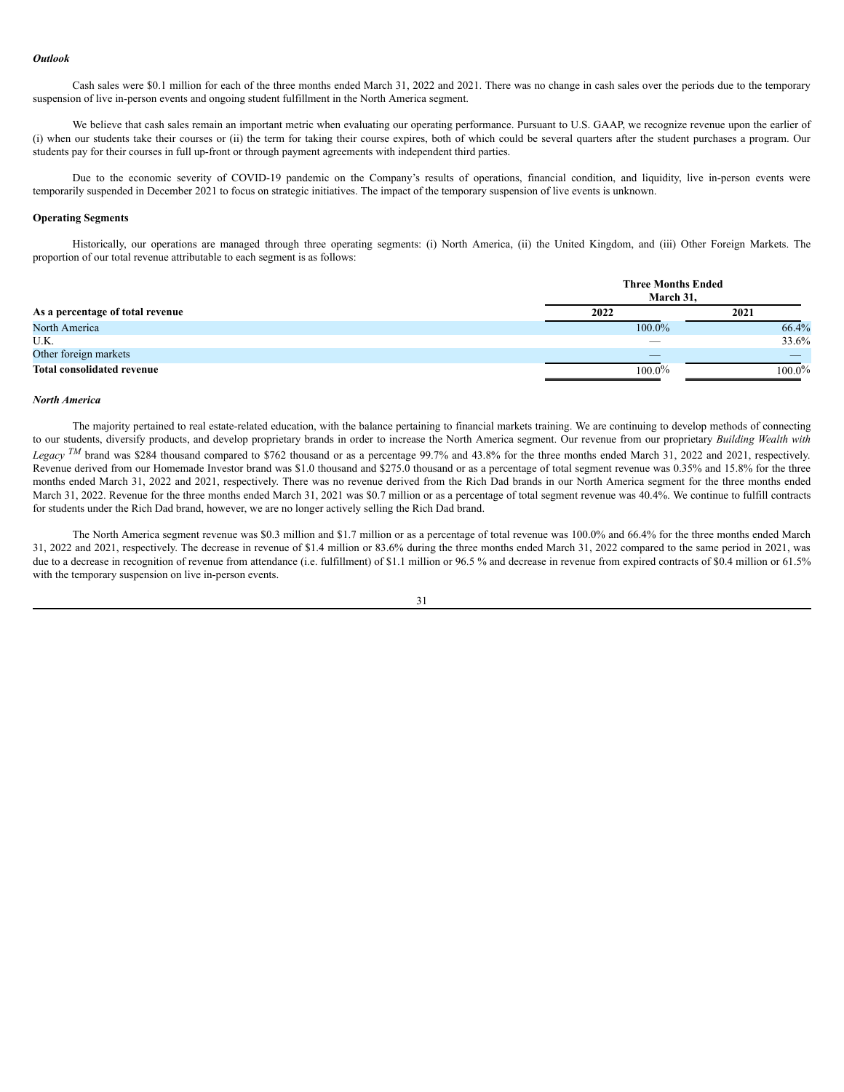### *Outlook*

Cash sales were \$0.1 million for each of the three months ended March 31, 2022 and 2021. There was no change in cash sales over the periods due to the temporary suspension of live in-person events and ongoing student fulfillment in the North America segment.

We believe that cash sales remain an important metric when evaluating our operating performance. Pursuant to U.S. GAAP, we recognize revenue upon the earlier of (i) when our students take their courses or (ii) the term for taking their course expires, both of which could be several quarters after the student purchases a program. Our students pay for their courses in full up-front or through payment agreements with independent third parties.

Due to the economic severity of COVID-19 pandemic on the Company's results of operations, financial condition, and liquidity, live in-person events were temporarily suspended in December 2021 to focus on strategic initiatives. The impact of the temporary suspension of live events is unknown.

### **Operating Segments**

Historically, our operations are managed through three operating segments: (i) North America, (ii) the United Kingdom, and (iii) Other Foreign Markets. The proportion of our total revenue attributable to each segment is as follows:

|                                   | <b>Three Months Ended</b><br>March 31. |           |
|-----------------------------------|----------------------------------------|-----------|
| As a percentage of total revenue  | 2022                                   | 2021      |
| North America                     | 100.0%                                 | 66.4%     |
| U.K.                              | $\overline{\phantom{a}}$               | 33.6%     |
| Other foreign markets             |                                        |           |
| <b>Total consolidated revenue</b> | $100.0\%$                              | $100.0\%$ |

#### *North America*

The majority pertained to real estate-related education, with the balance pertaining to financial markets training. We are continuing to develop methods of connecting to our students, diversify products, and develop proprietary brands in order to increase the North America segment. Our revenue from our proprietary *Building Wealth with* Legacy <sup>TM</sup> brand was \$284 thousand compared to \$762 thousand or as a percentage 99.7% and 43.8% for the three months ended March 31, 2022 and 2021, respectively. Revenue derived from our Homemade Investor brand was \$1.0 thousand and \$275.0 thousand or as a percentage of total segment revenue was 0.35% and 15.8% for the three months ended March 31, 2022 and 2021, respectively. There was no revenue derived from the Rich Dad brands in our North America segment for the three months ended March 31, 2022. Revenue for the three months ended March 31, 2021 was \$0.7 million or as a percentage of total segment revenue was 40.4%. We continue to fulfill contracts for students under the Rich Dad brand, however, we are no longer actively selling the Rich Dad brand.

The North America segment revenue was \$0.3 million and \$1.7 million or as a percentage of total revenue was 100.0% and 66.4% for the three months ended March 31, 2022 and 2021, respectively. The decrease in revenue of \$1.4 million or 83.6% during the three months ended March 31, 2022 compared to the same period in 2021, was due to a decrease in recognition of revenue from attendance (i.e. fulfillment) of \$1.1 million or 96.5 % and decrease in revenue from expired contracts of \$0.4 million or 61.5% with the temporary suspension on live in-person events.

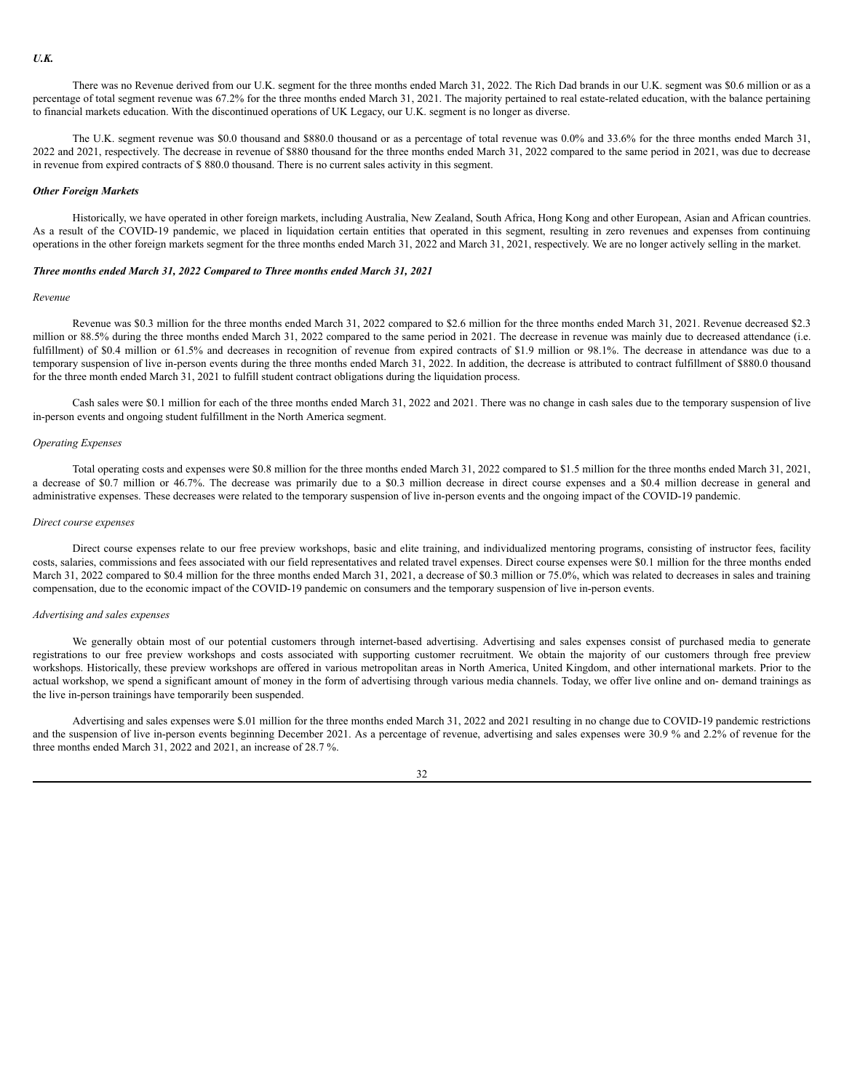There was no Revenue derived from our U.K. segment for the three months ended March 31, 2022. The Rich Dad brands in our U.K. segment was \$0.6 million or as a percentage of total segment revenue was 67.2% for the three months ended March 31, 2021. The majority pertained to real estate-related education, with the balance pertaining to financial markets education. With the discontinued operations of UK Legacy, our U.K. segment is no longer as diverse.

The U.K. segment revenue was \$0.0 thousand and \$880.0 thousand or as a percentage of total revenue was 0.0% and 33.6% for the three months ended March 31, 2022 and 2021, respectively. The decrease in revenue of \$880 thousand for the three months ended March 31, 2022 compared to the same period in 2021, was due to decrease in revenue from expired contracts of \$ 880.0 thousand. There is no current sales activity in this segment.

#### *Other Foreign Markets*

Historically, we have operated in other foreign markets, including Australia, New Zealand, South Africa, Hong Kong and other European, Asian and African countries. As a result of the COVID-19 pandemic, we placed in liquidation certain entities that operated in this segment, resulting in zero revenues and expenses from continuing operations in the other foreign markets segment for the three months ended March 31, 2022 and March 31, 2021, respectively. We are no longer actively selling in the market.

### *Three months ended March 31, 2022 Compared to Three months ended March 31, 2021*

#### *Revenue*

Revenue was \$0.3 million for the three months ended March 31, 2022 compared to \$2.6 million for the three months ended March 31, 2021. Revenue decreased \$2.3 million or 88.5% during the three months ended March 31, 2022 compared to the same period in 2021. The decrease in revenue was mainly due to decreased attendance (i.e. fulfillment) of \$0.4 million or 61.5% and decreases in recognition of revenue from expired contracts of \$1.9 million or 98.1%. The decrease in attendance was due to a temporary suspension of live in-person events during the three months ended March 31, 2022. In addition, the decrease is attributed to contract fulfillment of \$880.0 thousand for the three month ended March 31, 2021 to fulfill student contract obligations during the liquidation process.

Cash sales were \$0.1 million for each of the three months ended March 31, 2022 and 2021. There was no change in cash sales due to the temporary suspension of live in-person events and ongoing student fulfillment in the North America segment.

### *Operating Expenses*

Total operating costs and expenses were \$0.8 million for the three months ended March 31, 2022 compared to \$1.5 million for the three months ended March 31, 2021, a decrease of \$0.7 million or 46.7%. The decrease was primarily due to a \$0.3 million decrease in direct course expenses and a \$0.4 million decrease in general and administrative expenses. These decreases were related to the temporary suspension of live in-person events and the ongoing impact of the COVID-19 pandemic.

### *Direct course expenses*

Direct course expenses relate to our free preview workshops, basic and elite training, and individualized mentoring programs, consisting of instructor fees, facility costs, salaries, commissions and fees associated with our field representatives and related travel expenses. Direct course expenses were \$0.1 million for the three months ended March 31, 2022 compared to \$0.4 million for the three months ended March 31, 2021, a decrease of \$0.3 million or 75.0%, which was related to decreases in sales and training compensation, due to the economic impact of the COVID-19 pandemic on consumers and the temporary suspension of live in-person events.

### *Advertising and sales expenses*

We generally obtain most of our potential customers through internet-based advertising. Advertising and sales expenses consist of purchased media to generate registrations to our free preview workshops and costs associated with supporting customer recruitment. We obtain the majority of our customers through free preview workshops. Historically, these preview workshops are offered in various metropolitan areas in North America, United Kingdom, and other international markets. Prior to the actual workshop, we spend a significant amount of money in the form of advertising through various media channels. Today, we offer live online and on- demand trainings as the live in-person trainings have temporarily been suspended.

Advertising and sales expenses were \$.01 million for the three months ended March 31, 2022 and 2021 resulting in no change due to COVID-19 pandemic restrictions and the suspension of live in-person events beginning December 2021. As a percentage of revenue, advertising and sales expenses were 30.9 % and 2.2% of revenue for the three months ended March 31, 2022 and 2021, an increase of 28.7 %.

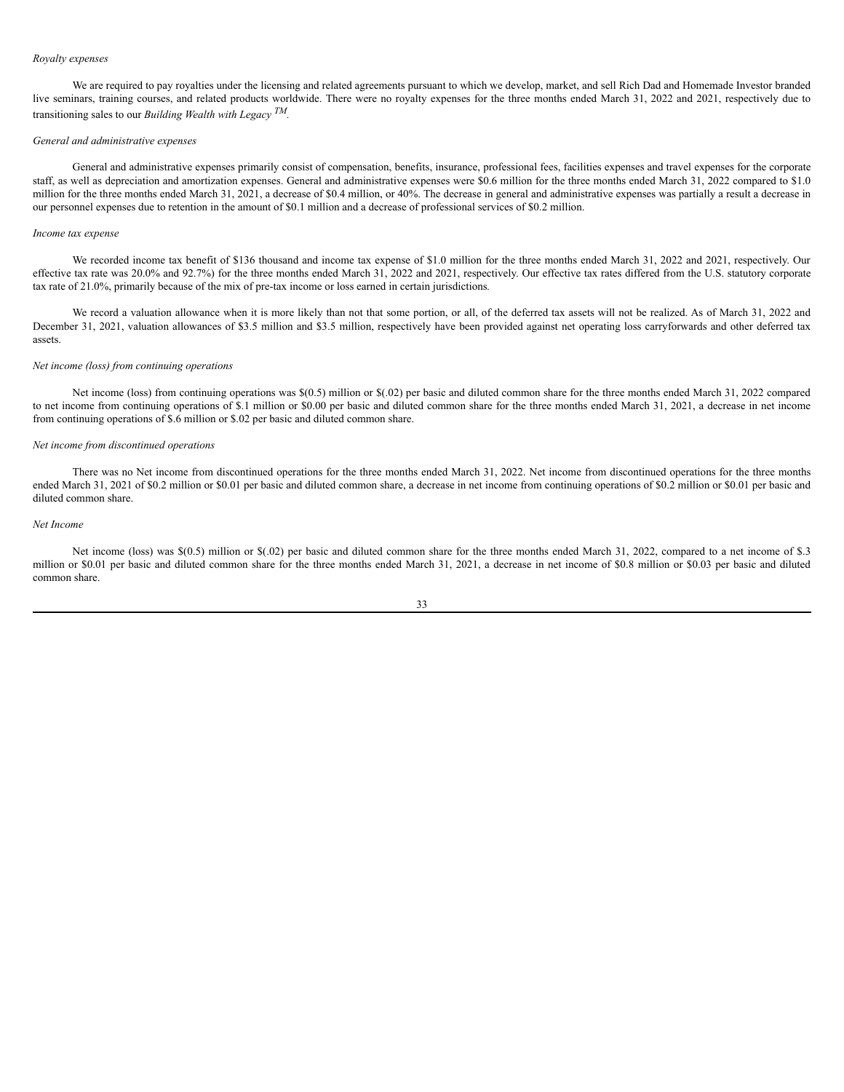### *Royalty expenses*

We are required to pay royalties under the licensing and related agreements pursuant to which we develop, market, and sell Rich Dad and Homemade Investor branded live seminars, training courses, and related products worldwide. There were no royalty expenses for the three months ended March 31, 2022 and 2021, respectively due to transitioning sales to our *Building Wealth with Legacy TM.*

#### *General and administrative expenses*

General and administrative expenses primarily consist of compensation, benefits, insurance, professional fees, facilities expenses and travel expenses for the corporate staff, as well as depreciation and amortization expenses. General and administrative expenses were \$0.6 million for the three months ended March 31, 2022 compared to \$1.0 million for the three months ended March 31, 2021, a decrease of \$0.4 million, or 40%. The decrease in general and administrative expenses was partially a result a decrease in our personnel expenses due to retention in the amount of \$0.1 million and a decrease of professional services of \$0.2 million.

### *Income tax expense*

We recorded income tax benefit of \$136 thousand and income tax expense of \$1.0 million for the three months ended March 31, 2022 and 2021, respectively. Our effective tax rate was 20.0% and 92.7%) for the three months ended March 31, 2022 and 2021, respectively. Our effective tax rates differed from the U.S. statutory corporate tax rate of 21.0%, primarily because of the mix of pre-tax income or loss earned in certain jurisdictions*.*

We record a valuation allowance when it is more likely than not that some portion, or all, of the deferred tax assets will not be realized. As of March 31, 2022 and December 31, 2021, valuation allowances of \$3.5 million and \$3.5 million, respectively have been provided against net operating loss carryforwards and other deferred tax assets.

### *Net income (loss) from continuing operations*

Net income (loss) from continuing operations was \$(0.5) million or \$(.02) per basic and diluted common share for the three months ended March 31, 2022 compared to net income from continuing operations of \$.1 million or \$0.00 per basic and diluted common share for the three months ended March 31, 2021, a decrease in net income from continuing operations of \$.6 million or \$.02 per basic and diluted common share.

### *Net income from discontinued operations*

There was no Net income from discontinued operations for the three months ended March 31, 2022. Net income from discontinued operations for the three months ended March 31, 2021 of \$0.2 million or \$0.01 per basic and diluted common share, a decrease in net income from continuing operations of \$0.2 million or \$0.01 per basic and diluted common share.

### *Net Income*

Net income (loss) was \$(0.5) million or \$(.02) per basic and diluted common share for the three months ended March 31, 2022, compared to a net income of \$.3 million or \$0.01 per basic and diluted common share for the three months ended March 31, 2021, a decrease in net income of \$0.8 million or \$0.03 per basic and diluted common share.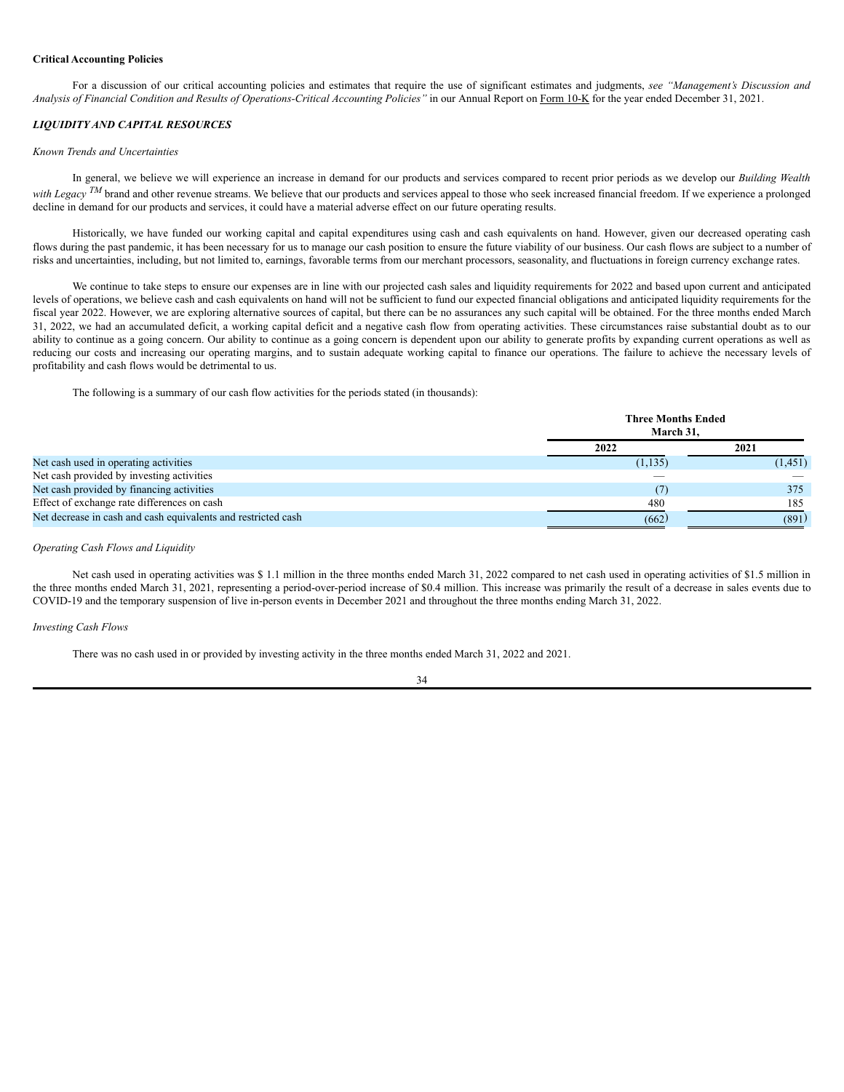### **Critical Accounting Policies**

For a discussion of our critical accounting policies and estimates that require the use of significant estimates and judgments, *see "Management's Discussion and* Analysis of Financial Condition and Results of Operations-Critical Accounting Policies" in our Annual Report on Form 10-K for the year ended December 31, 2021.

### *LIQUIDITY AND CAPITAL RESOURCES*

#### *Known Trends and Uncertainties*

In general, we believe we will experience an increase in demand for our products and services compared to recent prior periods as we develop our *Building Wealth with Legacy* <sup>*TM*</sup> brand and other revenue streams. We believe that our products and services appeal to those who seek increased financial freedom. If we experience a prolonged decline in demand for our products and services, it could have a material adverse effect on our future operating results.

Historically, we have funded our working capital and capital expenditures using cash and cash equivalents on hand. However, given our decreased operating cash flows during the past pandemic, it has been necessary for us to manage our cash position to ensure the future viability of our business. Our cash flows are subject to a number of risks and uncertainties, including, but not limited to, earnings, favorable terms from our merchant processors, seasonality, and fluctuations in foreign currency exchange rates.

We continue to take steps to ensure our expenses are in line with our projected cash sales and liquidity requirements for 2022 and based upon current and anticipated levels of operations, we believe cash and cash equivalents on hand will not be sufficient to fund our expected financial obligations and anticipated liquidity requirements for the fiscal year 2022. However, we are exploring alternative sources of capital, but there can be no assurances any such capital will be obtained. For the three months ended March 31, 2022, we had an accumulated deficit, a working capital deficit and a negative cash flow from operating activities. These circumstances raise substantial doubt as to our ability to continue as a going concern. Our ability to continue as a going concern is dependent upon our ability to generate profits by expanding current operations as well as reducing our costs and increasing our operating margins, and to sustain adequate working capital to finance our operations. The failure to achieve the necessary levels of profitability and cash flows would be detrimental to us.

The following is a summary of our cash flow activities for the periods stated (in thousands):

|                                                               |          | <b>Three Months Ended</b><br>March 31. |  |
|---------------------------------------------------------------|----------|----------------------------------------|--|
|                                                               | 2022     | 2021                                   |  |
| Net cash used in operating activities                         | (1, 135) | (1,451)                                |  |
| Net cash provided by investing activities                     | __       |                                        |  |
| Net cash provided by financing activities                     | (7)      | 375                                    |  |
| Effect of exchange rate differences on cash                   | 480      | 185                                    |  |
| Net decrease in cash and cash equivalents and restricted cash | (662)    | (891)                                  |  |

### *Operating Cash Flows and Liquidity*

Net cash used in operating activities was \$ 1.1 million in the three months ended March 31, 2022 compared to net cash used in operating activities of \$1.5 million in the three months ended March 31, 2021, representing a period-over-period increase of \$0.4 million. This increase was primarily the result of a decrease in sales events due to COVID-19 and the temporary suspension of live in-person events in December 2021 and throughout the three months ending March 31, 2022.

#### *Investing Cash Flows*

There was no cash used in or provided by investing activity in the three months ended March 31, 2022 and 2021.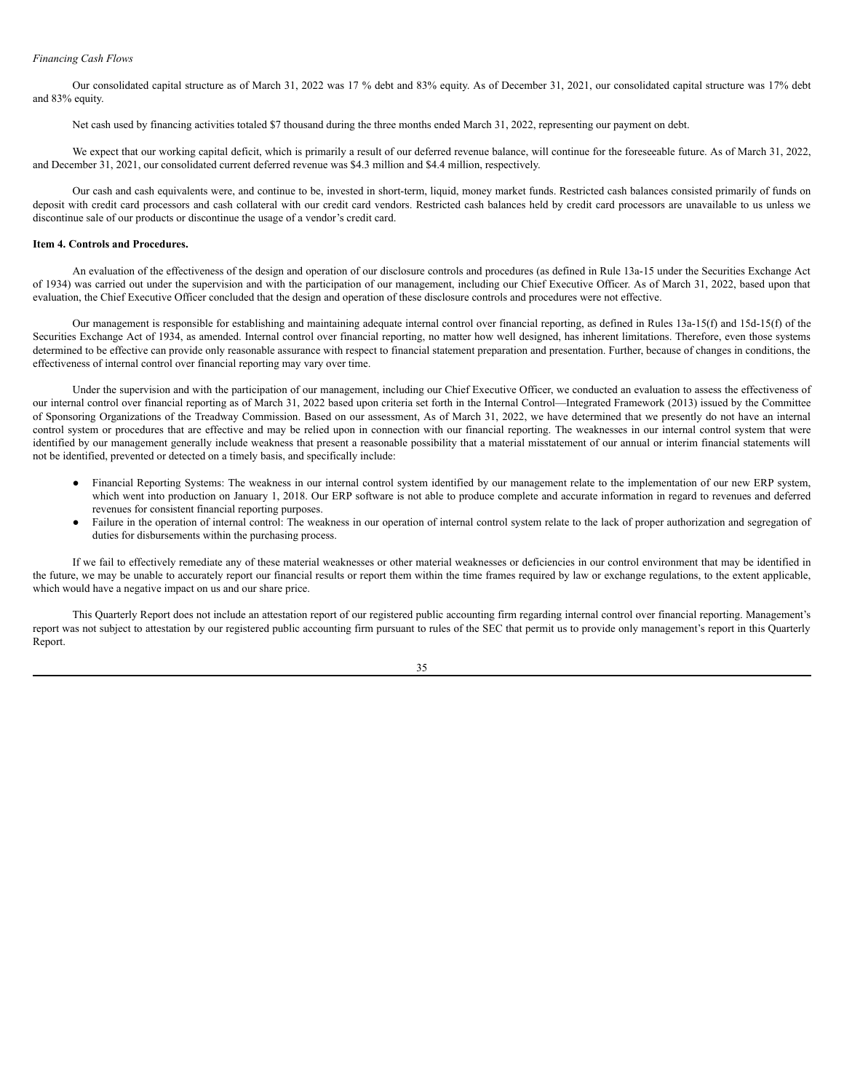### *Financing Cash Flows*

Our consolidated capital structure as of March 31, 2022 was 17 % debt and 83% equity. As of December 31, 2021, our consolidated capital structure was 17% debt and 83% equity.

Net cash used by financing activities totaled \$7 thousand during the three months ended March 31, 2022, representing our payment on debt.

We expect that our working capital deficit, which is primarily a result of our deferred revenue balance, will continue for the foreseeable future. As of March 31, 2022, and December 31, 2021, our consolidated current deferred revenue was \$4.3 million and \$4.4 million, respectively.

Our cash and cash equivalents were, and continue to be, invested in short-term, liquid, money market funds. Restricted cash balances consisted primarily of funds on deposit with credit card processors and cash collateral with our credit card vendors. Restricted cash balances held by credit card processors are unavailable to us unless we discontinue sale of our products or discontinue the usage of a vendor's credit card.

### <span id="page-37-0"></span>**Item 4. Controls and Procedures.**

An evaluation of the effectiveness of the design and operation of our disclosure controls and procedures (as defined in Rule 13a-15 under the Securities Exchange Act of 1934) was carried out under the supervision and with the participation of our management, including our Chief Executive Officer. As of March 31, 2022, based upon that evaluation, the Chief Executive Officer concluded that the design and operation of these disclosure controls and procedures were not effective.

Our management is responsible for establishing and maintaining adequate internal control over financial reporting, as defined in Rules 13a-15(f) and 15d-15(f) of the Securities Exchange Act of 1934, as amended. Internal control over financial reporting, no matter how well designed, has inherent limitations. Therefore, even those systems determined to be effective can provide only reasonable assurance with respect to financial statement preparation and presentation. Further, because of changes in conditions, the effectiveness of internal control over financial reporting may vary over time.

Under the supervision and with the participation of our management, including our Chief Executive Officer, we conducted an evaluation to assess the effectiveness of our internal control over financial reporting as of March 31, 2022 based upon criteria set forth in the Internal Control—Integrated Framework (2013) issued by the Committee of Sponsoring Organizations of the Treadway Commission. Based on our assessment, As of March 31, 2022, we have determined that we presently do not have an internal control system or procedures that are effective and may be relied upon in connection with our financial reporting. The weaknesses in our internal control system that were identified by our management generally include weakness that present a reasonable possibility that a material misstatement of our annual or interim financial statements will not be identified, prevented or detected on a timely basis, and specifically include:

- Financial Reporting Systems: The weakness in our internal control system identified by our management relate to the implementation of our new ERP system, which went into production on January 1, 2018. Our ERP software is not able to produce complete and accurate information in regard to revenues and deferred revenues for consistent financial reporting purposes.
- Failure in the operation of internal control: The weakness in our operation of internal control system relate to the lack of proper authorization and segregation of duties for disbursements within the purchasing process.

If we fail to effectively remediate any of these material weaknesses or other material weaknesses or deficiencies in our control environment that may be identified in the future, we may be unable to accurately report our financial results or report them within the time frames required by law or exchange regulations, to the extent applicable, which would have a negative impact on us and our share price.

This Quarterly Report does not include an attestation report of our registered public accounting firm regarding internal control over financial reporting. Management's report was not subject to attestation by our registered public accounting firm pursuant to rules of the SEC that permit us to provide only management's report in this Quarterly Report.

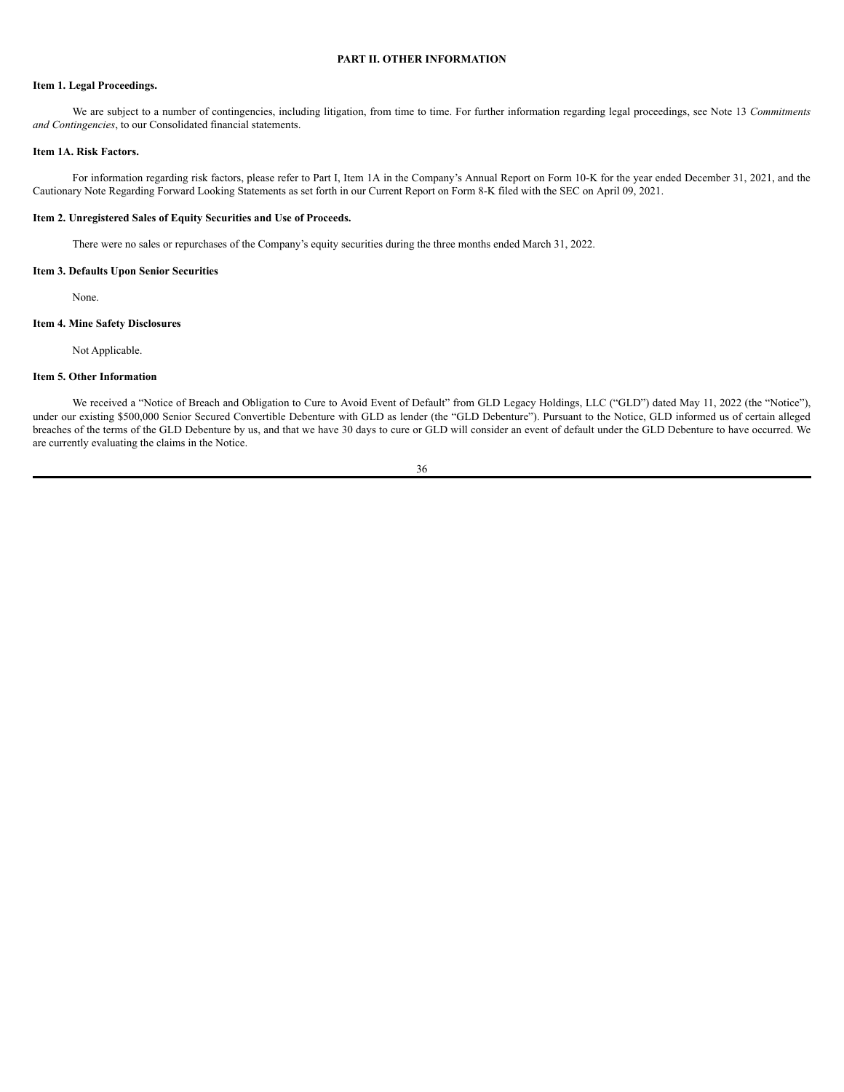### **PART II. OTHER INFORMATION**

# <span id="page-38-1"></span><span id="page-38-0"></span>**Item 1. Legal Proceedings.**

We are subject to a number of contingencies, including litigation, from time to time. For further information regarding legal proceedings, see Note 13 *Commitments and Contingencies*, to our Consolidated financial statements.

### <span id="page-38-2"></span>**Item 1A. Risk Factors.**

For information regarding risk factors, please refer to Part I, Item 1A in the Company's Annual Report on Form 10-K for the year ended December 31, 2021, and the Cautionary Note Regarding Forward Looking Statements as set forth in our Current Report on Form 8-K filed with the SEC on April 09, 2021.

### <span id="page-38-3"></span>**Item 2. Unregistered Sales of Equity Securities and Use of Proceeds.**

There were no sales or repurchases of the Company's equity securities during the three months ended March 31, 2022.

### **Item 3. Defaults Upon Senior Securities**

None.

# **Item 4. Mine Safety Disclosures**

Not Applicable.

### <span id="page-38-4"></span>**Item 5. Other Information**

We received a "Notice of Breach and Obligation to Cure to Avoid Event of Default" from GLD Legacy Holdings, LLC ("GLD") dated May 11, 2022 (the "Notice"), under our existing \$500,000 Senior Secured Convertible Debenture with GLD as lender (the "GLD Debenture"). Pursuant to the Notice, GLD informed us of certain alleged breaches of the terms of the GLD Debenture by us, and that we have 30 days to cure or GLD will consider an event of default under the GLD Debenture to have occurred. We are currently evaluating the claims in the Notice.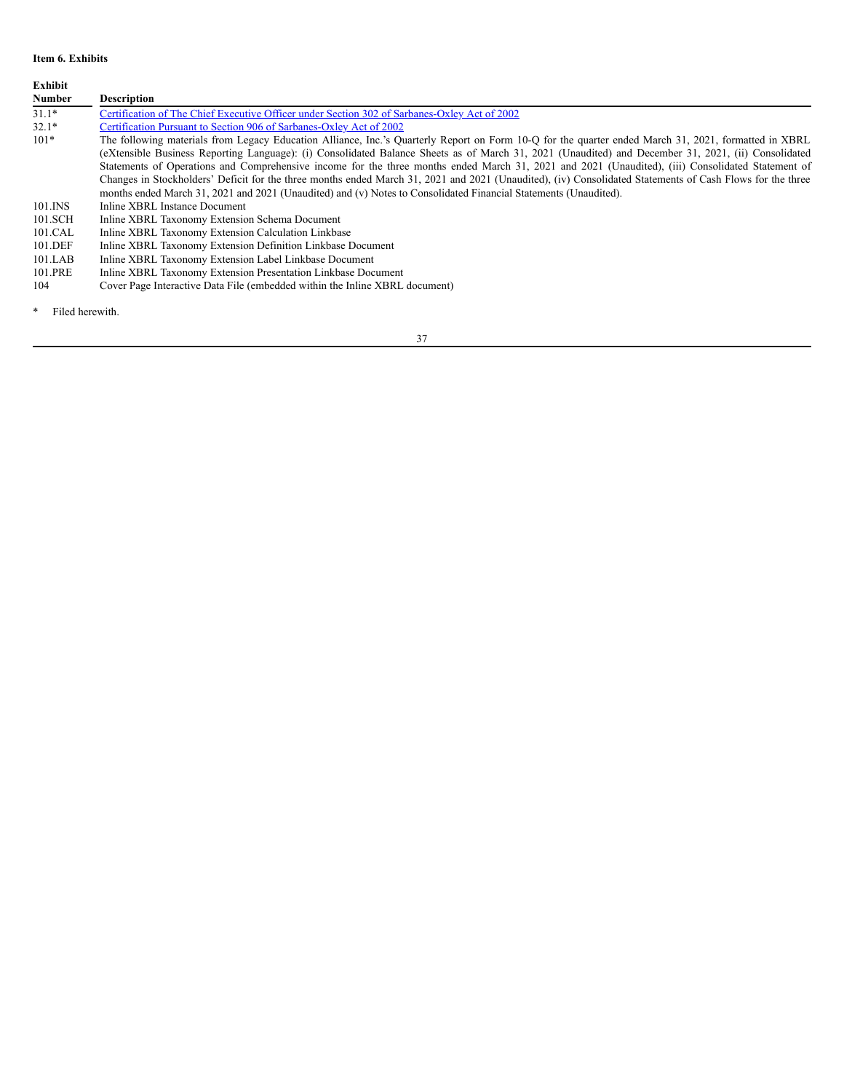### <span id="page-39-0"></span>**Item 6. Exhibits**

**Exhibit Description** 31.1\* Certification of The Chief Executive Officer under Section 302 of [Sarbanes-Oxley](https://s3.amazonaws.com/content.stockpr.com/sec/0001493152-22-014133/ex31-1.htm) Act of 2002 32.1\* Certification Pursuant to Section 906 of [Sarbanes-Oxley](https://s3.amazonaws.com/content.stockpr.com/sec/0001493152-22-014133/ex32-1.htm) Act of 2002<br>101\* The following materials from Legacy Education Alliance. Inc.'s Ou The following materials from Legacy Education Alliance, Inc.'s Quarterly Report on Form 10-Q for the quarter ended March 31, 2021, formatted in XBRL (eXtensible Business Reporting Language): (i) Consolidated Balance Sheets as of March 31, 2021 (Unaudited) and December 31, 2021, (ii) Consolidated Statements of Operations and Comprehensive income for the three months ended March 31, 2021 and 2021 (Unaudited), (iii) Consolidated Statement of Changes in Stockholders' Deficit for the three months ended March 31, 2021 and 2021 (Unaudited), (iv) Consolidated Statements of Cash Flows for the three months ended March 31, 2021 and 2021 (Unaudited) and (v) Notes to Consolidated Financial Statements (Unaudited). 101.INS Inline XBRL Instance Document<br>101.SCH Inline XBRL Taxonomy Extensio Inline XBRL Taxonomy Extension Schema Document 101.CAL Inline XBRL Taxonomy Extension Calculation Linkbase 101.DEF Inline XBRL Taxonomy Extension Definition Linkbase Document<br>101.LAB Inline XBRL Taxonomy Extension Label Linkbase Document Inline XBRL Taxonomy Extension Label Linkbase Document 101.PRE Inline XBRL Taxonomy Extension Presentation Linkbase Document<br>104 Cover Page Interactive Data File (embedded within the Inline XBRL Cover Page Interactive Data File (embedded within the Inline XBRL document)

\* Filed herewith.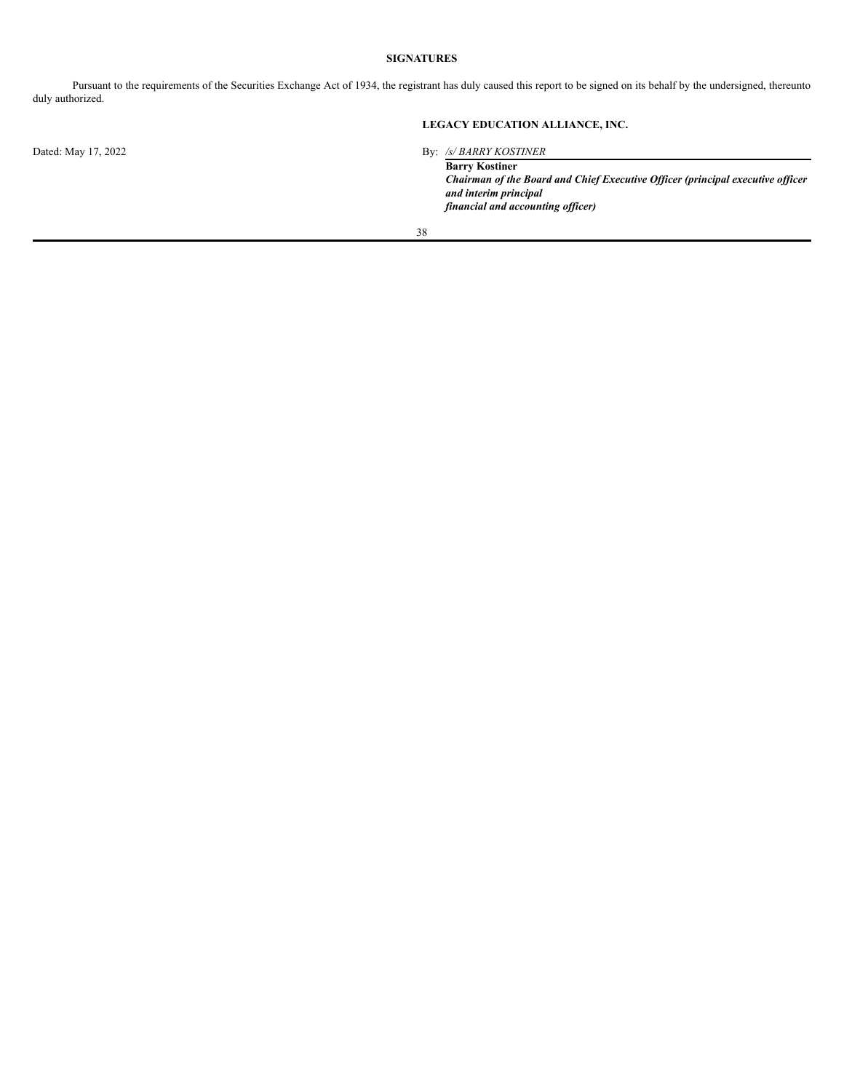## **SIGNATURES**

<span id="page-40-0"></span>Pursuant to the requirements of the Securities Exchange Act of 1934, the registrant has duly caused this report to be signed on its behalf by the undersigned, thereunto duly authorized.

# **LEGACY EDUCATION ALLIANCE, INC.**

Dated: May 17, 2022 By: */s/ BARRY KOSTINER*

**Barry Kostiner** *Chairman of the Board and Chief Executive Of icer (principal executive of icer and interim principal financial and accounting of icer)*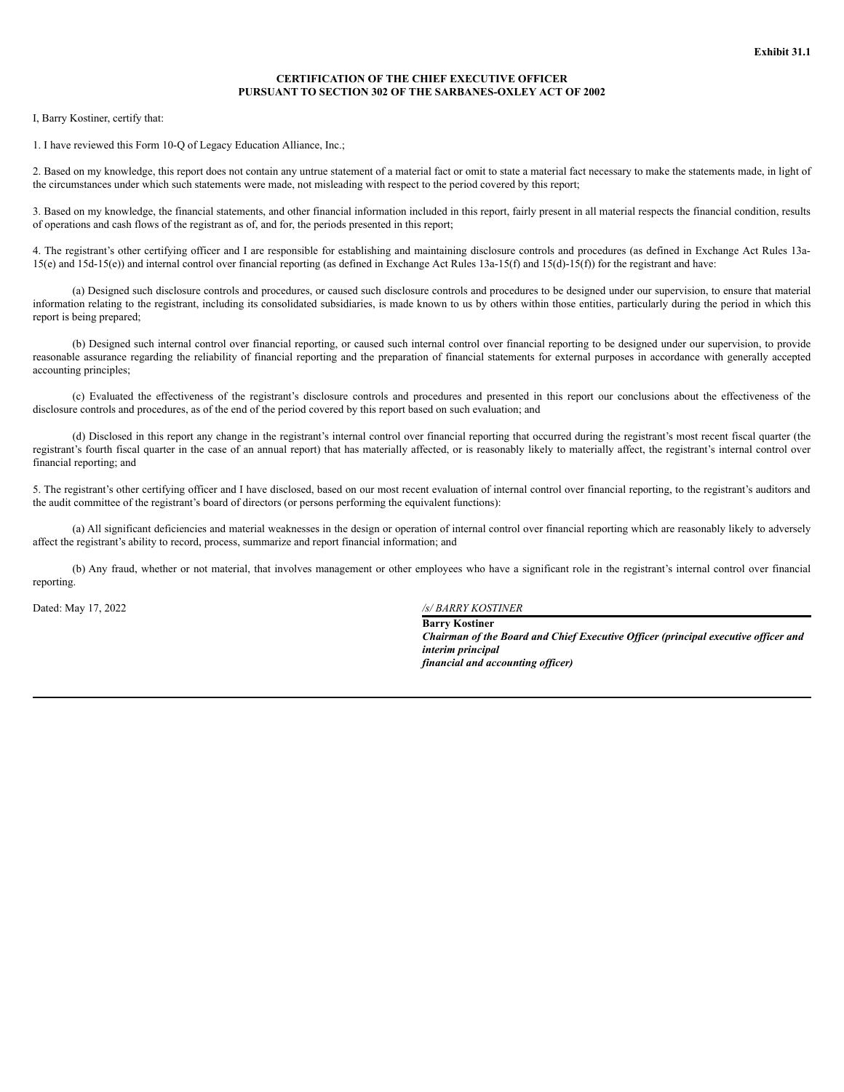### **CERTIFICATION OF THE CHIEF EXECUTIVE OFFICER PURSUANT TO SECTION 302 OF THE SARBANES-OXLEY ACT OF 2002**

I, Barry Kostiner, certify that:

1. I have reviewed this Form 10-Q of Legacy Education Alliance, Inc.;

2. Based on my knowledge, this report does not contain any untrue statement of a material fact or omit to state a material fact necessary to make the statements made, in light of the circumstances under which such statements were made, not misleading with respect to the period covered by this report;

3. Based on my knowledge, the financial statements, and other financial information included in this report, fairly present in all material respects the financial condition, results of operations and cash flows of the registrant as of, and for, the periods presented in this report;

4. The registrant's other certifying officer and I are responsible for establishing and maintaining disclosure controls and procedures (as defined in Exchange Act Rules 13a- $15(e)$  and  $15(d-15(e))$  and internal control over financial reporting (as defined in Exchange Act Rules  $13a-15(f)$  and  $15(d)-15(f)$ ) for the registrant and have:

(a) Designed such disclosure controls and procedures, or caused such disclosure controls and procedures to be designed under our supervision, to ensure that material information relating to the registrant, including its consolidated subsidiaries, is made known to us by others within those entities, particularly during the period in which this report is being prepared;

(b) Designed such internal control over financial reporting, or caused such internal control over financial reporting to be designed under our supervision, to provide reasonable assurance regarding the reliability of financial reporting and the preparation of financial statements for external purposes in accordance with generally accepted accounting principles;

(c) Evaluated the effectiveness of the registrant's disclosure controls and procedures and presented in this report our conclusions about the effectiveness of the disclosure controls and procedures, as of the end of the period covered by this report based on such evaluation; and

(d) Disclosed in this report any change in the registrant's internal control over financial reporting that occurred during the registrant's most recent fiscal quarter (the registrant's fourth fiscal quarter in the case of an annual report) that has materially affected, or is reasonably likely to materially affect, the registrant's internal control over financial reporting; and

5. The registrant's other certifying officer and I have disclosed, based on our most recent evaluation of internal control over financial reporting, to the registrant's auditors and the audit committee of the registrant's board of directors (or persons performing the equivalent functions):

(a) All significant deficiencies and material weaknesses in the design or operation of internal control over financial reporting which are reasonably likely to adversely affect the registrant's ability to record, process, summarize and report financial information; and

(b) Any fraud, whether or not material, that involves management or other employees who have a significant role in the registrant's internal control over financial reporting.

Dated: May 17, 2022 */s/ BARRY KOSTINER*

**Barry Kostiner** *Chairman of the Board and Chief Executive Of icer (principal executive of icer and interim principal financial and accounting of icer)*